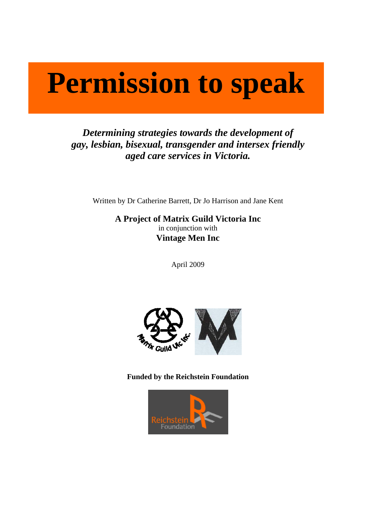# **Permission to speak**

# *Determining strategies towards the development of gay, lesbian, bisexual, transgender and intersex friendly aged care services in Victoria.*

Written by Dr Catherine Barrett, Dr Jo Harrison and Jane Kent

### **A Project of Matrix Guild Victoria Inc**  in conjunction with **Vintage Men Inc**

April 2009



**Funded by the Reichstein Foundation**

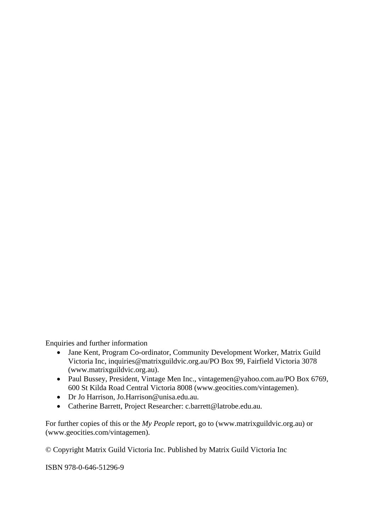Enquiries and further information

- Jane Kent, Program Co-ordinator, Community Development Worker, Matrix Guild Victoria Inc, inquiries@matrixguildvic.org.au/PO Box 99, Fairfield Victoria 3078 [\(www.matrixguildvic.org.au\)](http://www.matrixguildvic.org.au/).
- Paul Bussey, President, Vintage Men Inc., [vintagemen@yahoo.com.au/P](mailto:vintagemen@yahoo.com.au/)O Box 6769, 600 St Kilda Road Central Victoria 8008 [\(www.geocities.com/vintagemen\)](http://www.geocities.com/vintagemen).
- Dr Jo Harrison, Jo.Harrison@unisa.edu.au.
- Catherine Barrett, Project Researcher: c.barrett@latrobe.edu.au.

For further copies of this or the *My People* report, go to [\(www.matrixguildvic.org.au\)](http://www.matrixguildvic.org.au/) or [\(www.geocities.com/vintagemen\)](http://www.geocities.com/vintagemen).

© Copyright Matrix Guild Victoria Inc. Published by Matrix Guild Victoria Inc

ISBN 978-0-646-51296-9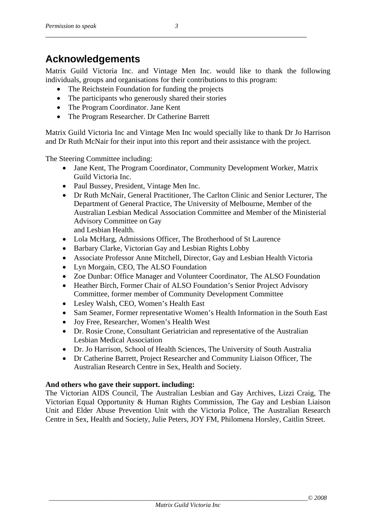# <span id="page-2-0"></span>**Acknowledgements**

Matrix Guild Victoria Inc. and Vintage Men Inc. would like to thank the following individuals, groups and organisations for their contributions to this program:

- The Reichstein Foundation for funding the projects
- The participants who generously shared their stories
- The Program Coordinator. Jane Kent
- The Program Researcher. Dr Catherine Barrett

Matrix Guild Victoria Inc and Vintage Men Inc would specially like to thank Dr Jo Harrison and Dr Ruth McNair for their input into this report and their assistance with the project.

The Steering Committee including:

- Jane Kent, The Program Coordinator, Community Development Worker, Matrix Guild Victoria Inc.
- Paul Bussey, President, Vintage Men Inc.
- Dr Ruth McNair, General Practitioner, The Carlton Clinic and Senior Lecturer, The Department of General Practice, The University of Melbourne, Member of the Australian Lesbian Medical Association Committee and Member of the Ministerial Advisory Committee on Gay and Lesbian Health.
- Lola McHarg, Admissions Officer, The Brotherhood of St Laurence
- Barbary Clarke, Victorian Gay and Lesbian Rights Lobby
- Associate Professor Anne Mitchell, Director, Gay and Lesbian Health Victoria
- Lyn Morgain, CEO, The ALSO Foundation
- Zoe Dunbar: Office Manager and Volunteer Coordinator, The ALSO Foundation
- Heather Birch, Former Chair of ALSO Foundation's Senior Project Advisory Committee, former member of Community Development Committee
- Lesley Walsh, CEO, Women's Health East
- Sam Seamer, Former representative Women's Health Information in the South East
- Joy Free, Researcher, Women's Health West
- Dr. Rosie Crone, Consultant Geriatrician and representative of the Australian Lesbian Medical Association
- Dr. Jo Harrison, School of Health Sciences, The University of South Australia
- Dr Catherine Barrett, Project Researcher and Community Liaison Officer, The Australian Research Centre in Sex, Health and Society.

#### **And others who gave their support. including:**

The Victorian AIDS Council, The Australian Lesbian and Gay Archives, Lizzi Craig, The Victorian Equal Opportunity & Human Rights Commission, The Gay and Lesbian Liaison Unit and Elder Abuse Prevention Unit with the Victoria Police, The Australian Research Centre in Sex, Health and Society, Julie Peters, JOY FM, Philomena Horsley, Caitlin Street.

\_\_\_\_\_\_\_\_\_\_\_\_\_\_\_\_\_\_\_\_\_\_\_\_\_\_\_\_\_\_\_\_\_\_\_\_\_\_\_\_\_\_\_\_\_\_\_\_\_\_\_\_\_\_\_\_\_\_\_\_\_\_\_\_\_\_\_\_\_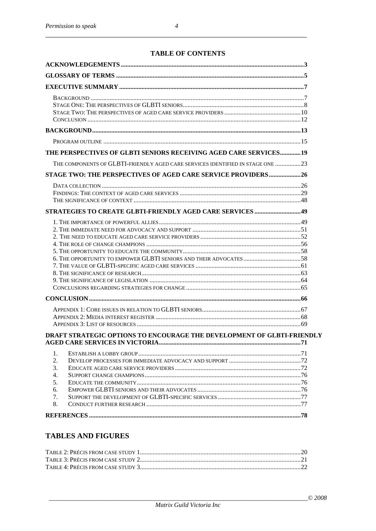### **TABLE OF CONTENTS**

| THE PERSPECTIVES OF GLBTI SENIORS RECEIVING AGED CARE SERVICES19                                                 |  |
|------------------------------------------------------------------------------------------------------------------|--|
| THE COMPONENTS OF GLBTI-FRIENDLY AGED CARE SERVICES IDENTIFIED IN STAGE ONE 23                                   |  |
| <b>STAGE TWO: THE PERSPECTIVES OF AGED CARE SERVICE PROVIDERS 26</b>                                             |  |
|                                                                                                                  |  |
| STRATEGIES TO CREATE GLBTI-FRIENDLY AGED CARE SERVICES  49                                                       |  |
| 6. THE OPPORTUNITY TO EMPOWER GLBTI SENIORS AND THEIR ADVOCATES  58                                              |  |
|                                                                                                                  |  |
|                                                                                                                  |  |
| DRAFT STRATEGIC OPTIONS TO ENCOURAGE THE DEVELOPMENT OF GLBTI-FRIENDLY<br><b>AGED CARE SERVICES IN VICTORIA.</b> |  |
| 1.                                                                                                               |  |
| 2.                                                                                                               |  |
| 3.                                                                                                               |  |
| 4.                                                                                                               |  |
| 5.                                                                                                               |  |
| 6.                                                                                                               |  |
| 7.<br>8.                                                                                                         |  |
|                                                                                                                  |  |

### **TABLES AND FIGURES**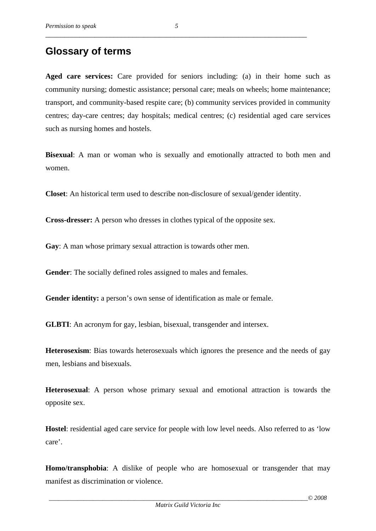# <span id="page-4-0"></span>**Glossary of terms**

**Aged care services:** Care provided for seniors including: (a) in their home such as community nursing; domestic assistance; personal care; meals on wheels; home maintenance; transport, and community-based respite care; (b) community services provided in community centres; day-care centres; day hospitals; medical centres; (c) residential aged care services such as nursing homes and hostels.

**Bisexual**: A man or woman who is sexually and emotionally attracted to both men and women.

**Closet**: An historical term used to describe non-disclosure of sexual/gender identity.

**Cross-dresser:** A person who dresses in clothes typical of the opposite sex.

**Gay**: A man whose primary sexual attraction is towards other men.

**Gender**: The socially defined roles assigned to males and females.

**Gender identity:** a person's own sense of [identification](http://en.wikipedia.org/wiki/Identification) as [male](http://en.wikipedia.org/wiki/Male) or [female.](http://en.wikipedia.org/wiki/Female)

**GLBTI:** An acronym for gay, lesbian, bisexual, transgender and intersex.

**Heterosexism**: Bias towards heterosexuals which ignores the presence and the needs of gay men, lesbians and bisexuals.

**Heterosexual**: A person whose primary sexual and emotional attraction is towards the opposite sex.

**Hostel**: residential aged care service for people with low level needs. Also referred to as 'low care'.

**Homo/transphobia**: A dislike of people who are homosexual or transgender that may manifest as discrimination or violence.

\_\_\_\_\_\_\_\_\_\_\_\_\_\_\_\_\_\_\_\_\_\_\_\_\_\_\_\_\_\_\_\_\_\_\_\_\_\_\_\_\_\_\_\_\_\_\_\_\_\_\_\_\_\_\_\_\_\_\_\_\_\_\_\_\_\_\_\_\_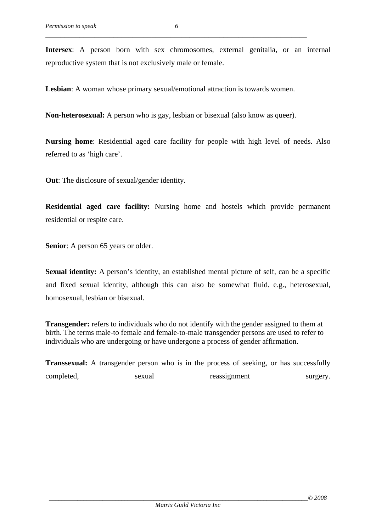**Intersex**: A person born with sex chromosomes, external genitalia, or an internal reproductive system that is not exclusively male or female.

**Lesbian**: A woman whose primary sexual/emotional attraction is towards women.

**Non-heterosexual:** A person who is gay, lesbian or bisexual (also know as queer).

**Nursing home**: Residential aged care facility for people with high level of needs. Also referred to as 'high care'.

**Out**: The disclosure of sexual/gender identity.

**Residential aged care facility:** Nursing home and hostels which provide permanent residential or respite care.

**Senior**: A person 65 years or older.

**Sexual identity:** A person's identity, an established mental picture of self, can be a specific and fixed sexual identity, although this can also be somewhat fluid. e.g., heterosexual, homosexual, lesbian or bisexual.

**Transgender:** refers to individuals who do not identify with the gender assigned to them at birth. The terms male-to female and female-to-male transgender persons are used to refer to individuals who are undergoing or have undergone a process of gender affirmation.

**Transsexual:** A transgender person who is in the process of seeking, or has successfully completed, sexual reassignment surgery.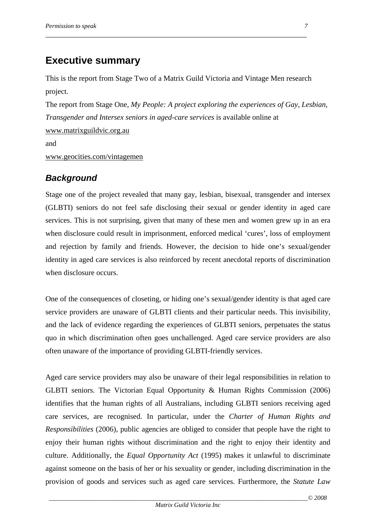# <span id="page-6-0"></span>**Executive summary**

This is the report from Stage Two of a Matrix Guild Victoria and Vintage Men research project.

\_\_\_\_\_\_\_\_\_\_\_\_\_\_\_\_\_\_\_\_\_\_\_\_\_\_\_\_\_\_\_\_\_\_\_\_\_\_\_\_\_\_\_\_\_\_\_\_\_\_\_\_\_\_\_\_\_\_\_\_\_\_\_\_\_\_\_\_\_

The report from Stage One, *My People: A project exploring the experiences of Gay, Lesbian, Transgender and Intersex seniors in aged-care services* is available online at [www.matrixguildvic.org.au](http://www.matrixguildvic.org.au/) and

[www.geocities.com/vintagemen](http://www.geocities.com/vintagemen)

# <span id="page-6-1"></span>*Background*

Stage one of the project revealed that many gay, lesbian, bisexual, transgender and intersex (GLBTI) seniors do not feel safe disclosing their sexual or gender identity in aged care services. This is not surprising, given that many of these men and women grew up in an era when disclosure could result in imprisonment, enforced medical 'cures', loss of employment and rejection by family and friends. However, the decision to hide one's sexual/gender identity in aged care services is also reinforced by recent anecdotal reports of discrimination when disclosure occurs.

One of the consequences of closeting, or hiding one's sexual/gender identity is that aged care service providers are unaware of GLBTI clients and their particular needs. This invisibility, and the lack of evidence regarding the experiences of GLBTI seniors, perpetuates the status quo in which discrimination often goes unchallenged. Aged care service providers are also often unaware of the importance of providing GLBTI-friendly services.

Aged care service providers may also be unaware of their legal responsibilities in relation to GLBTI seniors. The Victorian Equal Opportunity & Human Rights Commission (2006) identifies that the human rights of all Australians, including GLBTI seniors receiving aged care services, are recognised. In particular, under the *Charter of Human Rights and Responsibilities* (2006), public agencies are obliged to consider that people have the right to enjoy their human rights without discrimination and the right to enjoy their identity and culture. Additionally, the *Equal Opportunity Act* (1995) makes it unlawful to discriminate against someone on the basis of her or his sexuality or gender, including discrimination in the provision of goods and services such as aged care services. Furthermore, the *Statute Law*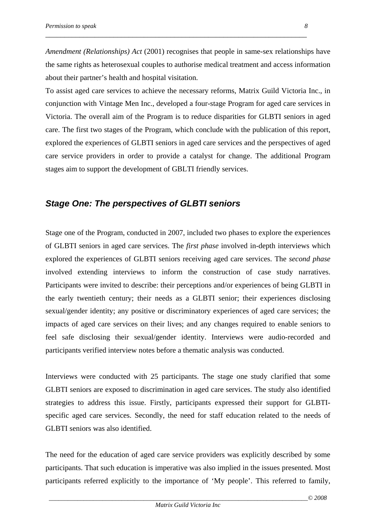*Amendment (Relationships) Act* (2001) recognises that people in same-sex relationships have the same rights as heterosexual couples to authorise medical treatment and access information about their partner's health and hospital visitation.

To assist aged care services to achieve the necessary reforms, Matrix Guild Victoria Inc., in conjunction with Vintage Men Inc., developed a four-stage Program for aged care services in Victoria. The overall aim of the Program is to reduce disparities for GLBTI seniors in aged care. The first two stages of the Program, which conclude with the publication of this report, explored the experiences of GLBTI seniors in aged care services and the perspectives of aged care service providers in order to provide a catalyst for change. The additional Program stages aim to support the development of GBLTI friendly services.

### <span id="page-7-0"></span>*Stage One: The perspectives of GLBTI seniors*

Stage one of the Program, conducted in 2007, included two phases to explore the experiences of GLBTI seniors in aged care services. The *first phase* involved in-depth interviews which explored the experiences of GLBTI seniors receiving aged care services. The *second phase* involved extending interviews to inform the construction of case study narratives. Participants were invited to describe: their perceptions and/or experiences of being GLBTI in the early twentieth century; their needs as a GLBTI senior; their experiences disclosing sexual/gender identity; any positive or discriminatory experiences of aged care services; the impacts of aged care services on their lives; and any changes required to enable seniors to feel safe disclosing their sexual/gender identity. Interviews were audio-recorded and participants verified interview notes before a thematic analysis was conducted.

Interviews were conducted with 25 participants. The stage one study clarified that some GLBTI seniors are exposed to discrimination in aged care services. The study also identified strategies to address this issue. Firstly, participants expressed their support for GLBTIspecific aged care services. Secondly, the need for staff education related to the needs of GLBTI seniors was also identified.

The need for the education of aged care service providers was explicitly described by some participants. That such education is imperative was also implied in the issues presented. Most participants referred explicitly to the importance of 'My people'. This referred to family,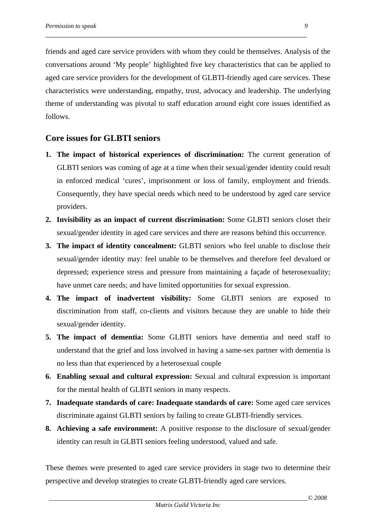friends and aged care service providers with whom they could be themselves. Analysis of the conversations around 'My people' highlighted five key characteristics that can be applied to aged care service providers for the development of GLBTI-friendly aged care services. These characteristics were understanding, empathy, trust, advocacy and leadership. The underlying theme of understanding was pivotal to staff education around eight core issues identified as follows.

\_\_\_\_\_\_\_\_\_\_\_\_\_\_\_\_\_\_\_\_\_\_\_\_\_\_\_\_\_\_\_\_\_\_\_\_\_\_\_\_\_\_\_\_\_\_\_\_\_\_\_\_\_\_\_\_\_\_\_\_\_\_\_\_\_\_\_\_\_

### **Core issues for GLBTI seniors**

- **1. The impact of historical experiences of discrimination:** The current generation of GLBTI seniors was coming of age at a time when their sexual/gender identity could result in enforced medical 'cures', imprisonment or loss of family, employment and friends. Consequently, they have special needs which need to be understood by aged care service providers.
- **2. Invisibility as an impact of current discrimination:** Some GLBTI seniors closet their sexual/gender identity in aged care services and there are reasons behind this occurrence.
- **3. The impact of identity concealment:** GLBTI seniors who feel unable to disclose their sexual/gender identity may: feel unable to be themselves and therefore feel devalued or depressed; experience stress and pressure from maintaining a façade of heterosexuality; have unmet care needs; and have limited opportunities for sexual expression.
- **4. The impact of inadvertent visibility:** Some GLBTI seniors are exposed to discrimination from staff, co-clients and visitors because they are unable to hide their sexual/gender identity.
- **5. The impact of dementia:** Some GLBTI seniors have dementia and need staff to understand that the grief and loss involved in having a same-sex partner with dementia is no less than that experienced by a heterosexual couple
- **6. Enabling sexual and cultural expression:** Sexual and cultural expression is important for the mental health of GLBTI seniors in many respects.
- **7. Inadequate standards of care: Inadequate standards of care:** Some aged care services discriminate against GLBTI seniors by failing to create GLBTI-friendly services.
- **8. Achieving a safe environment:** A positive response to the disclosure of sexual/gender identity can result in GLBTI seniors feeling understood, valued and safe.

These themes were presented to aged care service providers in stage two to determine their perspective and develop strategies to create GLBTI-friendly aged care services.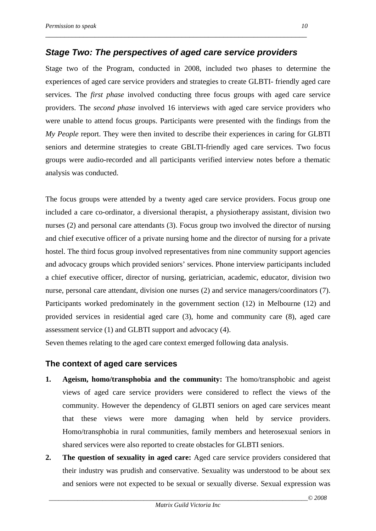\_\_\_\_\_\_\_\_\_\_\_\_\_\_\_\_\_\_\_\_\_\_\_\_\_\_\_\_\_\_\_\_\_\_\_\_\_\_\_\_\_\_\_\_\_\_\_\_\_\_\_\_\_\_\_\_\_\_\_\_\_\_\_\_\_\_\_\_\_

<span id="page-9-0"></span>Stage two of the Program, conducted in 2008, included two phases to determine the experiences of aged care service providers and strategies to create GLBTI- friendly aged care services. The *first phase* involved conducting three focus groups with aged care service providers. The *second phase* involved 16 interviews with aged care service providers who were unable to attend focus groups. Participants were presented with the findings from the *My People* report. They were then invited to describe their experiences in caring for GLBTI seniors and determine strategies to create GBLTI-friendly aged care services. Two focus groups were audio-recorded and all participants verified interview notes before a thematic analysis was conducted.

The focus groups were attended by a twenty aged care service providers. Focus group one included a care co-ordinator, a diversional therapist, a physiotherapy assistant, division two nurses (2) and personal care attendants (3). Focus group two involved the director of nursing and chief executive officer of a private nursing home and the director of nursing for a private hostel. The third focus group involved representatives from nine community support agencies and advocacy groups which provided seniors' services. Phone interview participants included a chief executive officer, director of nursing, geriatrician, academic, educator, division two nurse, personal care attendant, division one nurses (2) and service managers/coordinators (7). Participants worked predominately in the government section (12) in Melbourne (12) and provided services in residential aged care (3), home and community care (8), aged care assessment service (1) and GLBTI support and advocacy (4).

Seven themes relating to the aged care context emerged following data analysis.

### **The context of aged care services**

- **1. Ageism, homo/transphobia and the community:** The homo/transphobic and ageist views of aged care service providers were considered to reflect the views of the community. However the dependency of GLBTI seniors on aged care services meant that these views were more damaging when held by service providers. Homo/transphobia in rural communities, family members and heterosexual seniors in shared services were also reported to create obstacles for GLBTI seniors.
- **2. The question of sexuality in aged care:** Aged care service providers considered that their industry was prudish and conservative. Sexuality was understood to be about sex and seniors were not expected to be sexual or sexually diverse. Sexual expression was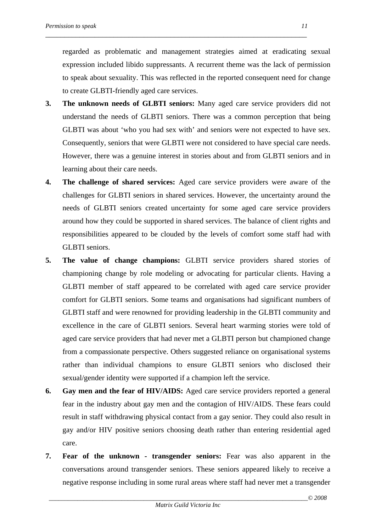regarded as problematic and management strategies aimed at eradicating sexual expression included libido suppressants. A recurrent theme was the lack of permission to speak about sexuality. This was reflected in the reported consequent need for change to create GLBTI-friendly aged care services.

\_\_\_\_\_\_\_\_\_\_\_\_\_\_\_\_\_\_\_\_\_\_\_\_\_\_\_\_\_\_\_\_\_\_\_\_\_\_\_\_\_\_\_\_\_\_\_\_\_\_\_\_\_\_\_\_\_\_\_\_\_\_\_\_\_\_\_\_\_

- **3. The unknown needs of GLBTI seniors:** Many aged care service providers did not understand the needs of GLBTI seniors. There was a common perception that being GLBTI was about 'who you had sex with' and seniors were not expected to have sex. Consequently, seniors that were GLBTI were not considered to have special care needs. However, there was a genuine interest in stories about and from GLBTI seniors and in learning about their care needs.
- **4. The challenge of shared services:** Aged care service providers were aware of the challenges for GLBTI seniors in shared services. However, the uncertainty around the needs of GLBTI seniors created uncertainty for some aged care service providers around how they could be supported in shared services. The balance of client rights and responsibilities appeared to be clouded by the levels of comfort some staff had with GLBTI seniors.
- **5. The value of change champions:** GLBTI service providers shared stories of championing change by role modeling or advocating for particular clients. Having a GLBTI member of staff appeared to be correlated with aged care service provider comfort for GLBTI seniors. Some teams and organisations had significant numbers of GLBTI staff and were renowned for providing leadership in the GLBTI community and excellence in the care of GLBTI seniors. Several heart warming stories were told of aged care service providers that had never met a GLBTI person but championed change from a compassionate perspective. Others suggested reliance on organisational systems rather than individual champions to ensure GLBTI seniors who disclosed their sexual/gender identity were supported if a champion left the service.
- **6. Gay men and the fear of HIV/AIDS:** Aged care service providers reported a general fear in the industry about gay men and the contagion of HIV/AIDS. These fears could result in staff withdrawing physical contact from a gay senior. They could also result in gay and/or HIV positive seniors choosing death rather than entering residential aged care.
- **7. Fear of the unknown transgender seniors:** Fear was also apparent in the conversations around transgender seniors. These seniors appeared likely to receive a negative response including in some rural areas where staff had never met a transgender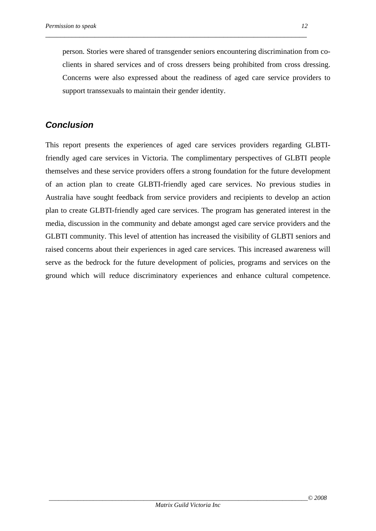person. Stories were shared of transgender seniors encountering discrimination from coclients in shared services and of cross dressers being prohibited from cross dressing. Concerns were also expressed about the readiness of aged care service providers to support transsexuals to maintain their gender identity.

\_\_\_\_\_\_\_\_\_\_\_\_\_\_\_\_\_\_\_\_\_\_\_\_\_\_\_\_\_\_\_\_\_\_\_\_\_\_\_\_\_\_\_\_\_\_\_\_\_\_\_\_\_\_\_\_\_\_\_\_\_\_\_\_\_\_\_\_\_

### <span id="page-11-0"></span>*Conclusion*

This report presents the experiences of aged care services providers regarding GLBTIfriendly aged care services in Victoria. The complimentary perspectives of GLBTI people themselves and these service providers offers a strong foundation for the future development of an action plan to create GLBTI-friendly aged care services. No previous studies in Australia have sought feedback from service providers and recipients to develop an action plan to create GLBTI-friendly aged care services. The program has generated interest in the media, discussion in the community and debate amongst aged care service providers and the GLBTI community. This level of attention has increased the visibility of GLBTI seniors and raised concerns about their experiences in aged care services. This increased awareness will serve as the bedrock for the future development of policies, programs and services on the ground which will reduce discriminatory experiences and enhance cultural competence.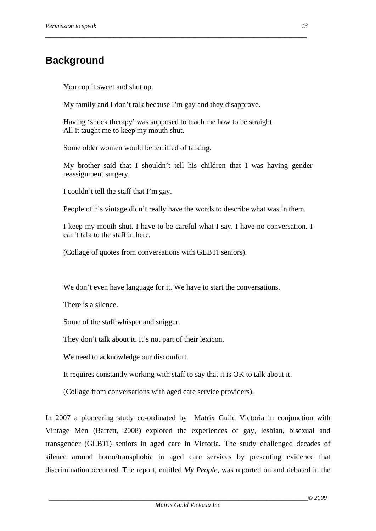# <span id="page-12-0"></span>**Background**

You cop it sweet and shut up.

My family and I don't talk because I'm gay and they disapprove.

Having 'shock therapy' was supposed to teach me how to be straight. All it taught me to keep my mouth shut.

\_\_\_\_\_\_\_\_\_\_\_\_\_\_\_\_\_\_\_\_\_\_\_\_\_\_\_\_\_\_\_\_\_\_\_\_\_\_\_\_\_\_\_\_\_\_\_\_\_\_\_\_\_\_\_\_\_\_\_\_\_\_\_\_\_\_\_\_\_

Some older women would be terrified of talking.

My brother said that I shouldn't tell his children that I was having gender reassignment surgery.

I couldn't tell the staff that I'm gay.

People of his vintage didn't really have the words to describe what was in them.

I keep my mouth shut. I have to be careful what I say. I have no conversation. I can't talk to the staff in here.

(Collage of quotes from conversations with GLBTI seniors).

We don't even have language for it. We have to start the conversations.

There is a silence.

Some of the staff whisper and snigger.

They don't talk about it. It's not part of their lexicon.

We need to acknowledge our discomfort.

It requires constantly working with staff to say that it is OK to talk about it.

(Collage from conversations with aged care service providers).

In 2007 a pioneering study co-ordinated by Matrix Guild Victoria in conjunction with Vintage Men (Barrett, 2008) explored the experiences of gay, lesbian, bisexual and transgender (GLBTI) seniors in aged care in Victoria. The study challenged decades of silence around homo/transphobia in aged care services by presenting evidence that discrimination occurred. The report, entitled *My People*, was reported on and debated in the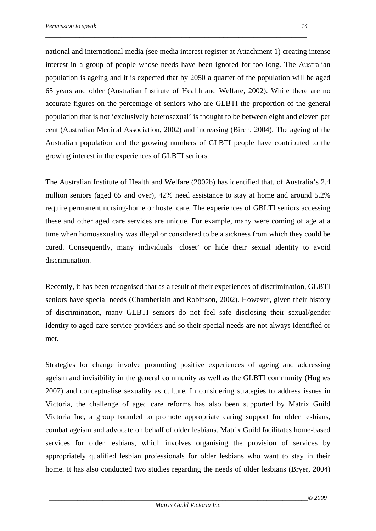national and international media (see media interest register at Attachment 1) creating intense interest in a group of people whose needs have been ignored for too long. The Australian population is ageing and it is expected that by 2050 a quarter of the population will be aged 65 years and older (Australian Institute of Health and Welfare, 2002). While there are no accurate figures on the percentage of seniors who are GLBTI the proportion of the general population that is not 'exclusively heterosexual' is thought to be between eight and eleven per cent (Australian Medical Association, 2002) and increasing (Birch, 2004). The ageing of the Australian population and the growing numbers of GLBTI people have contributed to the growing interest in the experiences of GLBTI seniors.

\_\_\_\_\_\_\_\_\_\_\_\_\_\_\_\_\_\_\_\_\_\_\_\_\_\_\_\_\_\_\_\_\_\_\_\_\_\_\_\_\_\_\_\_\_\_\_\_\_\_\_\_\_\_\_\_\_\_\_\_\_\_\_\_\_\_\_\_\_

The Australian Institute of Health and Welfare (2002b) has identified that, of Australia's 2.4 million seniors (aged 65 and over), 42% need assistance to stay at home and around 5.2% require permanent nursing-home or hostel care. The experiences of GBLTI seniors accessing these and other aged care services are unique. For example, many were coming of age at a time when homosexuality was illegal or considered to be a sickness from which they could be cured. Consequently, many individuals 'closet' or hide their sexual identity to avoid discrimination.

Recently, it has been recognised that as a result of their experiences of discrimination, GLBTI seniors have special needs (Chamberlain and Robinson, 2002). However, given their history of discrimination, many GLBTI seniors do not feel safe disclosing their sexual/gender identity to aged care service providers and so their special needs are not always identified or met.

Strategies for change involve promoting positive experiences of ageing and addressing ageism and invisibility in the general community as well as the GLBTI community (Hughes 2007) and conceptualise sexuality as culture. In considering strategies to address issues in Victoria, the challenge of aged care reforms has also been supported by Matrix Guild Victoria Inc, a group founded to promote appropriate caring support for older lesbians, combat ageism and advocate on behalf of older lesbians. Matrix Guild facilitates home-based services for older lesbians, which involves organising the provision of services by appropriately qualified lesbian professionals for older lesbians who want to stay in their home. It has also conducted two studies regarding the needs of older lesbians (Bryer, 2004)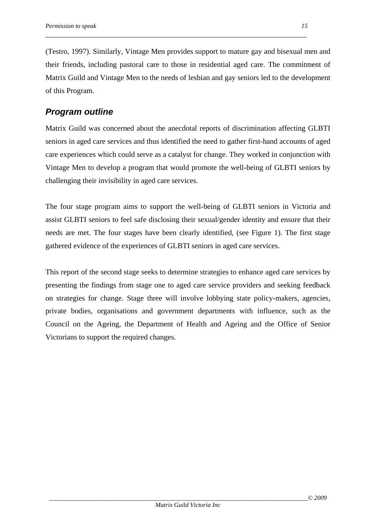(Testro, 1997). Similarly, Vintage Men provides support to mature gay and bisexual men and their friends, including pastoral care to those in residential aged care. The commitment of Matrix Guild and Vintage Men to the needs of lesbian and gay seniors led to the development of this Program.

\_\_\_\_\_\_\_\_\_\_\_\_\_\_\_\_\_\_\_\_\_\_\_\_\_\_\_\_\_\_\_\_\_\_\_\_\_\_\_\_\_\_\_\_\_\_\_\_\_\_\_\_\_\_\_\_\_\_\_\_\_\_\_\_\_\_\_\_\_

# <span id="page-14-0"></span>*Program outline*

Matrix Guild was concerned about the anecdotal reports of discrimination affecting GLBTI seniors in aged care services and thus identified the need to gather first-hand accounts of aged care experiences which could serve as a catalyst for change. They worked in conjunction with Vintage Men to develop a program that would promote the well-being of GLBTI seniors by challenging their invisibility in aged care services.

The four stage program aims to support the well-being of GLBTI seniors in Victoria and assist GLBTI seniors to feel safe disclosing their sexual/gender identity and ensure that their needs are met. The four stages have been clearly identified, (see Figure 1). The first stage gathered evidence of the experiences of GLBTI seniors in aged care services.

This report of the second stage seeks to determine strategies to enhance aged care services by presenting the findings from stage one to aged care service providers and seeking feedback on strategies for change. Stage three will involve lobbying state policy-makers, agencies, private bodies, organisations and government departments with influence, such as the Council on the Ageing, the Department of Health and Ageing and the Office of Senior Victorians to support the required changes.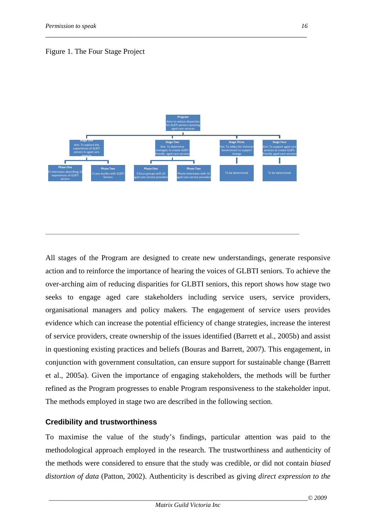### Figure 1. The Four Stage Project



\_\_\_\_\_\_\_\_\_\_\_\_\_\_\_\_\_\_\_\_\_\_\_\_\_\_\_\_\_\_\_\_\_\_\_\_\_\_\_\_\_\_\_\_\_\_\_\_\_\_\_\_\_\_\_\_\_\_\_\_\_\_\_\_\_\_\_\_\_

All stages of the Program are designed to create new understandings, generate responsive action and to reinforce the importance of hearing the voices of GLBTI seniors. To achieve the over-arching aim of reducing disparities for GLBTI seniors, this report shows how stage two seeks to engage aged care stakeholders including service users, service providers, organisational managers and policy makers. The engagement of service users provides evidence which can increase the potential efficiency of change strategies, increase the interest of service providers, create ownership of the issues identified (Barrett et al., 2005b) and assist in questioning existing practices and beliefs (Bouras and Barrett, 2007). This engagement, in conjunction with government consultation, can ensure support for sustainable change (Barrett et al., 2005a). Given the importance of engaging stakeholders, the methods will be further refined as the Program progresses to enable Program responsiveness to the stakeholder input. The methods employed in stage two are described in the following section.

### **Credibility and trustworthiness**

To maximise the value of the study's findings, particular attention was paid to the methodological approach employed in the research. The trustworthiness and authenticity of the methods were considered to ensure that the study was credible, or did not contain *biased distortion of data* (Patton, 2002). Authenticity is described as giving *direct expression to the*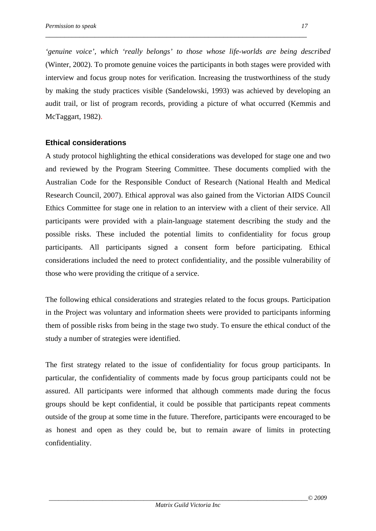*'genuine voice', which 'really belongs' to those whose life-worlds are being described* (Winter, 2002). To promote genuine voices the participants in both stages were provided with interview and focus group notes for verification. Increasing the trustworthiness of the study by making the study practices visible (Sandelowski, 1993) was achieved by developing an audit trail, or list of program records, providing a picture of what occurred (Kemmis and McTaggart, 1982).

\_\_\_\_\_\_\_\_\_\_\_\_\_\_\_\_\_\_\_\_\_\_\_\_\_\_\_\_\_\_\_\_\_\_\_\_\_\_\_\_\_\_\_\_\_\_\_\_\_\_\_\_\_\_\_\_\_\_\_\_\_\_\_\_\_\_\_\_\_

#### **Ethical considerations**

A study protocol highlighting the ethical considerations was developed for stage one and two and reviewed by the Program Steering Committee. These documents complied with the Australian Code for the Responsible Conduct of Research (National Health and Medical Research Council, 2007). Ethical approval was also gained from the Victorian AIDS Council Ethics Committee for stage one in relation to an interview with a client of their service. All participants were provided with a plain-language statement describing the study and the possible risks. These included the potential limits to confidentiality for focus group participants. All participants signed a consent form before participating. Ethical considerations included the need to protect confidentiality, and the possible vulnerability of those who were providing the critique of a service.

The following ethical considerations and strategies related to the focus groups. Participation in the Project was voluntary and information sheets were provided to participants informing them of possible risks from being in the stage two study. To ensure the ethical conduct of the study a number of strategies were identified.

The first strategy related to the issue of confidentiality for focus group participants. In particular, the confidentiality of comments made by focus group participants could not be assured. All participants were informed that although comments made during the focus groups should be kept confidential, it could be possible that participants repeat comments outside of the group at some time in the future. Therefore, participants were encouraged to be as honest and open as they could be, but to remain aware of limits in protecting confidentiality.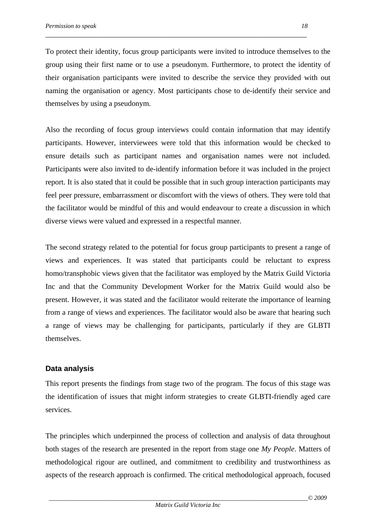To protect their identity, focus group participants were invited to introduce themselves to the group using their first name or to use a pseudonym. Furthermore, to protect the identity of their organisation participants were invited to describe the service they provided with out naming the organisation or agency. Most participants chose to de-identify their service and themselves by using a pseudonym.

\_\_\_\_\_\_\_\_\_\_\_\_\_\_\_\_\_\_\_\_\_\_\_\_\_\_\_\_\_\_\_\_\_\_\_\_\_\_\_\_\_\_\_\_\_\_\_\_\_\_\_\_\_\_\_\_\_\_\_\_\_\_\_\_\_\_\_\_\_

Also the recording of focus group interviews could contain information that may identify participants. However, interviewees were told that this information would be checked to ensure details such as participant names and organisation names were not included. Participants were also invited to de-identify information before it was included in the project report. It is also stated that it could be possible that in such group interaction participants may feel peer pressure, embarrassment or discomfort with the views of others. They were told that the facilitator would be mindful of this and would endeavour to create a discussion in which diverse views were valued and expressed in a respectful manner.

The second strategy related to the potential for focus group participants to present a range of views and experiences. It was stated that participants could be reluctant to express homo/transphobic views given that the facilitator was employed by the Matrix Guild Victoria Inc and that the Community Development Worker for the Matrix Guild would also be present. However, it was stated and the facilitator would reiterate the importance of learning from a range of views and experiences. The facilitator would also be aware that hearing such a range of views may be challenging for participants, particularly if they are GLBTI themselves.

### **Data analysis**

This report presents the findings from stage two of the program. The focus of this stage was the identification of issues that might inform strategies to create GLBTI-friendly aged care services.

The principles which underpinned the process of collection and analysis of data throughout both stages of the research are presented in the report from stage one *My People*. Matters of methodological rigour are outlined, and commitment to credibility and trustworthiness as aspects of the research approach is confirmed. The critical methodological approach, focused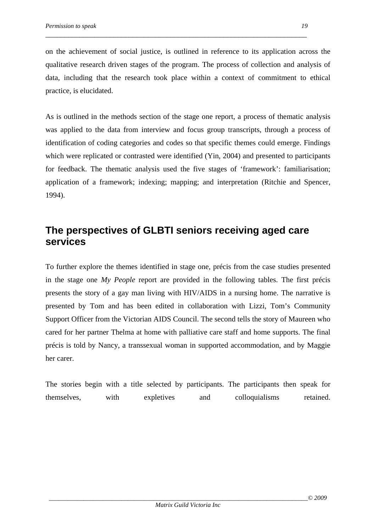on the achievement of social justice, is outlined in reference to its application across the qualitative research driven stages of the program. The process of collection and analysis of data, including that the research took place within a context of commitment to ethical practice, is elucidated.

\_\_\_\_\_\_\_\_\_\_\_\_\_\_\_\_\_\_\_\_\_\_\_\_\_\_\_\_\_\_\_\_\_\_\_\_\_\_\_\_\_\_\_\_\_\_\_\_\_\_\_\_\_\_\_\_\_\_\_\_\_\_\_\_\_\_\_\_\_

As is outlined in the methods section of the stage one report, a process of thematic analysis was applied to the data from interview and focus group transcripts, through a process of identification of coding categories and codes so that specific themes could emerge. Findings which were replicated or contrasted were identified (Yin, 2004) and presented to participants for feedback. The thematic analysis used the five stages of 'framework': familiarisation; application of a framework; indexing; mapping; and interpretation (Ritchie and Spencer, 1994).

# <span id="page-18-0"></span>**The perspectives of GLBTI seniors receiving aged care services**

To further explore the themes identified in stage one, précis from the case studies presented in the stage one *My People* report are provided in the following tables. The first précis presents the story of a gay man living with HIV/AIDS in a nursing home. The narrative is presented by Tom and has been edited in collaboration with Lizzi, Tom's Community Support Officer from the Victorian AIDS Council. The second tells the story of Maureen who cared for her partner Thelma at home with palliative care staff and home supports. The final précis is told by Nancy, a transsexual woman in supported accommodation, and by Maggie her carer.

The stories begin with a title selected by participants. The participants then speak for themselves, with expletives and colloquialisms retained.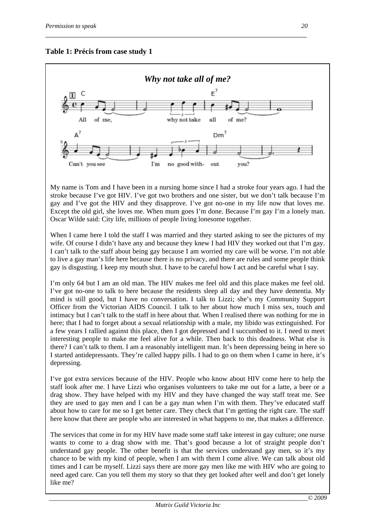### <span id="page-19-0"></span>**Table 1: Précis from case study 1**



\_\_\_\_\_\_\_\_\_\_\_\_\_\_\_\_\_\_\_\_\_\_\_\_\_\_\_\_\_\_\_\_\_\_\_\_\_\_\_\_\_\_\_\_\_\_\_\_\_\_\_\_\_\_\_\_\_\_\_\_\_\_\_\_\_\_\_\_\_

My name is Tom and I have been in a nursing home since I had a stroke four years ago. I had the stroke because I've got HIV. I've got two brothers and one sister, but we don't talk because I'm gay and I've got the HIV and they disapprove. I've got no-one in my life now that loves me. Except the old girl, she loves me. When mum goes I'm done. Because I'm gay I'm a lonely man. Oscar Wilde said: City life, millions of people living lonesome together.

When I came here I told the staff I was married and they started asking to see the pictures of my wife. Of course I didn't have any and because they knew I had HIV they worked out that I'm gay. I can't talk to the staff about being gay because I am worried my care will be worse. I'm not able to live a gay man's life here because there is no privacy, and there are rules and some people think gay is disgusting. I keep my mouth shut. I have to be careful how I act and be careful what I say.

I'm only 64 but I am an old man. The HIV makes me feel old and this place makes me feel old. I've got no-one to talk to here because the residents sleep all day and they have dementia. My mind is still good, but I have no conversation. I talk to Lizzi; she's my Community Support Officer from the Victorian AIDS Council. I talk to her about how much I miss sex, touch and intimacy but I can't talk to the staff in here about that. When I realised there was nothing for me in here; that I had to forget about a sexual relationship with a male, my libido was extinguished. For a few years I rallied against this place, then I got depressed and I succumbed to it. I need to meet interesting people to make me feel alive for a while. Then back to this deadness. What else is there? I can't talk to them. I am a reasonably intelligent man. It's been depressing being in here so I started antidepressants. They're called happy pills. I had to go on them when I came in here, it's depressing.

I've got extra services because of the HIV. People who know about HIV come here to help the staff look after me. I have Lizzi who organises volunteers to take me out for a latte, a beer or a drag show. They have helped with my HIV and they have changed the way staff treat me. See they are used to gay men and I can be a gay man when I'm with them. They've educated staff about how to care for me so I get better care. They check that I'm getting the right care. The staff here know that there are people who are interested in what happens to me, that makes a difference.

The services that come in for my HIV have made some staff take interest in gay culture; one nurse wants to come to a drag show with me. That's good because a lot of straight people don't understand gay people. The other benefit is that the services understand gay men, so it's my chance to be with my kind of people, when I am with them I come alive. We can talk about old times and I can be myself. Lizzi says there are more gay men like me with HIV who are going to need aged care. Can you tell them my story so that they get looked after well and don't get lonely like me?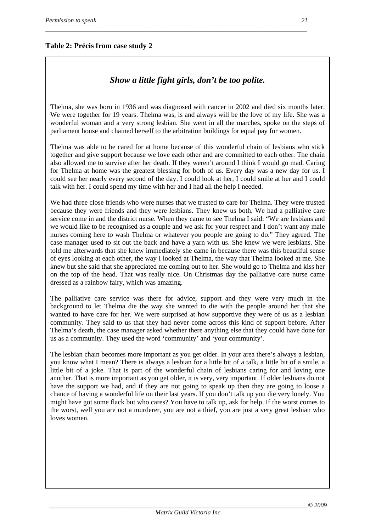# *Show a little fight girls, don't be too polite.*

<span id="page-20-0"></span>\_\_\_\_\_\_\_\_\_\_\_\_\_\_\_\_\_\_\_\_\_\_\_\_\_\_\_\_\_\_\_\_\_\_\_\_\_\_\_\_\_\_\_\_\_\_\_\_\_\_\_\_\_\_\_\_\_\_\_\_\_\_\_\_\_\_\_\_\_

Thelma, she was born in 1936 and was diagnosed with cancer in 2002 and died six months later. We were together for 19 years. Thelma was, is and always will be the love of my life. She was a wonderful woman and a very strong lesbian. She went in all the marches, spoke on the steps of parliament house and chained herself to the arbitration buildings for equal pay for women.

Thelma was able to be cared for at home because of this wonderful chain of lesbians who stick together and give support because we love each other and are committed to each other. The chain also allowed me to survive after her death. If they weren't around I think I would go mad. Caring for Thelma at home was the greatest blessing for both of us. Every day was a new day for us. I could see her nearly every second of the day. I could look at her, I could smile at her and I could talk with her. I could spend my time with her and I had all the help I needed.

We had three close friends who were nurses that we trusted to care for Thelma. They were trusted because they were friends and they were lesbians. They knew us both. We had a palliative care service come in and the district nurse. When they came to see Thelma I said: "We are lesbians and we would like to be recognised as a couple and we ask for your respect and I don't want any male nurses coming here to wash Thelma or whatever you people are going to do." They agreed. The case manager used to sit out the back and have a yarn with us. She knew we were lesbians. She told me afterwards that she knew immediately she came in because there was this beautiful sense of eyes looking at each other, the way I looked at Thelma, the way that Thelma looked at me. She knew but she said that she appreciated me coming out to her. She would go to Thelma and kiss her on the top of the head. That was really nice. On Christmas day the palliative care nurse came dressed as a rainbow fairy, which was amazing.

The palliative care service was there for advice, support and they were very much in the background to let Thelma die the way she wanted to die with the people around her that she wanted to have care for her. We were surprised at how supportive they were of us as a lesbian community. They said to us that they had never come across this kind of support before. After Thelma's death, the case manager asked whether there anything else that they could have done for us as a community. They used the word 'community' and 'your community'.

The lesbian chain becomes more important as you get older. In your area there's always a lesbian, you know what I mean? There is always a lesbian for a little bit of a talk, a little bit of a smile, a little bit of a joke. That is part of the wonderful chain of lesbians caring for and loving one another. That is more important as you get older, it is very, very important. If older lesbians do not have the support we had, and if they are not going to speak up then they are going to loose a chance of having a wonderful life on their last years. If you don't talk up you die very lonely. You might have got some flack but who cares? You have to talk up, ask for help. If the worst comes to the worst, well you are not a murderer, you are not a thief, you are just a very great lesbian who loves women.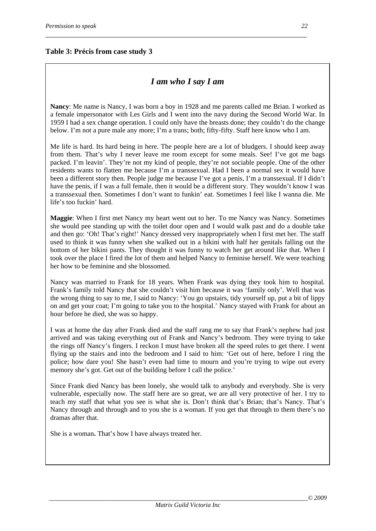### <span id="page-21-0"></span>**Table 3: Précis from case study 3**

### *I am who I say I am*

**Nancy**: Me name is Nancy, I was born a boy in 1928 and me parents called me Brian. I worked as a female impersonator with Les Girls and I went into the navy during the Second World War. In 1959 I had a sex change operation. I could only have the breasts done; they couldn't do the change below. I'm not a pure male any more; I'm a trans; both; fifty-fifty. Staff here know who I am.

Me life is hard. Its hard being in here. The people here are a lot of bludgers. I should keep away from them. That's why I never leave me room except for some meals. See! I've got me bags packed. I'm leavin'. They're not my kind of people, they're not sociable people. One of the other residents wants to flatten me because I'm a transsexual. Had I been a normal sex it would have been a different story then. People judge me because I've got a penis, I'm a transsexual. If I didn't have the penis, if I was a full female, then it would be a different story. They wouldn't know I was a transsexual then. Sometimes I don't want to funkin' eat. Sometimes I feel like I wanna die. Me life's too fuckin' hard.

**Maggie**: When I first met Nancy my heart went out to her. To me Nancy was Nancy. Sometimes she would pee standing up with the toilet door open and I would walk past and do a double take and then go: 'Oh! That's right!' Nancy dressed very inappropriately when I first met her. The staff used to think it was funny when she walked out in a bikini with half her genitals falling out the bottom of her bikini pants. They thought it was funny to watch her get around like that. When I took over the place I fired the lot of them and helped Nancy to feminise herself. We were teaching her how to be feminine and she blossomed.

Nancy was married to Frank for 18 years. When Frank was dying they took him to hospital. Frank's family told Nancy that she couldn't visit him because it was 'family only'. Well that was the wrong thing to say to me, I said to Nancy: 'You go upstairs, tidy yourself up, put a bit of lippy on and get your coat; I'm going to take you to the hospital.' Nancy stayed with Frank for about an hour before he died, she was so happy.

I was at home the day after Frank died and the staff rang me to say that Frank's nephew had just arrived and was taking everything out of Frank and Nancy's bedroom. They were trying to take the rings off Nancy's fingers. I reckon I must have broken all the speed rules to get there. I went flying up the stairs and into the bedroom and I said to him: 'Get out of here, before I ring the police; how dare you! She hasn't even had time to mourn and you're trying to wipe out every memory she's got. Get out of the building before I call the police.'

Since Frank died Nancy has been lonely, she would talk to anybody and everybody. She is very vulnerable, especially now. The staff here are so great, we are all very protective of her. I try to teach my staff that what you see is what she is. Don't think that's Brian; that's Nancy. That's Nancy through and through and to you she is a woman. If you get that through to them there's no dramas after that.

She is a woman**.** That's how I have always treated her.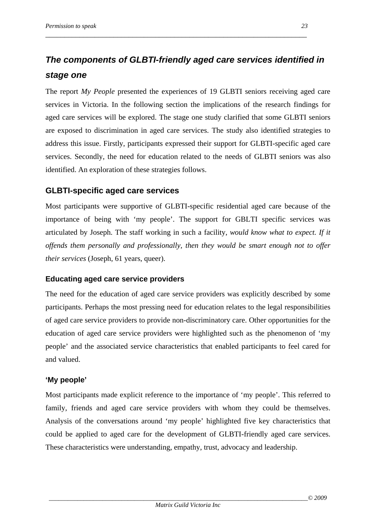# <span id="page-22-0"></span>*The components of GLBTI-friendly aged care services identified in stage one*

\_\_\_\_\_\_\_\_\_\_\_\_\_\_\_\_\_\_\_\_\_\_\_\_\_\_\_\_\_\_\_\_\_\_\_\_\_\_\_\_\_\_\_\_\_\_\_\_\_\_\_\_\_\_\_\_\_\_\_\_\_\_\_\_\_\_\_\_\_

The report *My People* presented the experiences of 19 GLBTI seniors receiving aged care services in Victoria. In the following section the implications of the research findings for aged care services will be explored. The stage one study clarified that some GLBTI seniors are exposed to discrimination in aged care services. The study also identified strategies to address this issue. Firstly, participants expressed their support for GLBTI-specific aged care services. Secondly, the need for education related to the needs of GLBTI seniors was also identified. An exploration of these strategies follows.

### **GLBTI-specific aged care services**

Most participants were supportive of GLBTI-specific residential aged care because of the importance of being with 'my people'. The support for GBLTI specific services was articulated by Joseph. The staff working in such a facility, *would know what to expect. If it offends them personally and professionally, then they would be smart enough not to offer their services* (Joseph, 61 years, queer).

### **Educating aged care service providers**

The need for the education of aged care service providers was explicitly described by some participants. Perhaps the most pressing need for education relates to the legal responsibilities of aged care service providers to provide non-discriminatory care. Other opportunities for the education of aged care service providers were highlighted such as the phenomenon of 'my people' and the associated service characteristics that enabled participants to feel cared for and valued.

#### **'My people'**

Most participants made explicit reference to the importance of 'my people'. This referred to family, friends and aged care service providers with whom they could be themselves. Analysis of the conversations around 'my people' highlighted five key characteristics that could be applied to aged care for the development of GLBTI-friendly aged care services. These characteristics were understanding, empathy, trust, advocacy and leadership.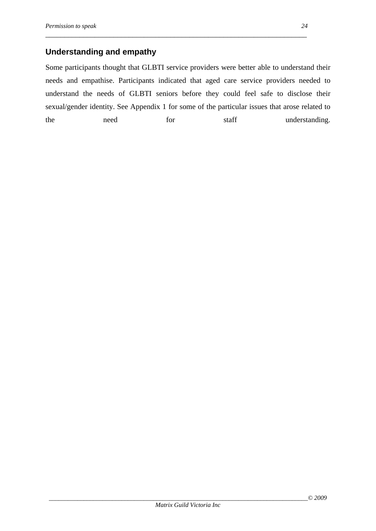### **Understanding and empathy**

Some participants thought that GLBTI service providers were better able to understand their needs and empathise. Participants indicated that aged care service providers needed to understand the needs of GLBTI seniors before they could feel safe to disclose their sexual/gender identity. See Appendix 1 for some of the particular issues that arose related to the need for staff understanding.

\_\_\_\_\_\_\_\_\_\_\_\_\_\_\_\_\_\_\_\_\_\_\_\_\_\_\_\_\_\_\_\_\_\_\_\_\_\_\_\_\_\_\_\_\_\_\_\_\_\_\_\_\_\_\_\_\_\_\_\_\_\_\_\_\_\_\_\_\_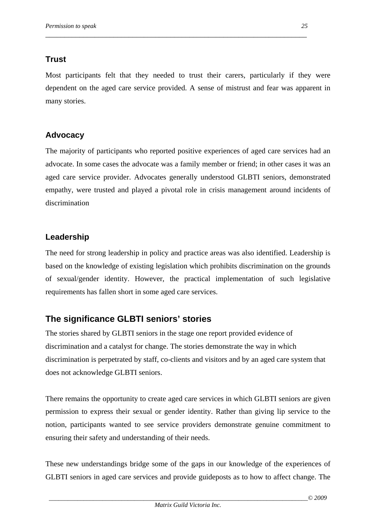### **Trust**

Most participants felt that they needed to trust their carers, particularly if they were dependent on the aged care service provided. A sense of mistrust and fear was apparent in many stories.

\_\_\_\_\_\_\_\_\_\_\_\_\_\_\_\_\_\_\_\_\_\_\_\_\_\_\_\_\_\_\_\_\_\_\_\_\_\_\_\_\_\_\_\_\_\_\_\_\_\_\_\_\_\_\_\_\_\_\_\_\_\_\_\_\_\_\_\_\_

### **Advocacy**

The majority of participants who reported positive experiences of aged care services had an advocate. In some cases the advocate was a family member or friend; in other cases it was an aged care service provider. Advocates generally understood GLBTI seniors, demonstrated empathy, were trusted and played a pivotal role in crisis management around incidents of discrimination

### **Leadership**

The need for strong leadership in policy and practice areas was also identified. Leadership is based on the knowledge of existing legislation which prohibits discrimination on the grounds of sexual/gender identity. However, the practical implementation of such legislative requirements has fallen short in some aged care services.

### **The significance GLBTI seniors' stories**

The stories shared by GLBTI seniors in the stage one report provided evidence of discrimination and a catalyst for change. The stories demonstrate the way in which discrimination is perpetrated by staff, co-clients and visitors and by an aged care system that does not acknowledge GLBTI seniors.

There remains the opportunity to create aged care services in which GLBTI seniors are given permission to express their sexual or gender identity. Rather than giving lip service to the notion, participants wanted to see service providers demonstrate genuine commitment to ensuring their safety and understanding of their needs.

These new understandings bridge some of the gaps in our knowledge of the experiences of GLBTI seniors in aged care services and provide guideposts as to how to affect change. The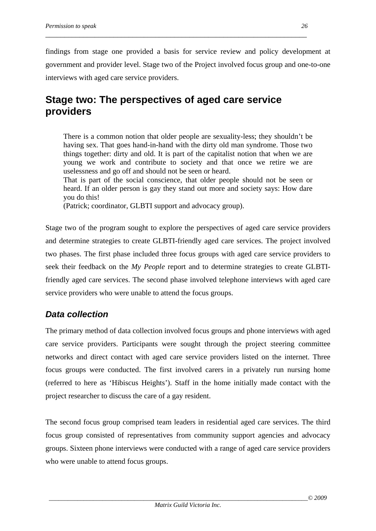findings from stage one provided a basis for service review and policy development at government and provider level. Stage two of the Project involved focus group and one-to-one interviews with aged care service providers.

\_\_\_\_\_\_\_\_\_\_\_\_\_\_\_\_\_\_\_\_\_\_\_\_\_\_\_\_\_\_\_\_\_\_\_\_\_\_\_\_\_\_\_\_\_\_\_\_\_\_\_\_\_\_\_\_\_\_\_\_\_\_\_\_\_\_\_\_\_

# <span id="page-25-0"></span>**Stage two: The perspectives of aged care service providers**

There is a common notion that older people are sexuality-less; they shouldn't be having sex. That goes hand-in-hand with the dirty old man syndrome. Those two things together: dirty and old. It is part of the capitalist notion that when we are young we work and contribute to society and that once we retire we are uselessness and go off and should not be seen or heard.

That is part of the social conscience, that older people should not be seen or heard. If an older person is gay they stand out more and society says: How dare you do this!

(Patrick; coordinator, GLBTI support and advocacy group).

Stage two of the program sought to explore the perspectives of aged care service providers and determine strategies to create GLBTI-friendly aged care services. The project involved two phases. The first phase included three focus groups with aged care service providers to seek their feedback on the *My People* report and to determine strategies to create GLBTIfriendly aged care services. The second phase involved telephone interviews with aged care service providers who were unable to attend the focus groups.

### <span id="page-25-1"></span>*Data collection*

The primary method of data collection involved focus groups and phone interviews with aged care service providers. Participants were sought through the project steering committee networks and direct contact with aged care service providers listed on the internet. Three focus groups were conducted. The first involved carers in a privately run nursing home (referred to here as 'Hibiscus Heights'). Staff in the home initially made contact with the project researcher to discuss the care of a gay resident.

The second focus group comprised team leaders in residential aged care services. The third focus group consisted of representatives from community support agencies and advocacy groups. Sixteen phone interviews were conducted with a range of aged care service providers who were unable to attend focus groups.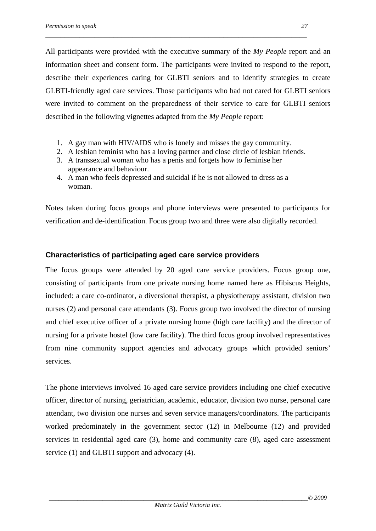described in the following vignettes adapted from the *My People* report:

1. A gay man with HIV/AIDS who is lonely and misses the gay community.

\_\_\_\_\_\_\_\_\_\_\_\_\_\_\_\_\_\_\_\_\_\_\_\_\_\_\_\_\_\_\_\_\_\_\_\_\_\_\_\_\_\_\_\_\_\_\_\_\_\_\_\_\_\_\_\_\_\_\_\_\_\_\_\_\_\_\_\_\_

- 2. A lesbian feminist who has a loving partner and close circle of lesbian friends.
- 3. A transsexual woman who has a penis and forgets how to feminise her appearance and behaviour.
- 4. A man who feels depressed and suicidal if he is not allowed to dress as a woman.

Notes taken during focus groups and phone interviews were presented to participants for verification and de-identification. Focus group two and three were also digitally recorded.

#### **Characteristics of participating aged care service providers**

The focus groups were attended by 20 aged care service providers. Focus group one, consisting of participants from one private nursing home named here as Hibiscus Heights, included: a care co-ordinator, a diversional therapist, a physiotherapy assistant, division two nurses (2) and personal care attendants (3). Focus group two involved the director of nursing and chief executive officer of a private nursing home (high care facility) and the director of nursing for a private hostel (low care facility). The third focus group involved representatives from nine community support agencies and advocacy groups which provided seniors' services.

The phone interviews involved 16 aged care service providers including one chief executive officer, director of nursing, geriatrician, academic, educator, division two nurse, personal care attendant, two division one nurses and seven service managers/coordinators. The participants worked predominately in the government sector (12) in Melbourne (12) and provided services in residential aged care (3), home and community care (8), aged care assessment service (1) and GLBTI support and advocacy (4).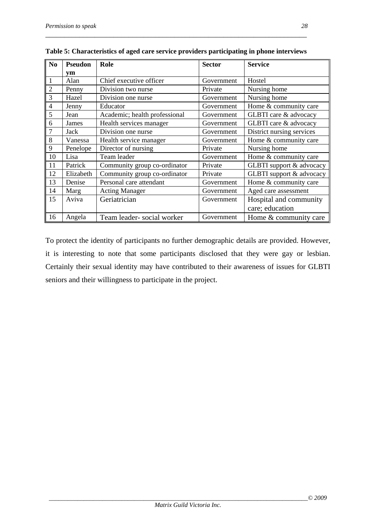| N <sub>0</sub> | <b>Pseudon</b> | Role                          | <b>Sector</b> | <b>Service</b>            |
|----------------|----------------|-------------------------------|---------------|---------------------------|
|                | ym             |                               |               |                           |
| $\mathbf{1}$   | Alan           | Chief executive officer       | Government    | Hostel                    |
| $\overline{2}$ | Penny          | Division two nurse            | Private       | Nursing home              |
| 3              | Hazel          | Division one nurse            | Government    | Nursing home              |
| 4              | Jenny          | Educator                      | Government    | Home & community care     |
| 5              | Jean           | Academic; health professional | Government    | GLBTI care & advocacy     |
| 6              | James          | Health services manager       | Government    | GLBTI care & advocacy     |
| 7              | Jack           | Division one nurse            | Government    | District nursing services |
| 8              | Vanessa        | Health service manager        | Government    | Home & community care     |
| 9              | Penelope       | Director of nursing           | Private       | Nursing home              |
| 10             | Lisa           | Team leader                   | Government    | Home & community care     |
| 11             | Patrick        | Community group co-ordinator  | Private       | GLBTI support & advocacy  |
| 12             | Elizabeth      | Community group co-ordinator  | Private       | GLBTI support & advocacy  |
| 13             | Denise         | Personal care attendant       | Government    | Home & community care     |
| 14             | Marg           | <b>Acting Manager</b>         | Government    | Aged care assessment      |
| 15             | Aviva          | Geriatrician                  | Government    | Hospital and community    |
|                |                |                               |               | care; education           |
| 16             | Angela         | Team leader-social worker     | Government    | Home & community care     |

**Table 5: Characteristics of aged care service providers participating in phone interviews** 

\_\_\_\_\_\_\_\_\_\_\_\_\_\_\_\_\_\_\_\_\_\_\_\_\_\_\_\_\_\_\_\_\_\_\_\_\_\_\_\_\_\_\_\_\_\_\_\_\_\_\_\_\_\_\_\_\_\_\_\_\_\_\_\_\_\_\_\_\_

To protect the identity of participants no further demographic details are provided. However, it is interesting to note that some participants disclosed that they were gay or lesbian. Certainly their sexual identity may have contributed to their awareness of issues for GLBTI seniors and their willingness to participate in the project.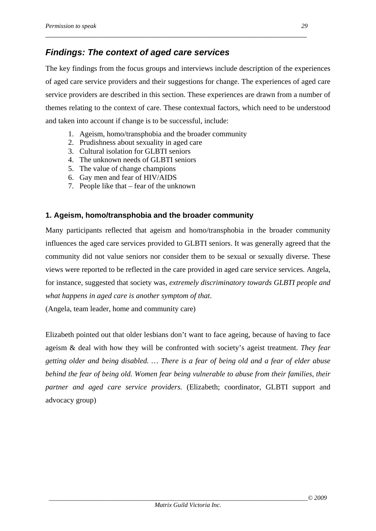# <span id="page-28-0"></span>*Findings: The context of aged care services*

The key findings from the focus groups and interviews include description of the experiences of aged care service providers and their suggestions for change. The experiences of aged care service providers are described in this section. These experiences are drawn from a number of themes relating to the context of care. These contextual factors, which need to be understood and taken into account if change is to be successful, include:

\_\_\_\_\_\_\_\_\_\_\_\_\_\_\_\_\_\_\_\_\_\_\_\_\_\_\_\_\_\_\_\_\_\_\_\_\_\_\_\_\_\_\_\_\_\_\_\_\_\_\_\_\_\_\_\_\_\_\_\_\_\_\_\_\_\_\_\_\_

- 1. Ageism, homo/transphobia and the broader community
- 2. Prudishness about sexuality in aged care
- 3. Cultural isolation for GLBTI seniors
- 4. The unknown needs of GLBTI seniors
- 5. The value of change champions
- 6. Gay men and fear of HIV/AIDS
- 7. People like that fear of the unknown

### **1. Ageism, homo/transphobia and the broader community**

Many participants reflected that ageism and homo/transphobia in the broader community influences the aged care services provided to GLBTI seniors. It was generally agreed that the community did not value seniors nor consider them to be sexual or sexually diverse. These views were reported to be reflected in the care provided in aged care service services. Angela, for instance, suggested that society was, *extremely discriminatory towards GLBTI people and what happens in aged care is another symptom of that*.

(Angela, team leader, home and community care)

Elizabeth pointed out that older lesbians don't want to face ageing, because of having to face ageism & deal with how they will be confronted with society's ageist treatment. *They fear getting older and being disabled. … There is a fear of being old and a fear of elder abuse behind the fear of being old. Women fear being vulnerable to abuse from their families, their partner and aged care service providers.* (Elizabeth; coordinator, GLBTI support and advocacy group)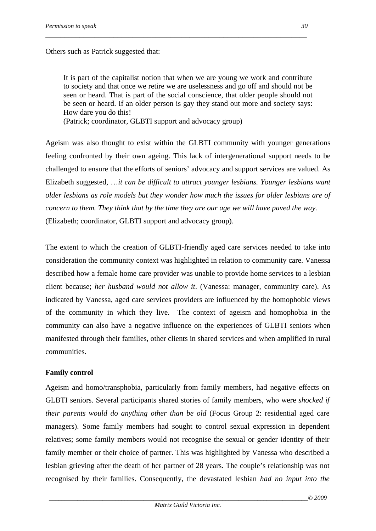Others such as Patrick suggested that:

It is part of the capitalist notion that when we are young we work and contribute to society and that once we retire we are uselessness and go off and should not be seen or heard. That is part of the social conscience, that older people should not be seen or heard. If an older person is gay they stand out more and society says: How dare you do this!

(Patrick; coordinator, GLBTI support and advocacy group)

Ageism was also thought to exist within the GLBTI community with younger generations feeling confronted by their own ageing. This lack of intergenerational support needs to be challenged to ensure that the efforts of seniors' advocacy and support services are valued. As Elizabeth suggested, …*it can be difficult to attract younger lesbians. Younger lesbians want older lesbians as role models but they wonder how much the issues for older lesbians are of concern to them. They think that by the time they are our age we will have paved the way.*  (Elizabeth; coordinator, GLBTI support and advocacy group).

The extent to which the creation of GLBTI-friendly aged care services needed to take into consideration the community context was highlighted in relation to community care. Vanessa described how a female home care provider was unable to provide home services to a lesbian client because; *her husband would not allow it*. (Vanessa: manager, community care). As indicated by Vanessa, aged care services providers are influenced by the homophobic views of the community in which they live. The context of ageism and homophobia in the community can also have a negative influence on the experiences of GLBTI seniors when manifested through their families, other clients in shared services and when amplified in rural communities.

#### **Family control**

Ageism and homo/transphobia, particularly from family members, had negative effects on GLBTI seniors. Several participants shared stories of family members, who were *shocked if their parents would do anything other than be old* (Focus Group 2: residential aged care managers). Some family members had sought to control sexual expression in dependent relatives; some family members would not recognise the sexual or gender identity of their family member or their choice of partner. This was highlighted by Vanessa who described a lesbian grieving after the death of her partner of 28 years. The couple's relationship was not recognised by their families. Consequently, the devastated lesbian *had no input into the*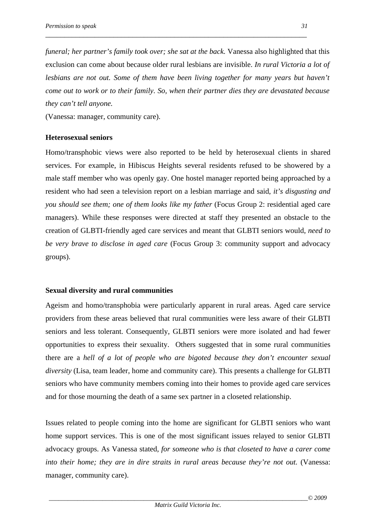*funeral; her partner's family took over; she sat at the back.* Vanessa also highlighted that this exclusion can come about because older rural lesbians are invisible. *In rural Victoria a lot of lesbians are not out. Some of them have been living together for many years but haven't come out to work or to their family. So, when their partner dies they are devastated because they can't tell anyone.*

\_\_\_\_\_\_\_\_\_\_\_\_\_\_\_\_\_\_\_\_\_\_\_\_\_\_\_\_\_\_\_\_\_\_\_\_\_\_\_\_\_\_\_\_\_\_\_\_\_\_\_\_\_\_\_\_\_\_\_\_\_\_\_\_\_\_\_\_\_

(Vanessa: manager, community care).

#### **Heterosexual seniors**

Homo/transphobic views were also reported to be held by heterosexual clients in shared services. For example, in Hibiscus Heights several residents refused to be showered by a male staff member who was openly gay. One hostel manager reported being approached by a resident who had seen a television report on a lesbian marriage and said, *it's disgusting and you should see them; one of them looks like my father* (Focus Group 2: residential aged care managers). While these responses were directed at staff they presented an obstacle to the creation of GLBTI-friendly aged care services and meant that GLBTI seniors would, *need to be very brave to disclose in aged care* (Focus Group 3: community support and advocacy groups).

#### **Sexual diversity and rural communities**

Ageism and homo/transphobia were particularly apparent in rural areas. Aged care service providers from these areas believed that rural communities were less aware of their GLBTI seniors and less tolerant. Consequently, GLBTI seniors were more isolated and had fewer opportunities to express their sexuality. Others suggested that in some rural communities there are a *hell of a lot of people who are bigoted because they don't encounter sexual diversity* (Lisa, team leader, home and community care). This presents a challenge for GLBTI seniors who have community members coming into their homes to provide aged care services and for those mourning the death of a same sex partner in a closeted relationship.

Issues related to people coming into the home are significant for GLBTI seniors who want home support services. This is one of the most significant issues relayed to senior GLBTI advocacy groups. As Vanessa stated, *for someone who is that closeted to have a carer come into their home; they are in dire straits in rural areas because they're not out.* (Vanessa: manager, community care).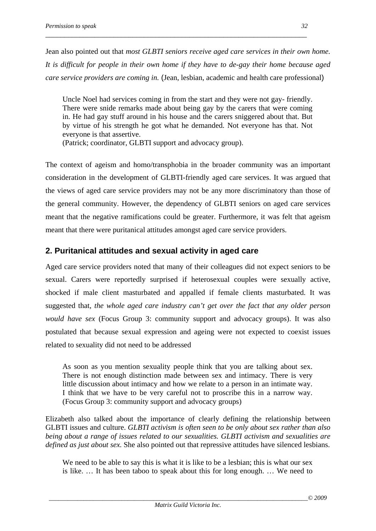Jean also pointed out that *most GLBTI seniors receive aged care services in their own home. It is difficult for people in their own home if they have to de-gay their home because aged care service providers are coming in.* (Jean, lesbian, academic and health care professional)

\_\_\_\_\_\_\_\_\_\_\_\_\_\_\_\_\_\_\_\_\_\_\_\_\_\_\_\_\_\_\_\_\_\_\_\_\_\_\_\_\_\_\_\_\_\_\_\_\_\_\_\_\_\_\_\_\_\_\_\_\_\_\_\_\_\_\_\_\_

Uncle Noel had services coming in from the start and they were not gay- friendly. There were snide remarks made about being gay by the carers that were coming in. He had gay stuff around in his house and the carers sniggered about that. But by virtue of his strength he got what he demanded. Not everyone has that. Not everyone is that assertive.

(Patrick; coordinator, GLBTI support and advocacy group).

The context of ageism and homo/transphobia in the broader community was an important consideration in the development of GLBTI-friendly aged care services. It was argued that the views of aged care service providers may not be any more discriminatory than those of the general community. However, the dependency of GLBTI seniors on aged care services meant that the negative ramifications could be greater. Furthermore, it was felt that ageism meant that there were puritanical attitudes amongst aged care service providers.

### **2. Puritanical attitudes and sexual activity in aged care**

Aged care service providers noted that many of their colleagues did not expect seniors to be sexual. Carers were reportedly surprised if heterosexual couples were sexually active, shocked if male client masturbated and appalled if female clients masturbated. It was suggested that, *the whole aged care industry can't get over the fact that any older person would have sex* (Focus Group 3: community support and advocacy groups). It was also postulated that because sexual expression and ageing were not expected to coexist issues related to sexuality did not need to be addressed

As soon as you mention sexuality people think that you are talking about sex. There is not enough distinction made between sex and intimacy. There is very little discussion about intimacy and how we relate to a person in an intimate way. I think that we have to be very careful not to proscribe this in a narrow way. (Focus Group 3: community support and advocacy groups)

Elizabeth also talked about the importance of clearly defining the relationship between GLBTI issues and culture. *GLBTI activism is often seen to be only about sex rather than also being about a range of issues related to our sexualities. GLBTI activism and sexualities are defined as just about sex.* She also pointed out that repressive attitudes have silenced lesbians.

We need to be able to say this is what it is like to be a lesbian; this is what our sex is like. … It has been taboo to speak about this for long enough. … We need to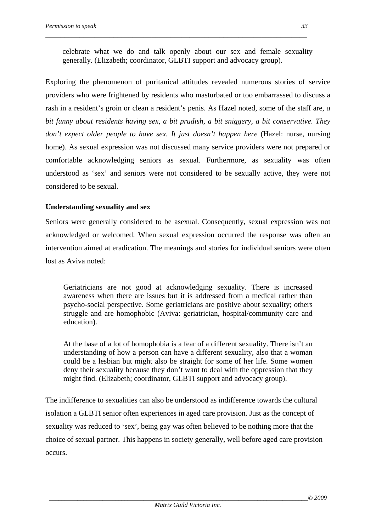\_\_\_\_\_\_\_\_\_\_\_\_\_\_\_\_\_\_\_\_\_\_\_\_\_\_\_\_\_\_\_\_\_\_\_\_\_\_\_\_\_\_\_\_\_\_\_\_\_\_\_\_\_\_\_\_\_\_\_\_\_\_\_\_\_\_\_\_\_

Exploring the phenomenon of puritanical attitudes revealed numerous stories of service providers who were frightened by residents who masturbated or too embarrassed to discuss a rash in a resident's groin or clean a resident's penis. As Hazel noted, some of the staff are, *a bit funny about residents having sex, a bit prudish, a bit sniggery, a bit conservative. They don't expect older people to have sex. It just doesn't happen here* (Hazel: nurse, nursing home). As sexual expression was not discussed many service providers were not prepared or comfortable acknowledging seniors as sexual. Furthermore, as sexuality was often understood as 'sex' and seniors were not considered to be sexually active, they were not considered to be sexual.

### **Understanding sexuality and sex**

Seniors were generally considered to be asexual. Consequently, sexual expression was not acknowledged or welcomed. When sexual expression occurred the response was often an intervention aimed at eradication. The meanings and stories for individual seniors were often lost as Aviva noted:

Geriatricians are not good at acknowledging sexuality. There is increased awareness when there are issues but it is addressed from a medical rather than psycho-social perspective. Some geriatricians are positive about sexuality; others struggle and are homophobic (Aviva: geriatrician, hospital/community care and education).

At the base of a lot of homophobia is a fear of a different sexuality. There isn't an understanding of how a person can have a different sexuality, also that a woman could be a lesbian but might also be straight for some of her life. Some women deny their sexuality because they don't want to deal with the oppression that they might find. (Elizabeth; coordinator, GLBTI support and advocacy group).

The indifference to sexualities can also be understood as indifference towards the cultural isolation a GLBTI senior often experiences in aged care provision. Just as the concept of sexuality was reduced to 'sex', being gay was often believed to be nothing more that the choice of sexual partner. This happens in society generally, well before aged care provision occurs.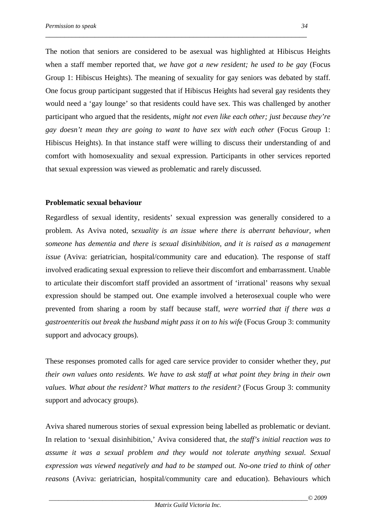The notion that seniors are considered to be asexual was highlighted at Hibiscus Heights when a staff member reported that, *we have got a new resident; he used to be gay* (Focus Group 1: Hibiscus Heights). The meaning of sexuality for gay seniors was debated by staff. One focus group participant suggested that if Hibiscus Heights had several gay residents they would need a 'gay lounge' so that residents could have sex. This was challenged by another participant who argued that the residents, *might not even like each other; just because they're gay doesn't mean they are going to want to have sex with each other* (Focus Group 1: Hibiscus Heights). In that instance staff were willing to discuss their understanding of and comfort with homosexuality and sexual expression. Participants in other services reported that sexual expression was viewed as problematic and rarely discussed.

\_\_\_\_\_\_\_\_\_\_\_\_\_\_\_\_\_\_\_\_\_\_\_\_\_\_\_\_\_\_\_\_\_\_\_\_\_\_\_\_\_\_\_\_\_\_\_\_\_\_\_\_\_\_\_\_\_\_\_\_\_\_\_\_\_\_\_\_\_

### **Problematic sexual behaviour**

Regardless of sexual identity, residents' sexual expression was generally considered to a problem. As Aviva noted, s*exuality is an issue where there is aberrant behaviour, when someone has dementia and there is sexual disinhibition, and it is raised as a management issue* (Aviva: geriatrician, hospital/community care and education). The response of staff involved eradicating sexual expression to relieve their discomfort and embarrassment. Unable to articulate their discomfort staff provided an assortment of 'irrational' reasons why sexual expression should be stamped out. One example involved a heterosexual couple who were prevented from sharing a room by staff because staff, *were worried that if there was a gastroenteritis out break the husband might pass it on to his wif*e (Focus Group 3: community support and advocacy groups).

These responses promoted calls for aged care service provider to consider whether they, *put their own values onto residents. We have to ask staff at what point they bring in their own values. What about the resident? What matters to the resident?* (Focus Group 3: community support and advocacy groups).

Aviva shared numerous stories of sexual expression being labelled as problematic or deviant. In relation to 'sexual disinhibition,' Aviva considered that, *the staff's initial reaction was to assume it was a sexual problem and they would not tolerate anything sexual. Sexual expression was viewed negatively and had to be stamped out. No-one tried to think of other reasons* (Aviva: geriatrician, hospital/community care and education). Behaviours which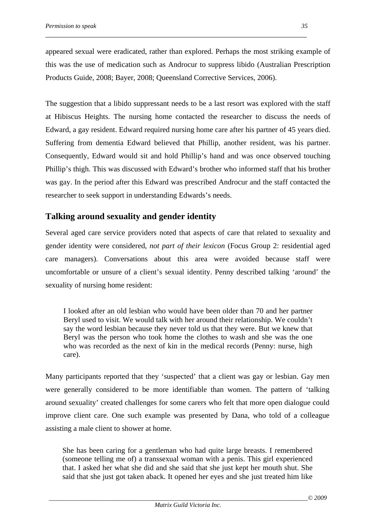appeared sexual were eradicated, rather than explored. Perhaps the most striking example of this was the use of medication such as Androcur to suppress libido (Australian Prescription Products Guide, 2008; Bayer, 2008; Queensland Corrective Services, 2006).

\_\_\_\_\_\_\_\_\_\_\_\_\_\_\_\_\_\_\_\_\_\_\_\_\_\_\_\_\_\_\_\_\_\_\_\_\_\_\_\_\_\_\_\_\_\_\_\_\_\_\_\_\_\_\_\_\_\_\_\_\_\_\_\_\_\_\_\_\_

The suggestion that a libido suppressant needs to be a last resort was explored with the staff at Hibiscus Heights. The nursing home contacted the researcher to discuss the needs of Edward, a gay resident. Edward required nursing home care after his partner of 45 years died. Suffering from dementia Edward believed that Phillip, another resident, was his partner. Consequently, Edward would sit and hold Phillip's hand and was once observed touching Phillip's thigh. This was discussed with Edward's brother who informed staff that his brother was gay. In the period after this Edward was prescribed Androcur and the staff contacted the researcher to seek support in understanding Edwards's needs.

# **Talking around sexuality and gender identity**

Several aged care service providers noted that aspects of care that related to sexuality and gender identity were considered, *not part of their lexicon* (Focus Group 2: residential aged care managers). Conversations about this area were avoided because staff were uncomfortable or unsure of a client's sexual identity. Penny described talking 'around' the sexuality of nursing home resident:

I looked after an old lesbian who would have been older than 70 and her partner Beryl used to visit. We would talk with her around their relationship. We couldn't say the word lesbian because they never told us that they were. But we knew that Beryl was the person who took home the clothes to wash and she was the one who was recorded as the next of kin in the medical records (Penny: nurse, high care).

Many participants reported that they 'suspected' that a client was gay or lesbian. Gay men were generally considered to be more identifiable than women. The pattern of 'talking around sexuality' created challenges for some carers who felt that more open dialogue could improve client care. One such example was presented by Dana, who told of a colleague assisting a male client to shower at home.

She has been caring for a gentleman who had quite large breasts. I remembered (someone telling me of) a transsexual woman with a penis. This girl experienced that. I asked her what she did and she said that she just kept her mouth shut. She said that she just got taken aback. It opened her eyes and she just treated him like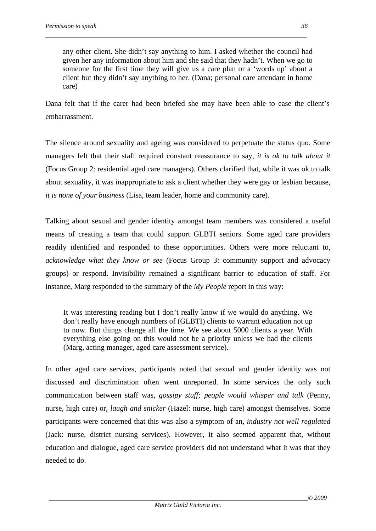any other client. She didn't say anything to him. I asked whether the council had given her any information about him and she said that they hadn't. When we go to someone for the first time they will give us a care plan or a 'words up' about a client but they didn't say anything to her. (Dana; personal care attendant in home care)

\_\_\_\_\_\_\_\_\_\_\_\_\_\_\_\_\_\_\_\_\_\_\_\_\_\_\_\_\_\_\_\_\_\_\_\_\_\_\_\_\_\_\_\_\_\_\_\_\_\_\_\_\_\_\_\_\_\_\_\_\_\_\_\_\_\_\_\_\_

Dana felt that if the carer had been briefed she may have been able to ease the client's embarrassment.

The silence around sexuality and ageing was considered to perpetuate the status quo. Some managers felt that their staff required constant reassurance to say, *it is ok to talk about it* (Focus Group 2: residential aged care managers). Others clarified that, while it was ok to talk about sexuality, it was inappropriate to ask a client whether they were gay or lesbian because, *it is none of your business* (Lisa, team leader, home and community care).

Talking about sexual and gender identity amongst team members was considered a useful means of creating a team that could support GLBTI seniors. Some aged care providers readily identified and responded to these opportunities. Others were more reluctant to, *acknowledge what they know or see* (Focus Group 3: community support and advocacy groups) or respond. Invisibility remained a significant barrier to education of staff. For instance, Marg responded to the summary of the *My People* report in this way:

It was interesting reading but I don't really know if we would do anything. We don't really have enough numbers of (GLBTI) clients to warrant education not up to now. But things change all the time. We see about 5000 clients a year. With everything else going on this would not be a priority unless we had the clients (Marg, acting manager, aged care assessment service).

In other aged care services, participants noted that sexual and gender identity was not discussed and discrimination often went unreported. In some services the only such communication between staff was, *gossipy stuff; people would whisper and talk* (Penny, nurse, high care) or, *laugh and snicker* (Hazel: nurse, high care) amongst themselves. Some participants were concerned that this was also a symptom of an, *industry not well regulated* (Jack: nurse, district nursing services). However, it also seemed apparent that, without education and dialogue, aged care service providers did not understand what it was that they needed to do.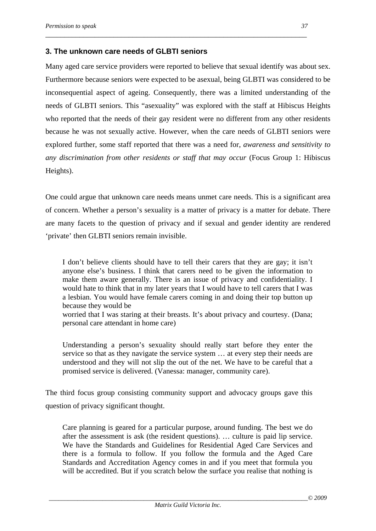Many aged care service providers were reported to believe that sexual identify was about sex. Furthermore because seniors were expected to be asexual, being GLBTI was considered to be inconsequential aspect of ageing. Consequently, there was a limited understanding of the needs of GLBTI seniors. This "asexuality" was explored with the staff at Hibiscus Heights who reported that the needs of their gay resident were no different from any other residents because he was not sexually active. However, when the care needs of GLBTI seniors were explored further, some staff reported that there was a need for, *awareness and sensitivity to any discrimination from other residents or staff that may occur* (Focus Group 1: Hibiscus Heights).

\_\_\_\_\_\_\_\_\_\_\_\_\_\_\_\_\_\_\_\_\_\_\_\_\_\_\_\_\_\_\_\_\_\_\_\_\_\_\_\_\_\_\_\_\_\_\_\_\_\_\_\_\_\_\_\_\_\_\_\_\_\_\_\_\_\_\_\_\_

One could argue that unknown care needs means unmet care needs. This is a significant area of concern. Whether a person's sexuality is a matter of privacy is a matter for debate. There are many facets to the question of privacy and if sexual and gender identity are rendered 'private' then GLBTI seniors remain invisible.

I don't believe clients should have to tell their carers that they are gay; it isn't anyone else's business. I think that carers need to be given the information to make them aware generally. There is an issue of privacy and confidentiality. I would hate to think that in my later years that I would have to tell carers that I was a lesbian. You would have female carers coming in and doing their top button up because they would be worried that I was staring at their breasts. It's about privacy and courtesy. (Dana; personal care attendant in home care)

Understanding a person's sexuality should really start before they enter the service so that as they navigate the service system … at every step their needs are understood and they will not slip the out of the net. We have to be careful that a promised service is delivered. (Vanessa: manager, community care).

The third focus group consisting community support and advocacy groups gave this question of privacy significant thought.

Care planning is geared for a particular purpose, around funding. The best we do after the assessment is ask (the resident questions). … culture is paid lip service. We have the Standards and Guidelines for Residential Aged Care Services and there is a formula to follow. If you follow the formula and the Aged Care Standards and Accreditation Agency comes in and if you meet that formula you will be accredited. But if you scratch below the surface you realise that nothing is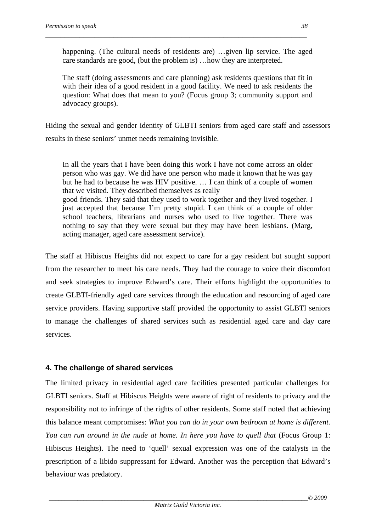happening. (The cultural needs of residents are) ...given lip service. The aged care standards are good, (but the problem is) …how they are interpreted.

\_\_\_\_\_\_\_\_\_\_\_\_\_\_\_\_\_\_\_\_\_\_\_\_\_\_\_\_\_\_\_\_\_\_\_\_\_\_\_\_\_\_\_\_\_\_\_\_\_\_\_\_\_\_\_\_\_\_\_\_\_\_\_\_\_\_\_\_\_

The staff (doing assessments and care planning) ask residents questions that fit in with their idea of a good resident in a good facility. We need to ask residents the question: What does that mean to you? (Focus group 3; community support and advocacy groups).

Hiding the sexual and gender identity of GLBTI seniors from aged care staff and assessors results in these seniors' unmet needs remaining invisible.

In all the years that I have been doing this work I have not come across an older person who was gay. We did have one person who made it known that he was gay but he had to because he was HIV positive. … I can think of a couple of women that we visited. They described themselves as really good friends. They said that they used to work together and they lived together. I just accepted that because I'm pretty stupid. I can think of a couple of older school teachers, librarians and nurses who used to live together. There was nothing to say that they were sexual but they may have been lesbians. (Marg, acting manager, aged care assessment service).

The staff at Hibiscus Heights did not expect to care for a gay resident but sought support from the researcher to meet his care needs. They had the courage to voice their discomfort and seek strategies to improve Edward's care. Their efforts highlight the opportunities to create GLBTI-friendly aged care services through the education and resourcing of aged care service providers. Having supportive staff provided the opportunity to assist GLBTI seniors to manage the challenges of shared services such as residential aged care and day care services.

### **4. The challenge of shared services**

The limited privacy in residential aged care facilities presented particular challenges for GLBTI seniors. Staff at Hibiscus Heights were aware of right of residents to privacy and the responsibility not to infringe of the rights of other residents. Some staff noted that achieving this balance meant compromises: *What you can do in your own bedroom at home is different. You can run around in the nude at home. In here you have to quell that* (Focus Group 1: Hibiscus Heights). The need to 'quell' sexual expression was one of the catalysts in the prescription of a libido suppressant for Edward. Another was the perception that Edward's behaviour was predatory.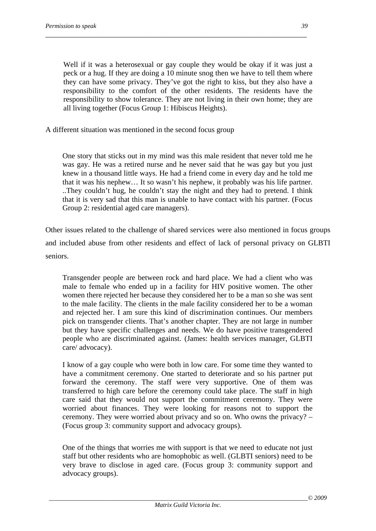Well if it was a heterosexual or gay couple they would be okay if it was just a peck or a hug. If they are doing a 10 minute snog then we have to tell them where they can have some privacy. They've got the right to kiss, but they also have a responsibility to the comfort of the other residents. The residents have the responsibility to show tolerance. They are not living in their own home; they are all living together (Focus Group 1: Hibiscus Heights).

A different situation was mentioned in the second focus group

One story that sticks out in my mind was this male resident that never told me he was gay. He was a retired nurse and he never said that he was gay but you just knew in a thousand little ways. He had a friend come in every day and he told me that it was his nephew… It so wasn't his nephew, it probably was his life partner. ..They couldn't hug, he couldn't stay the night and they had to pretend. I think that it is very sad that this man is unable to have contact with his partner. (Focus Group 2: residential aged care managers).

Other issues related to the challenge of shared services were also mentioned in focus groups and included abuse from other residents and effect of lack of personal privacy on GLBTI seniors.

Transgender people are between rock and hard place. We had a client who was male to female who ended up in a facility for HIV positive women. The other women there rejected her because they considered her to be a man so she was sent to the male facility. The clients in the male facility considered her to be a woman and rejected her. I am sure this kind of discrimination continues. Our members pick on transgender clients. That's another chapter. They are not large in number but they have specific challenges and needs. We do have positive transgendered people who are discriminated against. (James: health services manager, GLBTI care/ advocacy).

I know of a gay couple who were both in low care. For some time they wanted to have a commitment ceremony. One started to deteriorate and so his partner put forward the ceremony. The staff were very supportive. One of them was transferred to high care before the ceremony could take place. The staff in high care said that they would not support the commitment ceremony. They were worried about finances. They were looking for reasons not to support the ceremony. They were worried about privacy and so on. Who owns the privacy? – (Focus group 3: community support and advocacy groups).

One of the things that worries me with support is that we need to educate not just staff but other residents who are homophobic as well. (GLBTI seniors) need to be very brave to disclose in aged care. (Focus group 3: community support and advocacy groups).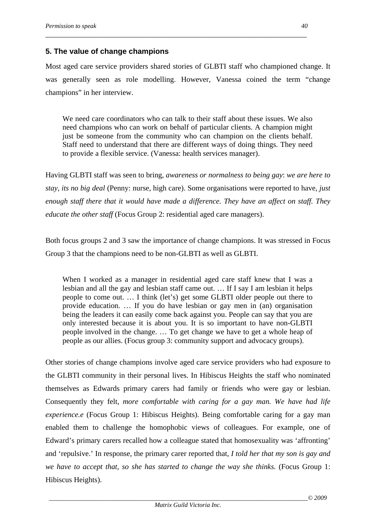### **5. The value of change champions**

Most aged care service providers shared stories of GLBTI staff who championed change. It was generally seen as role modelling. However, Vanessa coined the term "change champions" in her interview.

\_\_\_\_\_\_\_\_\_\_\_\_\_\_\_\_\_\_\_\_\_\_\_\_\_\_\_\_\_\_\_\_\_\_\_\_\_\_\_\_\_\_\_\_\_\_\_\_\_\_\_\_\_\_\_\_\_\_\_\_\_\_\_\_\_\_\_\_\_

We need care coordinators who can talk to their staff about these issues. We also need champions who can work on behalf of particular clients. A champion might just be someone from the community who can champion on the clients behalf. Staff need to understand that there are different ways of doing things. They need to provide a flexible service. (Vanessa: health services manager).

Having GLBTI staff was seen to bring, *awareness or normalness to being gay*: *we are here to stay, its no big deal* (Penny: nurse, high care). Some organisations were reported to have, *just enough staff there that it would have made a difference. They have an affect on staff. They educate the other staff* (Focus Group 2: residential aged care managers).

Both focus groups 2 and 3 saw the importance of change champions. It was stressed in Focus Group 3 that the champions need to be non-GLBTI as well as GLBTI.

When I worked as a manager in residential aged care staff knew that I was a lesbian and all the gay and lesbian staff came out. … If I say I am lesbian it helps people to come out. … I think (let's) get some GLBTI older people out there to provide education. … If you do have lesbian or gay men in (an) organisation being the leaders it can easily come back against you. People can say that you are only interested because it is about you. It is so important to have non-GLBTI people involved in the change. … To get change we have to get a whole heap of people as our allies. (Focus group 3: community support and advocacy groups).

Other stories of change champions involve aged care service providers who had exposure to the GLBTI community in their personal lives. In Hibiscus Heights the staff who nominated themselves as Edwards primary carers had family or friends who were gay or lesbian. Consequently they felt, *more comfortable with caring for a gay man. We have had life experience.e* (Focus Group 1: Hibiscus Heights). Being comfortable caring for a gay man enabled them to challenge the homophobic views of colleagues. For example, one of Edward's primary carers recalled how a colleague stated that homosexuality was 'affronting' and 'repulsive.' In response, the primary carer reported that, *I told her that my son is gay and we have to accept that, so she has started to change the way she thinks.* (Focus Group 1: Hibiscus Heights).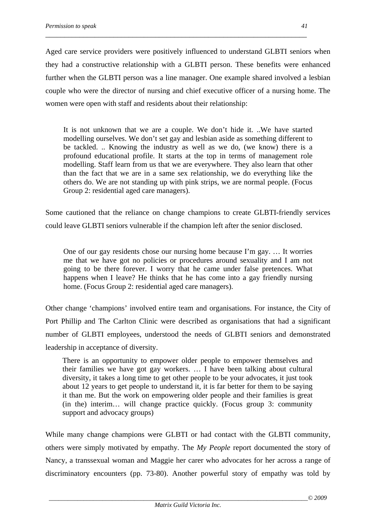Aged care service providers were positively influenced to understand GLBTI seniors when they had a constructive relationship with a GLBTI person. These benefits were enhanced further when the GLBTI person was a line manager. One example shared involved a lesbian couple who were the director of nursing and chief executive officer of a nursing home. The women were open with staff and residents about their relationship:

\_\_\_\_\_\_\_\_\_\_\_\_\_\_\_\_\_\_\_\_\_\_\_\_\_\_\_\_\_\_\_\_\_\_\_\_\_\_\_\_\_\_\_\_\_\_\_\_\_\_\_\_\_\_\_\_\_\_\_\_\_\_\_\_\_\_\_\_\_

It is not unknown that we are a couple. We don't hide it. ..We have started modelling ourselves. We don't set gay and lesbian aside as something different to be tackled. .. Knowing the industry as well as we do, (we know) there is a profound educational profile. It starts at the top in terms of management role modelling. Staff learn from us that we are everywhere. They also learn that other than the fact that we are in a same sex relationship, we do everything like the others do. We are not standing up with pink strips, we are normal people. (Focus Group 2: residential aged care managers).

Some cautioned that the reliance on change champions to create GLBTI-friendly services could leave GLBTI seniors vulnerable if the champion left after the senior disclosed.

One of our gay residents chose our nursing home because I'm gay. … It worries me that we have got no policies or procedures around sexuality and I am not going to be there forever. I worry that he came under false pretences. What happens when I leave? He thinks that he has come into a gay friendly nursing home. (Focus Group 2: residential aged care managers).

Other change 'champions' involved entire team and organisations. For instance, the City of Port Phillip and The Carlton Clinic were described as organisations that had a significant number of GLBTI employees, understood the needs of GLBTI seniors and demonstrated leadership in acceptance of diversity.

There is an opportunity to empower older people to empower themselves and their families we have got gay workers. … I have been talking about cultural diversity, it takes a long time to get other people to be your advocates, it just took about 12 years to get people to understand it, it is far better for them to be saying it than me. But the work on empowering older people and their families is great (in the) interim… will change practice quickly. (Focus group 3: community support and advocacy groups)

While many change champions were GLBTI or had contact with the GLBTI community, others were simply motivated by empathy. The *My People* report documented the story of Nancy, a transsexual woman and Maggie her carer who advocates for her across a range of discriminatory encounters (pp. 73-80). Another powerful story of empathy was told by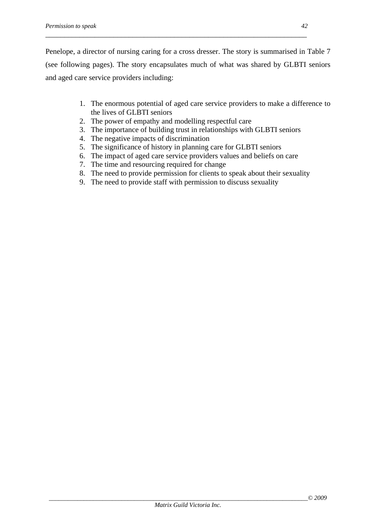Penelope, a director of nursing caring for a cross dresser. The story is summarised in Table 7 (see following pages). The story encapsulates much of what was shared by GLBTI seniors and aged care service providers including:

\_\_\_\_\_\_\_\_\_\_\_\_\_\_\_\_\_\_\_\_\_\_\_\_\_\_\_\_\_\_\_\_\_\_\_\_\_\_\_\_\_\_\_\_\_\_\_\_\_\_\_\_\_\_\_\_\_\_\_\_\_\_\_\_\_\_\_\_\_

- 1. The enormous potential of aged care service providers to make a difference to the lives of GLBTI seniors
- 2. The power of empathy and modelling respectful care
- 3. The importance of building trust in relationships with GLBTI seniors
- 4. The negative impacts of discrimination
- 5. The significance of history in planning care for GLBTI seniors
- 6. The impact of aged care service providers values and beliefs on care
- 7. The time and resourcing required for change
- 8. The need to provide permission for clients to speak about their sexuality
- 9. The need to provide staff with permission to discuss sexuality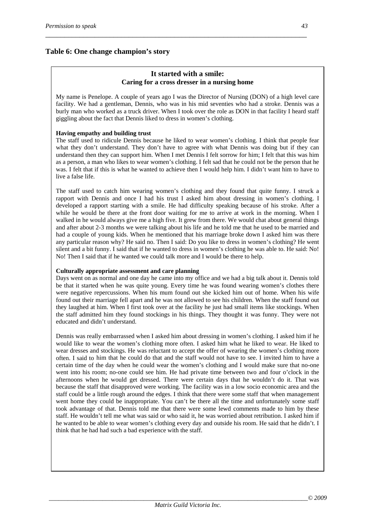### **It started with a smile: Caring for a cross dresser in a nursing home**

\_\_\_\_\_\_\_\_\_\_\_\_\_\_\_\_\_\_\_\_\_\_\_\_\_\_\_\_\_\_\_\_\_\_\_\_\_\_\_\_\_\_\_\_\_\_\_\_\_\_\_\_\_\_\_\_\_\_\_\_\_\_\_\_\_\_\_\_\_

My name is Penelope. A couple of years ago I was the Director of Nursing (DON) of a high level care facility. We had a gentleman, Dennis, who was in his mid seventies who had a stroke. Dennis was a burly man who worked as a truck driver. When I took over the role as DON in that facility I heard staff giggling about the fact that Dennis liked to dress in women's clothing.

### **Having empathy and building trust**

The staff used to ridicule Dennis because he liked to wear women's clothing. I think that people fear what they don't understand. They don't have to agree with what Dennis was doing but if they can understand then they can support him. When I met Dennis I felt sorrow for him; I felt that this was him as a person, a man who likes to wear women's clothing. I felt sad that he could not be the person that he was. I felt that if this is what he wanted to achieve then I would help him. I didn't want him to have to live a false life.

The staff used to catch him wearing women's clothing and they found that quite funny. I struck a rapport with Dennis and once I had his trust I asked him about dressing in women's clothing. I developed a rapport starting with a smile. He had difficulty speaking because of his stroke. After a while he would be there at the front door waiting for me to arrive at work in the morning. When I walked in he would always give me a high five. It grew from there. We would chat about general things and after about 2-3 months we were talking about his life and he told me that he used to be married and had a couple of young kids. When he mentioned that his marriage broke down I asked him was there any particular reason why? He said no. Then I said: Do you like to dress in women's clothing? He went silent and a bit funny. I said that if he wanted to dress in women's clothing he was able to. He said: No! No! Then I said that if he wanted we could talk more and I would be there to help.

### **Culturally appropriate assessment and care planning**

Days went on as normal and one day he came into my office and we had a big talk about it. Dennis told be that it started when he was quite young. Every time he was found wearing women's clothes there were negative repercussions. When his mum found out she kicked him out of home. When his wife found out their marriage fell apart and he was not allowed to see his children. When the staff found out they laughed at him. When I first took over at the facility he just had small items like stockings. When the staff admitted him they found stockings in his things. They thought it was funny. They were not educated and didn't understand.

Dennis was really embarrassed when I asked him about dressing in women's clothing. I asked him if he would like to wear the women's clothing more often. I asked him what he liked to wear. He liked to wear dresses and stockings. He was reluctant to accept the offer of wearing the women's clothing more often. I said to him that he could do that and the staff would not have to see. I invited him to have a certain time of the day when he could wear the women's clothing and I would make sure that no-one went into his room; no-one could see him. He had private time between two and four o'clock in the afternoons when he would get dressed. There were certain days that he wouldn't do it. That was because the staff that disapproved were working. The facility was in a low socio economic area and the staff could be a little rough around the edges. I think that there were some staff that when management went home they could be inappropriate. You can't be there all the time and unfortunately some staff took advantage of that. Dennis told me that there were some lewd comments made to him by these staff. He wouldn't tell me what was said or who said it, he was worried about retribution. I asked him if he wanted to be able to wear women's clothing every day and outside his room. He said that he didn't. I think that he had had such a bad experience with the staff.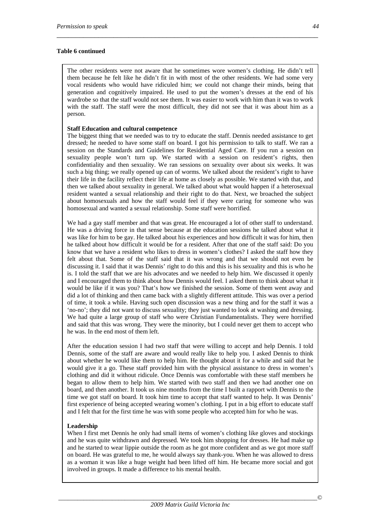#### **Table 6 continued**

The other residents were not aware that he sometimes wore women's clothing. He didn't tell them because he felt like he didn't fit in with most of the other residents. We had some very vocal residents who would have ridiculed him; we could not change their minds, being that generation and cognitively impaired. He used to put the women's dresses at the end of his wardrobe so that the staff would not see them. It was easier to work with him than it was to work with the staff. The staff were the most difficult, they did not see that it was about him as a person.

\_\_\_\_\_\_\_\_\_\_\_\_\_\_\_\_\_\_\_\_\_\_\_\_\_\_\_\_\_\_\_\_\_\_\_\_\_\_\_\_\_\_\_\_\_\_\_\_\_\_\_\_\_\_\_\_\_\_\_\_\_\_\_\_\_\_\_\_\_

#### **Staff Education and cultural competence**

The biggest thing that we needed was to try to educate the staff. Dennis needed assistance to get dressed; he needed to have some staff on board. I got his permission to talk to staff. We ran a session on the Standards and Guidelines for Residential Aged Care. If you run a session on sexuality people won't turn up. We started with a session on resident's rights, then confidentiality and then sexuality. We ran sessions on sexuality over about six weeks. It was such a big thing; we really opened up can of worms. We talked about the resident's right to have their life in the facility reflect their life at home as closely as possible. We started with that, and then we talked about sexuality in general. We talked about what would happen if a heterosexual resident wanted a sexual relationship and their right to do that. Next, we broached the subject about homosexuals and how the staff would feel if they were caring for someone who was homosexual and wanted a sexual relationship. Some staff were horrified.

We had a gay staff member and that was great. He encouraged a lot of other staff to understand. He was a driving force in that sense because at the education sessions he talked about what it was like for him to be gay. He talked about his experiences and how difficult it was for him, then he talked about how difficult it would be for a resident. After that one of the staff said: Do you know that we have a resident who likes to dress in women's clothes? I asked the staff how they felt about that. Some of the staff said that it was wrong and that we should not even be discussing it. I said that it was Dennis' right to do this and this is his sexuality and this is who he is. I told the staff that we are his advocates and we needed to help him. We discussed it openly and I encouraged them to think about how Dennis would feel. I asked them to think about what it would be like if it was you? That's how we finished the session. Some of them went away and did a lot of thinking and then came back with a slightly different attitude. This was over a period of time, it took a while. Having such open discussion was a new thing and for the staff it was a 'no-no'; they did not want to discuss sexuality; they just wanted to look at washing and dressing. We had quite a large group of staff who were Christian Fundamentalists. They were horrified and said that this was wrong. They were the minority, but I could never get them to accept who he was. In the end most of them left.

After the education session I had two staff that were willing to accept and help Dennis. I told Dennis, some of the staff are aware and would really like to help you. I asked Dennis to think about whether he would like them to help him. He thought about it for a while and said that he would give it a go. These staff provided him with the physical assistance to dress in women's clothing and did it without ridicule. Once Dennis was comfortable with these staff members he began to allow them to help him. We started with two staff and then we had another one on board, and then another. It took us nine months from the time I built a rapport with Dennis to the time we got staff on board. It took him time to accept that staff wanted to help. It was Dennis' first experience of being accepted wearing women's clothing. I put in a big effort to educate staff and I felt that for the first time he was with some people who accepted him for who he was.

#### **Leadership**

When I first met Dennis he only had small items of women's clothing like gloves and stockings and he was quite withdrawn and depressed. We took him shopping for dresses. He had make up and he started to wear lippie outside the room as he got more confident and as we got more staff on board. He was grateful to me, he would always say thank-you. When he was allowed to dress as a woman it was like a huge weight had been lifted off him. He became more social and got involved in groups. It made a difference to his mental health.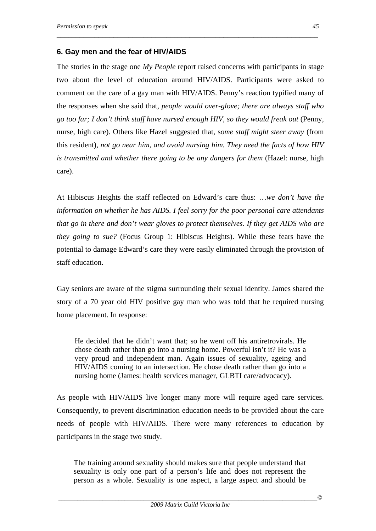### **6. Gay men and the fear of HIV/AIDS**

The stories in the stage one *My People* report raised concerns with participants in stage two about the level of education around HIV/AIDS. Participants were asked to comment on the care of a gay man with HIV/AIDS. Penny's reaction typified many of the responses when she said that, *people would over-glove; there are always staff who go too far; I don't think staff have nursed enough HIV, so they would freak out* (Penny, nurse, high care). Others like Hazel suggested that, s*ome staff might steer away* (from this resident)*, not go near him, and avoid nursing him. They need the facts of how HIV is transmitted and whether there going to be any dangers for them* (Hazel: nurse, high care).

\_\_\_\_\_\_\_\_\_\_\_\_\_\_\_\_\_\_\_\_\_\_\_\_\_\_\_\_\_\_\_\_\_\_\_\_\_\_\_\_\_\_\_\_\_\_\_\_\_\_\_\_\_\_\_\_\_\_\_\_\_\_\_\_\_\_\_\_\_

At Hibiscus Heights the staff reflected on Edward's care thus: …*we don't have the information on whether he has AIDS. I feel sorry for the poor personal care attendants that go in there and don't wear gloves to protect themselves. If they get AIDS who are they going to sue?* (Focus Group 1: Hibiscus Heights). While these fears have the potential to damage Edward's care they were easily eliminated through the provision of staff education.

Gay seniors are aware of the stigma surrounding their sexual identity. James shared the story of a 70 year old HIV positive gay man who was told that he required nursing home placement. In response:

He decided that he didn't want that; so he went off his antiretrovirals. He chose death rather than go into a nursing home. Powerful isn't it? He was a very proud and independent man. Again issues of sexuality, ageing and HIV/AIDS coming to an intersection. He chose death rather than go into a nursing home (James: health services manager, GLBTI care/advocacy).

As people with HIV/AIDS live longer many more will require aged care services. Consequently, to prevent discrimination education needs to be provided about the care needs of people with HIV/AIDS. There were many references to education by participants in the stage two study.

The training around sexuality should makes sure that people understand that sexuality is only one part of a person's life and does not represent the person as a whole. Sexuality is one aspect, a large aspect and should be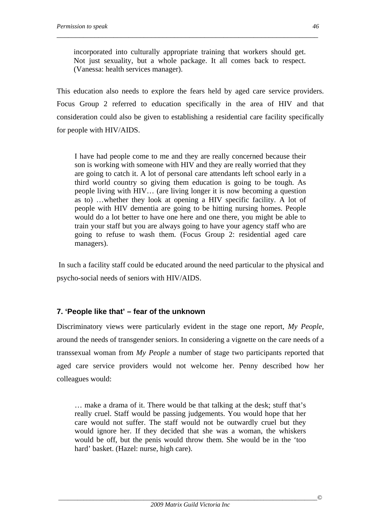incorporated into culturally appropriate training that workers should get. Not just sexuality, but a whole package. It all comes back to respect. (Vanessa: health services manager).

\_\_\_\_\_\_\_\_\_\_\_\_\_\_\_\_\_\_\_\_\_\_\_\_\_\_\_\_\_\_\_\_\_\_\_\_\_\_\_\_\_\_\_\_\_\_\_\_\_\_\_\_\_\_\_\_\_\_\_\_\_\_\_\_\_\_\_\_\_

This education also needs to explore the fears held by aged care service providers. Focus Group 2 referred to education specifically in the area of HIV and that consideration could also be given to establishing a residential care facility specifically for people with HIV/AIDS.

I have had people come to me and they are really concerned because their son is working with someone with HIV and they are really worried that they are going to catch it. A lot of personal care attendants left school early in a third world country so giving them education is going to be tough. As people living with HIV… (are living longer it is now becoming a question as to) …whether they look at opening a HIV specific facility. A lot of people with HIV dementia are going to be hitting nursing homes. People would do a lot better to have one here and one there, you might be able to train your staff but you are always going to have your agency staff who are going to refuse to wash them. (Focus Group 2: residential aged care managers).

In such a facility staff could be educated around the need particular to the physical and psycho-social needs of seniors with HIV/AIDS.

## **7. 'People like that' – fear of the unknown**

Discriminatory views were particularly evident in the stage one report, *My People,*  around the needs of transgender seniors. In considering a vignette on the care needs of a transsexual woman from *My People* a number of stage two participants reported that aged care service providers would not welcome her. Penny described how her colleagues would:

… make a drama of it. There would be that talking at the desk; stuff that's really cruel. Staff would be passing judgements. You would hope that her care would not suffer. The staff would not be outwardly cruel but they would ignore her. If they decided that she was a woman, the whiskers would be off, but the penis would throw them. She would be in the 'too hard' basket. (Hazel: nurse, high care).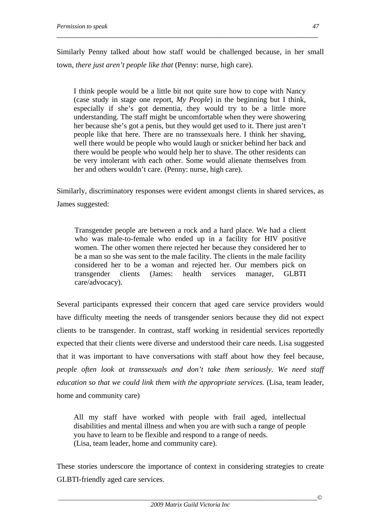Similarly Penny talked about how staff would be challenged because, in her small town, *there just aren't people like that* (Penny: nurse, high care).

\_\_\_\_\_\_\_\_\_\_\_\_\_\_\_\_\_\_\_\_\_\_\_\_\_\_\_\_\_\_\_\_\_\_\_\_\_\_\_\_\_\_\_\_\_\_\_\_\_\_\_\_\_\_\_\_\_\_\_\_\_\_\_\_\_\_\_\_\_

I think people would be a little bit not quite sure how to cope with Nancy (case study in stage one report, *My People*) in the beginning but I think, especially if she's got dementia, they would try to be a little more understanding. The staff might be uncomfortable when they were showering her because she's got a penis, but they would get used to it. There just aren't people like that here. There are no transsexuals here. I think her shaving, well there would be people who would laugh or snicker behind her back and there would be people who would help her to shave. The other residents can be very intolerant with each other. Some would alienate themselves from her and others wouldn't care. (Penny: nurse, high care).

Similarly, discriminatory responses were evident amongst clients in shared services, as James suggested:

Transgender people are between a rock and a hard place. We had a client who was male-to-female who ended up in a facility for HIV positive women. The other women there rejected her because they considered her to be a man so she was sent to the male facility. The clients in the male facility considered her to be a woman and rejected her. Our members pick on transgender clients (James: health services manager, GLBTI care/advocacy).

Several participants expressed their concern that aged care service providers would have difficulty meeting the needs of transgender seniors because they did not expect clients to be transgender. In contrast, staff working in residential services reportedly expected that their clients were diverse and understood their care needs. Lisa suggested that it was important to have conversations with staff about how they feel because, *people often look at transsexuals and don't take them seriously. We need staff education so that we could link them with the appropriate services.* (Lisa, team leader, home and community care)

All my staff have worked with people with frail aged, intellectual disabilities and mental illness and when you are with such a range of people you have to learn to be flexible and respond to a range of needs. (Lisa, team leader, home and community care).

These stories underscore the importance of context in considering strategies to create GLBTI-friendly aged care services.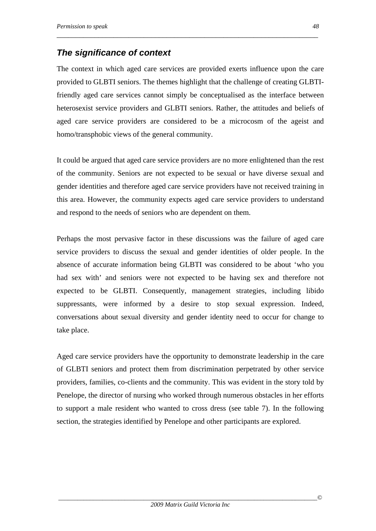## *The significance of context*

The context in which aged care services are provided exerts influence upon the care provided to GLBTI seniors. The themes highlight that the challenge of creating GLBTIfriendly aged care services cannot simply be conceptualised as the interface between heterosexist service providers and GLBTI seniors. Rather, the attitudes and beliefs of aged care service providers are considered to be a microcosm of the ageist and homo/transphobic views of the general community.

\_\_\_\_\_\_\_\_\_\_\_\_\_\_\_\_\_\_\_\_\_\_\_\_\_\_\_\_\_\_\_\_\_\_\_\_\_\_\_\_\_\_\_\_\_\_\_\_\_\_\_\_\_\_\_\_\_\_\_\_\_\_\_\_\_\_\_\_\_

It could be argued that aged care service providers are no more enlightened than the rest of the community. Seniors are not expected to be sexual or have diverse sexual and gender identities and therefore aged care service providers have not received training in this area. However, the community expects aged care service providers to understand and respond to the needs of seniors who are dependent on them.

Perhaps the most pervasive factor in these discussions was the failure of aged care service providers to discuss the sexual and gender identities of older people. In the absence of accurate information being GLBTI was considered to be about 'who you had sex with' and seniors were not expected to be having sex and therefore not expected to be GLBTI. Consequently, management strategies, including libido suppressants, were informed by a desire to stop sexual expression. Indeed, conversations about sexual diversity and gender identity need to occur for change to take place.

Aged care service providers have the opportunity to demonstrate leadership in the care of GLBTI seniors and protect them from discrimination perpetrated by other service providers, families, co-clients and the community. This was evident in the story told by Penelope, the director of nursing who worked through numerous obstacles in her efforts to support a male resident who wanted to cross dress (see table 7). In the following section, the strategies identified by Penelope and other participants are explored.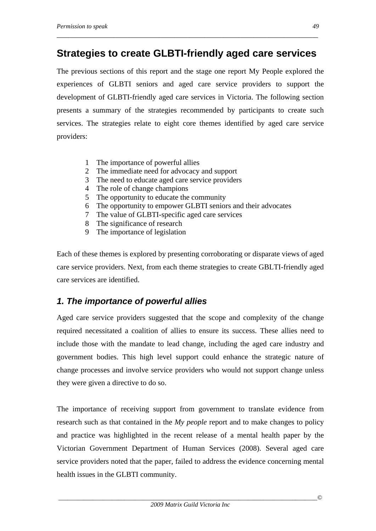# **Strategies to create GLBTI-friendly aged care services**

\_\_\_\_\_\_\_\_\_\_\_\_\_\_\_\_\_\_\_\_\_\_\_\_\_\_\_\_\_\_\_\_\_\_\_\_\_\_\_\_\_\_\_\_\_\_\_\_\_\_\_\_\_\_\_\_\_\_\_\_\_\_\_\_\_\_\_\_\_

The previous sections of this report and the stage one report My People explored the experiences of GLBTI seniors and aged care service providers to support the development of GLBTI-friendly aged care services in Victoria. The following section presents a summary of the strategies recommended by participants to create such services. The strategies relate to eight core themes identified by aged care service providers:

- 1 The importance of powerful allies
- 2 The immediate need for advocacy and support
- 3 The need to educate aged care service providers
- 4 The role of change champions
- 5 The opportunity to educate the community
- 6 The opportunity to empower GLBTI seniors and their advocates
- 7 The value of GLBTI-specific aged care services
- 8 The significance of research
- 9 The importance of legislation

Each of these themes is explored by presenting corroborating or disparate views of aged care service providers. Next, from each theme strategies to create GBLTI-friendly aged care services are identified.

# *1. The importance of powerful allies*

Aged care service providers suggested that the scope and complexity of the change required necessitated a coalition of allies to ensure its success. These allies need to include those with the mandate to lead change, including the aged care industry and government bodies. This high level support could enhance the strategic nature of change processes and involve service providers who would not support change unless they were given a directive to do so.

The importance of receiving support from government to translate evidence from research such as that contained in the *My people* report and to make changes to policy and practice was highlighted in the recent release of a mental health paper by the Victorian Government Department of Human Services (2008). Several aged care service providers noted that the paper, failed to address the evidence concerning mental health issues in the GLBTI community.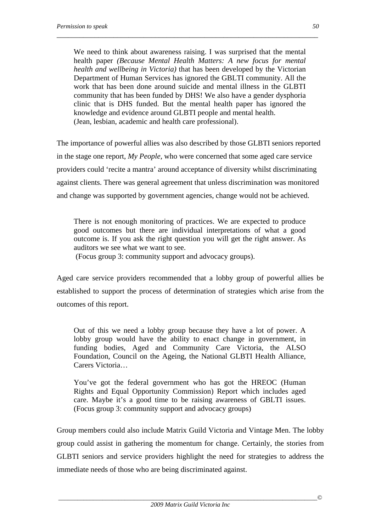We need to think about awareness raising. I was surprised that the mental health paper *(Because Mental Health Matters: A new focus for mental health and wellbeing in Victoria)* that has been developed by the Victorian Department of Human Services has ignored the GBLTI community. All the work that has been done around suicide and mental illness in the GLBTI community that has been funded by DHS! We also have a gender dysphoria clinic that is DHS funded. But the mental health paper has ignored the knowledge and evidence around GLBTI people and mental health. (Jean, lesbian, academic and health care professional).

\_\_\_\_\_\_\_\_\_\_\_\_\_\_\_\_\_\_\_\_\_\_\_\_\_\_\_\_\_\_\_\_\_\_\_\_\_\_\_\_\_\_\_\_\_\_\_\_\_\_\_\_\_\_\_\_\_\_\_\_\_\_\_\_\_\_\_\_\_

The importance of powerful allies was also described by those GLBTI seniors reported in the stage one report, *My People*, who were concerned that some aged care service providers could 'recite a mantra' around acceptance of diversity whilst discriminating against clients. There was general agreement that unless discrimination was monitored and change was supported by government agencies, change would not be achieved.

There is not enough monitoring of practices. We are expected to produce good outcomes but there are individual interpretations of what a good outcome is. If you ask the right question you will get the right answer. As auditors we see what we want to see.

(Focus group 3: community support and advocacy groups).

Aged care service providers recommended that a lobby group of powerful allies be established to support the process of determination of strategies which arise from the outcomes of this report.

Out of this we need a lobby group because they have a lot of power. A lobby group would have the ability to enact change in government, in funding bodies, Aged and Community Care Victoria, the ALSO Foundation, Council on the Ageing, the National GLBTI Health Alliance, Carers Victoria…

You've got the federal government who has got the HREOC (Human Rights and Equal Opportunity Commission) Report which includes aged care. Maybe it's a good time to be raising awareness of GBLTI issues. (Focus group 3: community support and advocacy groups)

Group members could also include Matrix Guild Victoria and Vintage Men. The lobby group could assist in gathering the momentum for change. Certainly, the stories from GLBTI seniors and service providers highlight the need for strategies to address the immediate needs of those who are being discriminated against.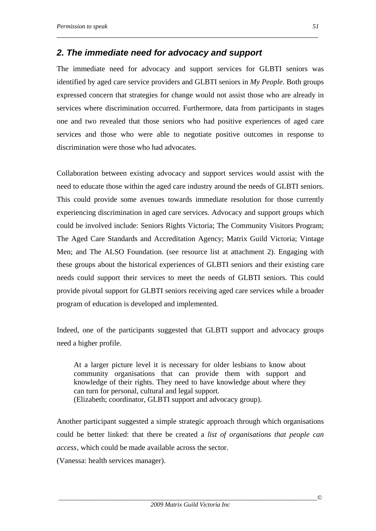## *2. The immediate need for advocacy and support*

The immediate need for advocacy and support services for GLBTI seniors was identified by aged care service providers and GLBTI seniors in *My People*. Both groups expressed concern that strategies for change would not assist those who are already in services where discrimination occurred. Furthermore, data from participants in stages one and two revealed that those seniors who had positive experiences of aged care services and those who were able to negotiate positive outcomes in response to discrimination were those who had advocates.

\_\_\_\_\_\_\_\_\_\_\_\_\_\_\_\_\_\_\_\_\_\_\_\_\_\_\_\_\_\_\_\_\_\_\_\_\_\_\_\_\_\_\_\_\_\_\_\_\_\_\_\_\_\_\_\_\_\_\_\_\_\_\_\_\_\_\_\_\_

Collaboration between existing advocacy and support services would assist with the need to educate those within the aged care industry around the needs of GLBTI seniors. This could provide some avenues towards immediate resolution for those currently experiencing discrimination in aged care services. Advocacy and support groups which could be involved include: Seniors Rights Victoria; The Community Visitors Program; The Aged Care Standards and Accreditation Agency; Matrix Guild Victoria; Vintage Men; and The ALSO Foundation. (see resource list at attachment 2). Engaging with these groups about the historical experiences of GLBTI seniors and their existing care needs could support their services to meet the needs of GLBTI seniors. This could provide pivotal support for GLBTI seniors receiving aged care services while a broader program of education is developed and implemented.

Indeed, one of the participants suggested that GLBTI support and advocacy groups need a higher profile.

At a larger picture level it is necessary for older lesbians to know about community organisations that can provide them with support and knowledge of their rights. They need to have knowledge about where they can turn for personal, cultural and legal support. (Elizabeth; coordinator, GLBTI support and advocacy group).

Another participant suggested a simple strategic approach through which organisations could be better linked: that there be created a *list of organisations that people can access*, which could be made available across the sector.

(Vanessa: health services manager).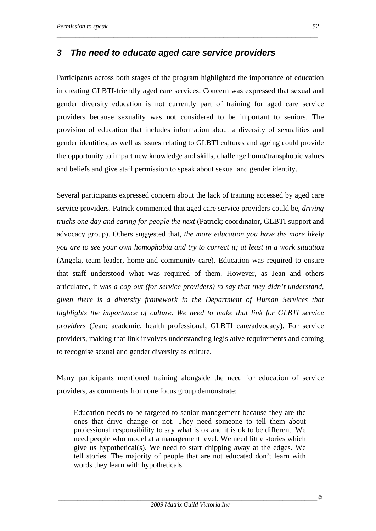Participants across both stages of the program highlighted the importance of education in creating GLBTI-friendly aged care services. Concern was expressed that sexual and gender diversity education is not currently part of training for aged care service providers because sexuality was not considered to be important to seniors. The provision of education that includes information about a diversity of sexualities and gender identities, as well as issues relating to GLBTI cultures and ageing could provide the opportunity to impart new knowledge and skills, challenge homo/transphobic values and beliefs and give staff permission to speak about sexual and gender identity.

\_\_\_\_\_\_\_\_\_\_\_\_\_\_\_\_\_\_\_\_\_\_\_\_\_\_\_\_\_\_\_\_\_\_\_\_\_\_\_\_\_\_\_\_\_\_\_\_\_\_\_\_\_\_\_\_\_\_\_\_\_\_\_\_\_\_\_\_\_

Several participants expressed concern about the lack of training accessed by aged care service providers. Patrick commented that aged care service providers could be, *driving trucks one day and caring for people the next (Patrick; coordinator, GLBTI support and* advocacy group). Others suggested that, *the more education you have the more likely you are to see your own homophobia and try to correct it; at least in a work situation* (Angela, team leader, home and community care). Education was required to ensure that staff understood what was required of them. However, as Jean and others articulated, it was *a cop out (for service providers) to say that they didn't understand, given there is a diversity framework in the Department of Human Services that highlights the importance of culture. We need to make that link for GLBTI service providers* (Jean: academic, health professional, GLBTI care/advocacy). For service providers, making that link involves understanding legislative requirements and coming to recognise sexual and gender diversity as culture.

Many participants mentioned training alongside the need for education of service providers, as comments from one focus group demonstrate:

Education needs to be targeted to senior management because they are the ones that drive change or not. They need someone to tell them about professional responsibility to say what is ok and it is ok to be different. We need people who model at a management level. We need little stories which give us hypothetical(s). We need to start chipping away at the edges. We tell stories. The majority of people that are not educated don't learn with words they learn with hypotheticals.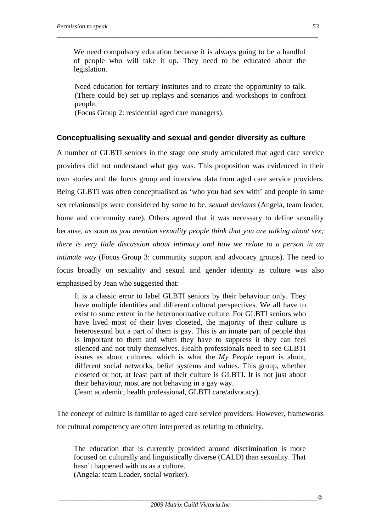We need compulsory education because it is always going to be a handful of people who will take it up. They need to be educated about the legislation.

\_\_\_\_\_\_\_\_\_\_\_\_\_\_\_\_\_\_\_\_\_\_\_\_\_\_\_\_\_\_\_\_\_\_\_\_\_\_\_\_\_\_\_\_\_\_\_\_\_\_\_\_\_\_\_\_\_\_\_\_\_\_\_\_\_\_\_\_\_

Need education for tertiary institutes and to create the opportunity to talk. (There could be) set up replays and scenarios and workshops to confront people.

(Focus Group 2: residential aged care managers).

### **Conceptualising sexuality and sexual and gender diversity as culture**

A number of GLBTI seniors in the stage one study articulated that aged care service providers did not understand what gay was. This proposition was evidenced in their own stories and the focus group and interview data from aged care service providers. Being GLBTI was often conceptualised as 'who you had sex with' and people in same sex relationships were considered by some to be, *sexual deviants* (Angela, team leader, home and community care). Others agreed that it was necessary to define sexuality because, *as soon as you mention sexuality people think that you are talking about sex; there is very little discussion about intimacy and how we relate to a person in an intimate way* (Focus Group 3: community support and advocacy groups). The need to focus broadly on sexuality and sexual and gender identity as culture was also emphasised by Jean who suggested that:

It is a classic error to label GLBTI seniors by their behaviour only. They have multiple identities and different cultural perspectives. We all have to exist to some extent in the heteronormative culture. For GLBTI seniors who have lived most of their lives closeted, the majority of their culture is heterosexual but a part of them is gay. This is an innate part of people that is important to them and when they have to suppress it they can feel silenced and not truly themselves. Health professionals need to see GLBTI issues as about cultures, which is what the *My People* report is about, different social networks, belief systems and values. This group, whether closeted or not, at least part of their culture is GLBTI. It is not just about their behaviour, most are not behaving in a gay way.

(Jean: academic, health professional, GLBTI care/advocacy).

The concept of culture is familiar to aged care service providers. However, frameworks for cultural competency are often interpreted as relating to ethnicity.

The education that is currently provided around discrimination is more focused on culturally and linguistically diverse (CALD) than sexuality. That hasn't happened with us as a culture. (Angela: team Leader, social worker).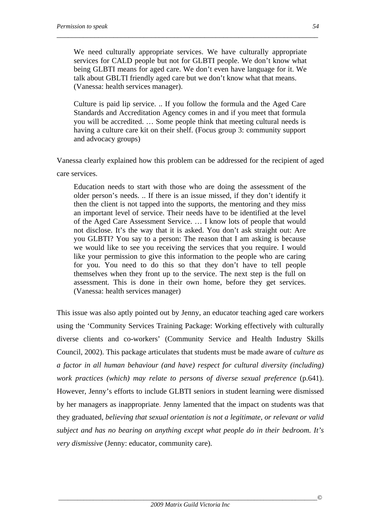We need culturally appropriate services. We have culturally appropriate services for CALD people but not for GLBTI people. We don't know what being GLBTI means for aged care. We don't even have language for it. We talk about GBLTI friendly aged care but we don't know what that means. (Vanessa: health services manager).

\_\_\_\_\_\_\_\_\_\_\_\_\_\_\_\_\_\_\_\_\_\_\_\_\_\_\_\_\_\_\_\_\_\_\_\_\_\_\_\_\_\_\_\_\_\_\_\_\_\_\_\_\_\_\_\_\_\_\_\_\_\_\_\_\_\_\_\_\_

Culture is paid lip service. .. If you follow the formula and the Aged Care Standards and Accreditation Agency comes in and if you meet that formula you will be accredited. … Some people think that meeting cultural needs is having a culture care kit on their shelf. (Focus group 3: community support and advocacy groups)

Vanessa clearly explained how this problem can be addressed for the recipient of aged

care services.

Education needs to start with those who are doing the assessment of the older person's needs. .. If there is an issue missed, if they don't identify it then the client is not tapped into the supports, the mentoring and they miss an important level of service. Their needs have to be identified at the level of the Aged Care Assessment Service. … I know lots of people that would not disclose. It's the way that it is asked. You don't ask straight out: Are you GLBTI? You say to a person: The reason that I am asking is because we would like to see you receiving the services that you require. I would like your permission to give this information to the people who are caring for you. You need to do this so that they don't have to tell people themselves when they front up to the service. The next step is the full on assessment. This is done in their own home, before they get services. (Vanessa: health services manager)

This issue was also aptly pointed out by Jenny, an educator teaching aged care workers using the 'Community Services Training Package: Working effectively with culturally diverse clients and co-workers' (Community Service and Health Industry Skills Council, 2002). This package articulates that students must be made aware of *culture as a factor in all human behaviour (and have) respect for cultural diversity (including) work practices (which) may relate to persons of diverse sexual preference* (p.641). However, Jenny's efforts to include GLBTI seniors in student learning were dismissed by her managers as inappropriate. Jenny lamented that the impact on students was that they graduated, *believing that sexual orientation is not a legitimate, or relevant or valid subject and has no bearing on anything except what people do in their bedroom. It's very dismissive* (Jenny: educator, community care).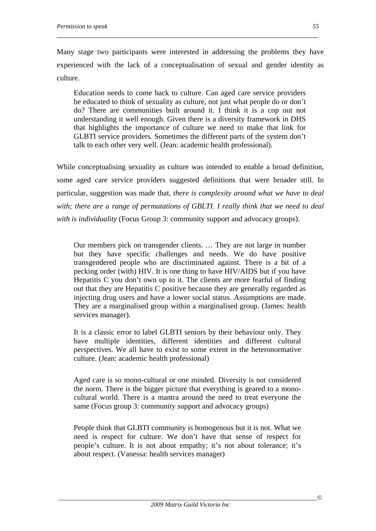Many stage two participants were interested in addressing the problems they have experienced with the lack of a conceptualisation of sexual and gender identity as culture.

\_\_\_\_\_\_\_\_\_\_\_\_\_\_\_\_\_\_\_\_\_\_\_\_\_\_\_\_\_\_\_\_\_\_\_\_\_\_\_\_\_\_\_\_\_\_\_\_\_\_\_\_\_\_\_\_\_\_\_\_\_\_\_\_\_\_\_\_\_

Education needs to come back to culture. Can aged care service providers be educated to think of sexuality as culture, not just what people do or don't do? There are communities built around it. I think it is a cop out not understanding it well enough. Given there is a diversity framework in DHS that highlights the importance of culture we need to make that link for GLBTI service providers. Sometimes the different parts of the system don't talk to each other very well. (Jean: academic health professional).

While conceptualising sexuality as culture was intended to enable a broad definition, some aged care service providers suggested definitions that were broader still. In particular, suggestion was made that, *there is complexity around what we have to deal with; there are a range of permutations of GBLTI. I really think that we need to deal with is individuality* (Focus Group 3: community support and advocacy groups).

Our members pick on transgender clients. … They are not large in number but they have specific challenges and needs. We do have positive transgendered people who are discriminated against. There is a bit of a pecking order (with) HIV. It is one thing to have HIV/AIDS but if you have Hepatitis C you don't own up to it. The clients are more fearful of finding out that they are Hepatitis C positive because they are generally regarded as injecting drug users and have a lower social status. Assumptions are made. They are a marginalised group within a marginalised group. (James: health services manager).

It is a classic error to label GLBTI seniors by their behaviour only. They have multiple identities, different identities and different cultural perspectives. We all have to exist to some extent in the heteronormative culture. (Jean: academic health professional)

Aged care is so mono-cultural or one minded. Diversity is not considered the norm. There is the bigger picture that everything is geared to a monocultural world. There is a mantra around the need to treat everyone the same (Focus group 3: community support and advocacy groups)

People think that GLBTI community is homogenous but it is not. What we need is respect for culture. We don't have that sense of respect for people's culture. It is not about empathy; it's not about tolerance; it's about respect. (Vanessa: health services manager)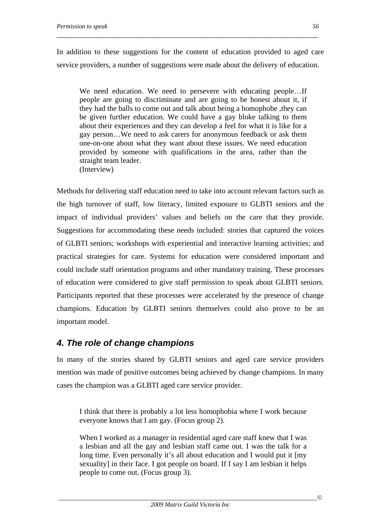In addition to these suggestions for the content of education provided to aged care service providers, a number of suggestions were made about the delivery of education.

\_\_\_\_\_\_\_\_\_\_\_\_\_\_\_\_\_\_\_\_\_\_\_\_\_\_\_\_\_\_\_\_\_\_\_\_\_\_\_\_\_\_\_\_\_\_\_\_\_\_\_\_\_\_\_\_\_\_\_\_\_\_\_\_\_\_\_\_\_

We need education. We need to persevere with educating people…If people are going to discriminate and are going to be honest about it, if they had the balls to come out and talk about being a homophobe ,they can be given further education. We could have a gay bloke talking to them about their experiences and they can develop a feel for what it is like for a gay person…We need to ask carers for anonymous feedback or ask them one-on-one about what they want about these issues. We need education provided by someone with qualifications in the area, rather than the straight team leader. (Interview)

Methods for delivering staff education need to take into account relevant factors such as the high turnover of staff, low literacy, limited exposure to GLBTI seniors and the impact of individual providers' values and beliefs on the care that they provide. Suggestions for accommodating these needs included: stories that captured the voices of GLBTI seniors; workshops with experiential and interactive learning activities; and practical strategies for care. Systems for education were considered important and could include staff orientation programs and other mandatory training. These processes of education were considered to give staff permission to speak about GLBTI seniors. Participants reported that these processes were accelerated by the presence of change champions. Education by GLBTI seniors themselves could also prove to be an important model.

# *4. The role of change champions*

In many of the stories shared by GLBTI seniors and aged care service providers mention was made of positive outcomes being achieved by change champions. In many cases the champion was a GLBTI aged care service provider.

I think that there is probably a lot less homophobia where I work because everyone knows that I am gay. (Focus group 2).

When I worked as a manager in residential aged care staff knew that I was a lesbian and all the gay and lesbian staff came out. I was the talk for a long time. Even personally it's all about education and I would put it [my] sexuality] in their face. I got people on board. If I say I am lesbian it helps people to come out. (Focus group 3).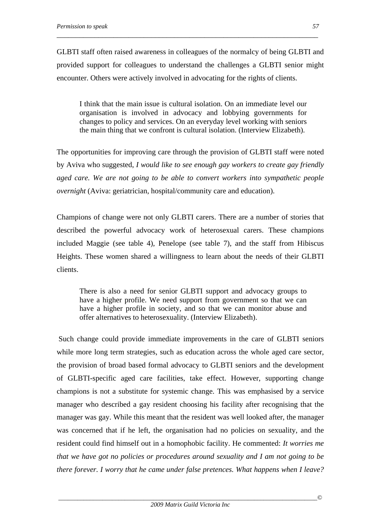GLBTI staff often raised awareness in colleagues of the normalcy of being GLBTI and provided support for colleagues to understand the challenges a GLBTI senior might encounter. Others were actively involved in advocating for the rights of clients.

\_\_\_\_\_\_\_\_\_\_\_\_\_\_\_\_\_\_\_\_\_\_\_\_\_\_\_\_\_\_\_\_\_\_\_\_\_\_\_\_\_\_\_\_\_\_\_\_\_\_\_\_\_\_\_\_\_\_\_\_\_\_\_\_\_\_\_\_\_

I think that the main issue is cultural isolation. On an immediate level our organisation is involved in advocacy and lobbying governments for changes to policy and services. On an everyday level working with seniors the main thing that we confront is cultural isolation. (Interview Elizabeth).

The opportunities for improving care through the provision of GLBTI staff were noted by Aviva who suggested, *I would like to see enough gay workers to create gay friendly aged care. We are not going to be able to convert workers into sympathetic people overnight* (Aviva: geriatrician, hospital/community care and education).

Champions of change were not only GLBTI carers. There are a number of stories that described the powerful advocacy work of heterosexual carers. These champions included Maggie (see table 4), Penelope (see table 7), and the staff from Hibiscus Heights. These women shared a willingness to learn about the needs of their GLBTI clients.

There is also a need for senior GLBTI support and advocacy groups to have a higher profile. We need support from government so that we can have a higher profile in society, and so that we can monitor abuse and offer alternatives to heterosexuality. (Interview Elizabeth).

Such change could provide immediate improvements in the care of GLBTI seniors while more long term strategies, such as education across the whole aged care sector, the provision of broad based formal advocacy to GLBTI seniors and the development of GLBTI-specific aged care facilities, take effect. However, supporting change champions is not a substitute for systemic change. This was emphasised by a service manager who described a gay resident choosing his facility after recognising that the manager was gay. While this meant that the resident was well looked after, the manager was concerned that if he left, the organisation had no policies on sexuality, and the resident could find himself out in a homophobic facility. He commented: *It worries me that we have got no policies or procedures around sexuality and I am not going to be there forever. I worry that he came under false pretences. What happens when I leave?*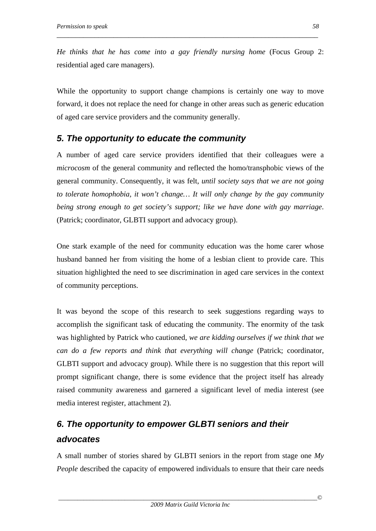*He thinks that he has come into a gay friendly nursing home* (Focus Group 2: residential aged care managers).

\_\_\_\_\_\_\_\_\_\_\_\_\_\_\_\_\_\_\_\_\_\_\_\_\_\_\_\_\_\_\_\_\_\_\_\_\_\_\_\_\_\_\_\_\_\_\_\_\_\_\_\_\_\_\_\_\_\_\_\_\_\_\_\_\_\_\_\_\_

While the opportunity to support change champions is certainly one way to move forward, it does not replace the need for change in other areas such as generic education of aged care service providers and the community generally.

# *5. The opportunity to educate the community*

A number of aged care service providers identified that their colleagues were a *microcosm* of the general community and reflected the homo/transphobic views of the general community. Consequently, it was felt, *until society says that we are not going to tolerate homophobia, it won't change… It will only change by the gay community being strong enough to get society's support; like we have done with gay marriage*. (Patrick; coordinator, GLBTI support and advocacy group).

One stark example of the need for community education was the home carer whose husband banned her from visiting the home of a lesbian client to provide care. This situation highlighted the need to see discrimination in aged care services in the context of community perceptions.

It was beyond the scope of this research to seek suggestions regarding ways to accomplish the significant task of educating the community. The enormity of the task was highlighted by Patrick who cautioned, *we are kidding ourselves if we think that we can do a few reports and think that everything will change* (Patrick; coordinator, GLBTI support and advocacy group). While there is no suggestion that this report will prompt significant change, there is some evidence that the project itself has already raised community awareness and garnered a significant level of media interest (see media interest register, attachment 2).

# *6. The opportunity to empower GLBTI seniors and their advocates*

A small number of stories shared by GLBTI seniors in the report from stage one *My People* described the capacity of empowered individuals to ensure that their care needs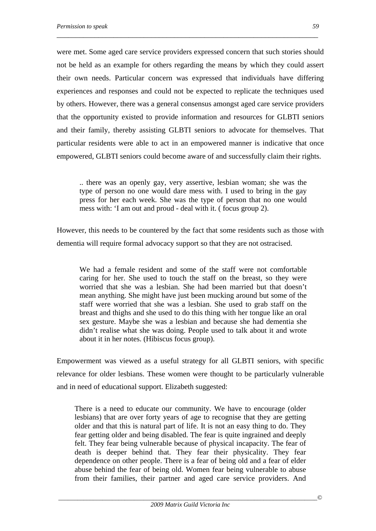were met. Some aged care service providers expressed concern that such stories should not be held as an example for others regarding the means by which they could assert their own needs. Particular concern was expressed that individuals have differing experiences and responses and could not be expected to replicate the techniques used by others. However, there was a general consensus amongst aged care service providers that the opportunity existed to provide information and resources for GLBTI seniors and their family, thereby assisting GLBTI seniors to advocate for themselves. That particular residents were able to act in an empowered manner is indicative that once empowered, GLBTI seniors could become aware of and successfully claim their rights.

\_\_\_\_\_\_\_\_\_\_\_\_\_\_\_\_\_\_\_\_\_\_\_\_\_\_\_\_\_\_\_\_\_\_\_\_\_\_\_\_\_\_\_\_\_\_\_\_\_\_\_\_\_\_\_\_\_\_\_\_\_\_\_\_\_\_\_\_\_

.. there was an openly gay, very assertive, lesbian woman; she was the type of person no one would dare mess with. I used to bring in the gay press for her each week. She was the type of person that no one would mess with: 'I am out and proud - deal with it. ( focus group 2).

However, this needs to be countered by the fact that some residents such as those with dementia will require formal advocacy support so that they are not ostracised.

We had a female resident and some of the staff were not comfortable caring for her. She used to touch the staff on the breast, so they were worried that she was a lesbian. She had been married but that doesn't mean anything. She might have just been mucking around but some of the staff were worried that she was a lesbian. She used to grab staff on the breast and thighs and she used to do this thing with her tongue like an oral sex gesture. Maybe she was a lesbian and because she had dementia she didn't realise what she was doing. People used to talk about it and wrote about it in her notes. (Hibiscus focus group).

Empowerment was viewed as a useful strategy for all GLBTI seniors, with specific relevance for older lesbians. These women were thought to be particularly vulnerable and in need of educational support. Elizabeth suggested:

There is a need to educate our community. We have to encourage (older lesbians) that are over forty years of age to recognise that they are getting older and that this is natural part of life. It is not an easy thing to do. They fear getting older and being disabled. The fear is quite ingrained and deeply felt. They fear being vulnerable because of physical incapacity. The fear of death is deeper behind that. They fear their physicality. They fear dependence on other people. There is a fear of being old and a fear of elder abuse behind the fear of being old. Women fear being vulnerable to abuse from their families, their partner and aged care service providers. And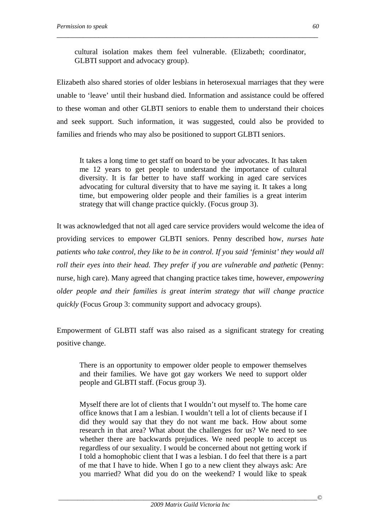cultural isolation makes them feel vulnerable. (Elizabeth; coordinator, GLBTI support and advocacy group).

\_\_\_\_\_\_\_\_\_\_\_\_\_\_\_\_\_\_\_\_\_\_\_\_\_\_\_\_\_\_\_\_\_\_\_\_\_\_\_\_\_\_\_\_\_\_\_\_\_\_\_\_\_\_\_\_\_\_\_\_\_\_\_\_\_\_\_\_\_

Elizabeth also shared stories of older lesbians in heterosexual marriages that they were unable to 'leave' until their husband died. Information and assistance could be offered to these woman and other GLBTI seniors to enable them to understand their choices and seek support. Such information, it was suggested, could also be provided to families and friends who may also be positioned to support GLBTI seniors.

It takes a long time to get staff on board to be your advocates. It has taken me 12 years to get people to understand the importance of cultural diversity. It is far better to have staff working in aged care services advocating for cultural diversity that to have me saying it. It takes a long time, but empowering older people and their families is a great interim strategy that will change practice quickly. (Focus group 3).

It was acknowledged that not all aged care service providers would welcome the idea of providing services to empower GLBTI seniors. Penny described how, *nurses hate patients who take control, they like to be in control. If you said 'feminist' they would all roll their eyes into their head. They prefer if you are vulnerable and pathetic* (Penny: nurse, high care). Many agreed that changing practice takes time, however, *empowering older people and their families is great interim strategy that will change practice quickly* (Focus Group 3: community support and advocacy groups).

Empowerment of GLBTI staff was also raised as a significant strategy for creating positive change.

There is an opportunity to empower older people to empower themselves and their families. We have got gay workers We need to support older people and GLBTI staff. (Focus group 3).

Myself there are lot of clients that I wouldn't out myself to. The home care office knows that I am a lesbian. I wouldn't tell a lot of clients because if I did they would say that they do not want me back. How about some research in that area? What about the challenges for us? We need to see whether there are backwards prejudices. We need people to accept us regardless of our sexuality. I would be concerned about not getting work if I told a homophobic client that I was a lesbian. I do feel that there is a part of me that I have to hide. When I go to a new client they always ask: Are you married? What did you do on the weekend? I would like to speak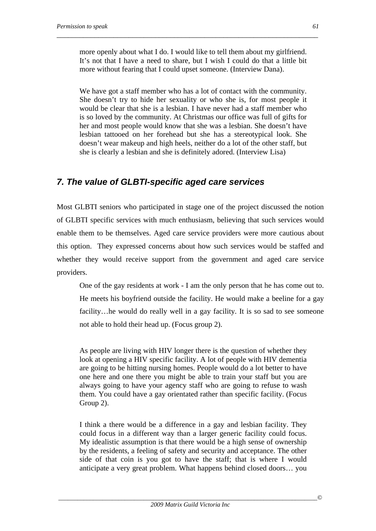more openly about what I do. I would like to tell them about my girlfriend. It's not that I have a need to share, but I wish I could do that a little bit more without fearing that I could upset someone. (Interview Dana).

\_\_\_\_\_\_\_\_\_\_\_\_\_\_\_\_\_\_\_\_\_\_\_\_\_\_\_\_\_\_\_\_\_\_\_\_\_\_\_\_\_\_\_\_\_\_\_\_\_\_\_\_\_\_\_\_\_\_\_\_\_\_\_\_\_\_\_\_\_

We have got a staff member who has a lot of contact with the community. She doesn't try to hide her sexuality or who she is, for most people it would be clear that she is a lesbian. I have never had a staff member who is so loved by the community. At Christmas our office was full of gifts for her and most people would know that she was a lesbian. She doesn't have lesbian tattooed on her forehead but she has a stereotypical look. She doesn't wear makeup and high heels, neither do a lot of the other staff, but she is clearly a lesbian and she is definitely adored. (Interview Lisa)

# *7. The value of GLBTI-specific aged care services*

Most GLBTI seniors who participated in stage one of the project discussed the notion of GLBTI specific services with much enthusiasm, believing that such services would enable them to be themselves. Aged care service providers were more cautious about this option. They expressed concerns about how such services would be staffed and whether they would receive support from the government and aged care service providers.

One of the gay residents at work - I am the only person that he has come out to. He meets his boyfriend outside the facility. He would make a beeline for a gay facility…he would do really well in a gay facility. It is so sad to see someone not able to hold their head up. (Focus group 2).

As people are living with HIV longer there is the question of whether they look at opening a HIV specific facility. A lot of people with HIV dementia are going to be hitting nursing homes. People would do a lot better to have one here and one there you might be able to train your staff but you are always going to have your agency staff who are going to refuse to wash them. You could have a gay orientated rather than specific facility. (Focus Group 2).

I think a there would be a difference in a gay and lesbian facility. They could focus in a different way than a larger generic facility could focus. My idealistic assumption is that there would be a high sense of ownership by the residents, a feeling of safety and security and acceptance. The other side of that coin is you got to have the staff; that is where I would anticipate a very great problem. What happens behind closed doors… you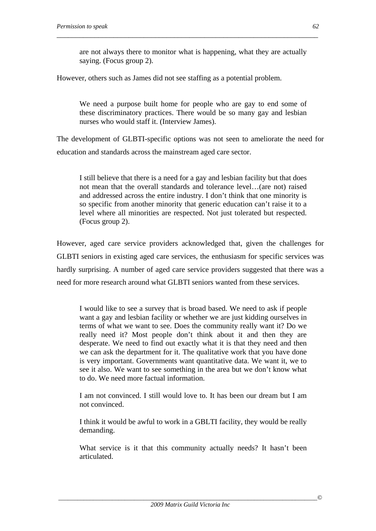are not always there to monitor what is happening, what they are actually saying. (Focus group 2).

\_\_\_\_\_\_\_\_\_\_\_\_\_\_\_\_\_\_\_\_\_\_\_\_\_\_\_\_\_\_\_\_\_\_\_\_\_\_\_\_\_\_\_\_\_\_\_\_\_\_\_\_\_\_\_\_\_\_\_\_\_\_\_\_\_\_\_\_\_

However, others such as James did not see staffing as a potential problem.

We need a purpose built home for people who are gay to end some of these discriminatory practices. There would be so many gay and lesbian nurses who would staff it. (Interview James).

The development of GLBTI-specific options was not seen to ameliorate the need for education and standards across the mainstream aged care sector.

I still believe that there is a need for a gay and lesbian facility but that does not mean that the overall standards and tolerance level…(are not) raised and addressed across the entire industry. I don't think that one minority is so specific from another minority that generic education can't raise it to a level where all minorities are respected. Not just tolerated but respected. (Focus group 2).

However, aged care service providers acknowledged that, given the challenges for GLBTI seniors in existing aged care services, the enthusiasm for specific services was hardly surprising. A number of aged care service providers suggested that there was a need for more research around what GLBTI seniors wanted from these services.

I would like to see a survey that is broad based. We need to ask if people want a gay and lesbian facility or whether we are just kidding ourselves in terms of what we want to see. Does the community really want it? Do we really need it? Most people don't think about it and then they are desperate. We need to find out exactly what it is that they need and then we can ask the department for it. The qualitative work that you have done is very important. Governments want quantitative data. We want it, we to see it also. We want to see something in the area but we don't know what to do. We need more factual information.

I am not convinced. I still would love to. It has been our dream but I am not convinced.

I think it would be awful to work in a GBLTI facility, they would be really demanding.

What service is it that this community actually needs? It hasn't been articulated.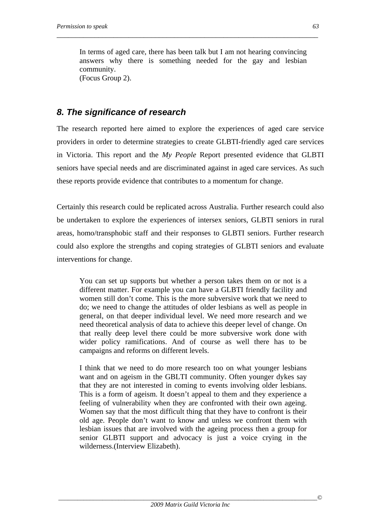In terms of aged care, there has been talk but I am not hearing convincing answers why there is something needed for the gay and lesbian community.

\_\_\_\_\_\_\_\_\_\_\_\_\_\_\_\_\_\_\_\_\_\_\_\_\_\_\_\_\_\_\_\_\_\_\_\_\_\_\_\_\_\_\_\_\_\_\_\_\_\_\_\_\_\_\_\_\_\_\_\_\_\_\_\_\_\_\_\_\_

(Focus Group 2).

# *8. The significance of research*

The research reported here aimed to explore the experiences of aged care service providers in order to determine strategies to create GLBTI-friendly aged care services in Victoria. This report and the *My People* Report presented evidence that GLBTI seniors have special needs and are discriminated against in aged care services. As such these reports provide evidence that contributes to a momentum for change.

Certainly this research could be replicated across Australia. Further research could also be undertaken to explore the experiences of intersex seniors, GLBTI seniors in rural areas, homo/transphobic staff and their responses to GLBTI seniors. Further research could also explore the strengths and coping strategies of GLBTI seniors and evaluate interventions for change.

You can set up supports but whether a person takes them on or not is a different matter. For example you can have a GLBTI friendly facility and women still don't come. This is the more subversive work that we need to do; we need to change the attitudes of older lesbians as well as people in general, on that deeper individual level. We need more research and we need theoretical analysis of data to achieve this deeper level of change. On that really deep level there could be more subversive work done with wider policy ramifications. And of course as well there has to be campaigns and reforms on different levels.

I think that we need to do more research too on what younger lesbians want and on ageism in the GBLTI community. Often younger dykes say that they are not interested in coming to events involving older lesbians. This is a form of ageism. It doesn't appeal to them and they experience a feeling of vulnerability when they are confronted with their own ageing. Women say that the most difficult thing that they have to confront is their old age. People don't want to know and unless we confront them with lesbian issues that are involved with the ageing process then a group for senior GLBTI support and advocacy is just a voice crying in the wilderness.(Interview Elizabeth).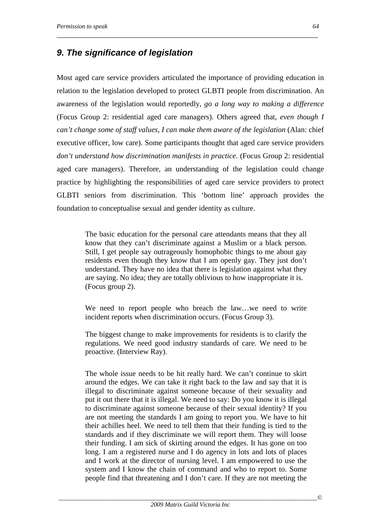# *9. The significance of legislation*

Most aged care service providers articulated the importance of providing education in relation to the legislation developed to protect GLBTI people from discrimination. An awareness of the legislation would reportedly, *go a long way to making a difference* (Focus Group 2: residential aged care managers). Others agreed that, *even though I can't change some of staff values, I can make them aware of the legislation* (Alan: chief executive officer, low care). Some participants thought that aged care service providers *don't understand how discrimination manifests in practice*. (Focus Group 2: residential aged care managers). Therefore, an understanding of the legislation could change practice by highlighting the responsibilities of aged care service providers to protect GLBTI seniors from discrimination. This 'bottom line' approach provides the foundation to conceptualise sexual and gender identity as culture.

\_\_\_\_\_\_\_\_\_\_\_\_\_\_\_\_\_\_\_\_\_\_\_\_\_\_\_\_\_\_\_\_\_\_\_\_\_\_\_\_\_\_\_\_\_\_\_\_\_\_\_\_\_\_\_\_\_\_\_\_\_\_\_\_\_\_\_\_\_

The basic education for the personal care attendants means that they all know that they can't discriminate against a Muslim or a black person. Still, I get people say outrageously homophobic things to me about gay residents even though they know that I am openly gay. They just don't understand. They have no idea that there is legislation against what they are saying. No idea; they are totally oblivious to how inappropriate it is. (Focus group 2).

We need to report people who breach the law...we need to write incident reports when discrimination occurs. (Focus Group 3).

The biggest change to make improvements for residents is to clarify the regulations. We need good industry standards of care. We need to be proactive. (Interview Ray).

The whole issue needs to be hit really hard. We can't continue to skirt around the edges. We can take it right back to the law and say that it is illegal to discriminate against someone because of their sexuality and put it out there that it is illegal. We need to say: Do you know it is illegal to discriminate against someone because of their sexual identity? If you are not meeting the standards I am going to report you. We have to hit their achilles heel. We need to tell them that their funding is tied to the standards and if they discriminate we will report them. They will loose their funding. I am sick of skirting around the edges. It has gone on too long. I am a registered nurse and I do agency in lots and lots of places and I work at the director of nursing level. I am empowered to use the system and I know the chain of command and who to report to. Some people find that threatening and I don't care. If they are not meeting the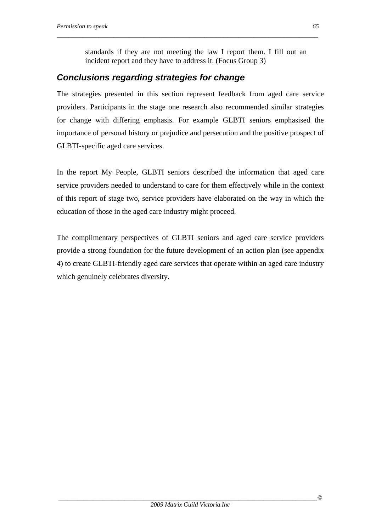standards if they are not meeting the law I report them. I fill out an incident report and they have to address it. (Focus Group 3)

\_\_\_\_\_\_\_\_\_\_\_\_\_\_\_\_\_\_\_\_\_\_\_\_\_\_\_\_\_\_\_\_\_\_\_\_\_\_\_\_\_\_\_\_\_\_\_\_\_\_\_\_\_\_\_\_\_\_\_\_\_\_\_\_\_\_\_\_\_

## *Conclusions regarding strategies for change*

The strategies presented in this section represent feedback from aged care service providers. Participants in the stage one research also recommended similar strategies for change with differing emphasis. For example GLBTI seniors emphasised the importance of personal history or prejudice and persecution and the positive prospect of GLBTI-specific aged care services.

In the report My People, GLBTI seniors described the information that aged care service providers needed to understand to care for them effectively while in the context of this report of stage two, service providers have elaborated on the way in which the education of those in the aged care industry might proceed.

The complimentary perspectives of GLBTI seniors and aged care service providers provide a strong foundation for the future development of an action plan (see appendix 4) to create GLBTI-friendly aged care services that operate within an aged care industry which genuinely celebrates diversity.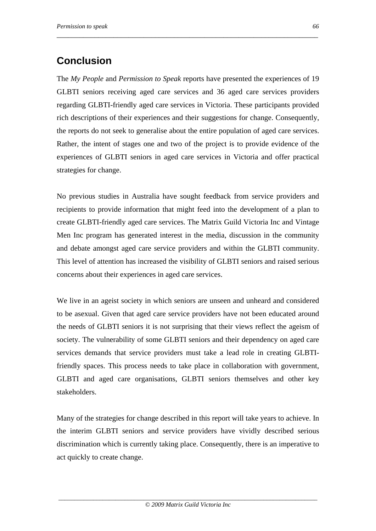# **Conclusion**

The *My People* and *Permission to Speak* reports have presented the experiences of 19 GLBTI seniors receiving aged care services and 36 aged care services providers regarding GLBTI-friendly aged care services in Victoria. These participants provided rich descriptions of their experiences and their suggestions for change. Consequently, the reports do not seek to generalise about the entire population of aged care services. Rather, the intent of stages one and two of the project is to provide evidence of the experiences of GLBTI seniors in aged care services in Victoria and offer practical strategies for change.

\_\_\_\_\_\_\_\_\_\_\_\_\_\_\_\_\_\_\_\_\_\_\_\_\_\_\_\_\_\_\_\_\_\_\_\_\_\_\_\_\_\_\_\_\_\_\_\_\_\_\_\_\_\_\_\_\_\_\_\_\_\_\_\_\_\_\_\_\_

No previous studies in Australia have sought feedback from service providers and recipients to provide information that might feed into the development of a plan to create GLBTI-friendly aged care services. The Matrix Guild Victoria Inc and Vintage Men Inc program has generated interest in the media, discussion in the community and debate amongst aged care service providers and within the GLBTI community. This level of attention has increased the visibility of GLBTI seniors and raised serious concerns about their experiences in aged care services.

We live in an ageist society in which seniors are unseen and unheard and considered to be asexual. Given that aged care service providers have not been educated around the needs of GLBTI seniors it is not surprising that their views reflect the ageism of society. The vulnerability of some GLBTI seniors and their dependency on aged care services demands that service providers must take a lead role in creating GLBTIfriendly spaces. This process needs to take place in collaboration with government, GLBTI and aged care organisations, GLBTI seniors themselves and other key stakeholders.

Many of the strategies for change described in this report will take years to achieve. In the interim GLBTI seniors and service providers have vividly described serious discrimination which is currently taking place. Consequently, there is an imperative to act quickly to create change.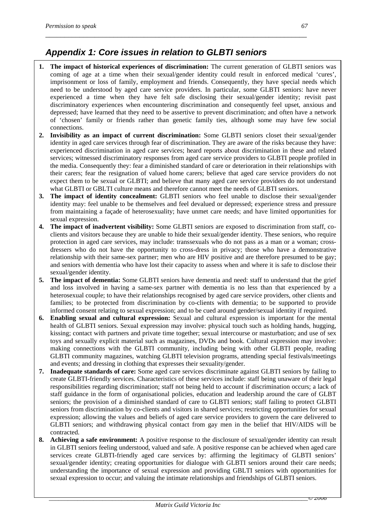# *Appendix 1: Core issues in relation to GLBTI seniors*

**1. The impact of historical experiences of discrimination:** The current generation of GLBTI seniors was coming of age at a time when their sexual/gender identity could result in enforced medical 'cures', imprisonment or loss of family, employment and friends. Consequently, they have special needs which need to be understood by aged care service providers. In particular, some GLBTI seniors: have never experienced a time when they have felt safe disclosing their sexual/gender identity; revisit past discriminatory experiences when encountering discrimination and consequently feel upset, anxious and depressed; have learned that they need to be assertive to prevent discrimination; and often have a network of 'chosen' family or friends rather than genetic family ties, although some may have few social connections.

\_\_\_\_\_\_\_\_\_\_\_\_\_\_\_\_\_\_\_\_\_\_\_\_\_\_\_\_\_\_\_\_\_\_\_\_\_\_\_\_\_\_\_\_\_\_\_\_\_\_\_\_\_\_\_\_\_\_\_\_\_\_\_\_\_\_\_\_\_

- **2. Invisibility as an impact of current discrimination:** Some GLBTI seniors closet their sexual/gender identity in aged care services through fear of discrimination. They are aware of the risks because they have: experienced discrimination in aged care services; heard reports about discrimination in these and related services; witnessed discriminatory responses from aged care service providers to GLBTI people profiled in the media. Consequently they: fear a diminished standard of care or deterioration in their relationships with their carers; fear the resignation of valued home carers; believe that aged care service providers do not expect them to be sexual or GLBTI; and believe that many aged care service providers do not understand what GLBTI or GBLTI culture means and therefore cannot meet the needs of GLBTI seniors.
- **3. The impact of identity concealment:** GLBTI seniors who feel unable to disclose their sexual/gender identity may: feel unable to be themselves and feel devalued or depressed; experience stress and pressure from maintaining a façade of heterosexuality; have unmet care needs; and have limited opportunities for sexual expression.
- **4. The impact of inadvertent visibility:** Some GLBTI seniors are exposed to discrimination from staff, coclients and visitors because they are unable to hide their sexual/gender identity. These seniors, who require protection in aged care services, may include: transsexuals who do not pass as a man or a woman; crossdressers who do not have the opportunity to cross-dress in privacy; those who have a demonstrative relationship with their same-sex partner; men who are HIV positive and are therefore presumed to be gay; and seniors with dementia who have lost their capacity to assess when and where it is safe to disclose their sexual/gender identity.
- **5. The impact of dementia:** Some GLBTI seniors have dementia and need: staff to understand that the grief and loss involved in having a same-sex partner with dementia is no less than that experienced by a heterosexual couple; to have their relationships recognised by aged care service providers, other clients and families; to be protected from discrimination by co-clients with dementia; to be supported to provide informed consent relating to sexual expression; and to be cued around gender/sexual identity if required.
- **6. Enabling sexual and cultural expression:** Sexual and cultural expression is important for the mental health of GLBTI seniors. Sexual expression may involve: physical touch such as holding hands, hugging, kissing; contact with partners and private time together; sexual intercourse or masturbation; and use of sex toys and sexually explicit material such as magazines, DVDs and book. Cultural expression may involve: making connections with the GLBTI community, including being with other GLBTI people, reading GLBTI community magazines, watching GLBTI television programs, attending special festivals/meetings and events; and dressing in clothing that expresses their sexuality/gender.
- **7. Inadequate standards of care:** Some aged care services discriminate against GLBTI seniors by failing to create GLBTI-friendly services. Characteristics of these services include: staff being unaware of their legal responsibilities regarding discrimination; staff not being held to account if discrimination occurs; a lack of staff guidance in the form of organisational policies, education and leadership around the care of GLBT seniors; the provision of a diminished standard of care to GLBTI seniors; staff failing to protect GLBTI seniors from discrimination by co-clients and visitors in shared services; restricting opportunities for sexual expression; allowing the values and beliefs of aged care service providers to govern the care delivered to GLBTI seniors; and withdrawing physical contact from gay men in the belief that HIV/AIDS will be contracted.
- **8. Achieving a safe environment:** A positive response to the disclosure of sexual/gender identity can result in GLBTI seniors feeling understood, valued and safe. A positive response can be achieved when aged care services create GLBTI-friendly aged care services by: affirming the legitimacy of GLBTI seniors' sexual/gender identity; creating opportunities for dialogue with GLBTI seniors around their care needs; understanding the importance of sexual expression and providing GBLTI seniors with opportunities for sexual expression to occur; and valuing the intimate relationships and friendships of GLBTI seniors.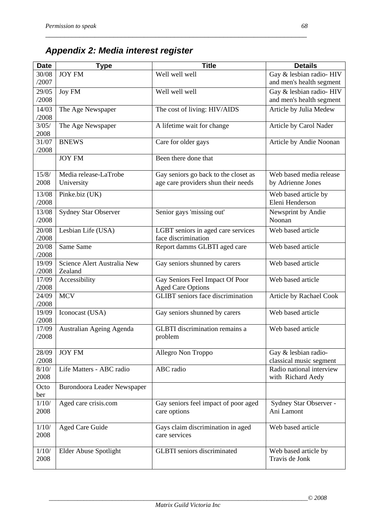| <b>Appendix 2: Media interest register</b> |  |  |  |  |
|--------------------------------------------|--|--|--|--|
|--------------------------------------------|--|--|--|--|

| <b>Date</b>    | <b>Type</b>                 | <b>Title</b>                                       | <b>Details</b>           |
|----------------|-----------------------------|----------------------------------------------------|--------------------------|
| 30/08          | <b>JOY FM</b>               | Well well well                                     | Gay & lesbian radio-HIV  |
| /2007          |                             |                                                    | and men's health segment |
| 29/05          | Joy FM                      | Well well well                                     | Gay & lesbian radio- HIV |
| /2008          |                             |                                                    | and men's health segment |
| 14/03          | The Age Newspaper           | The cost of living: HIV/AIDS                       | Article by Julia Medew   |
| /2008          |                             |                                                    |                          |
| 3/05/          | The Age Newspaper           | A lifetime wait for change                         | Article by Carol Nader   |
| 2008           |                             |                                                    |                          |
| 31/07          | <b>BNEWS</b>                | Care for older gays                                | Article by Andie Noonan  |
| /2008          |                             |                                                    |                          |
|                | <b>JOY FM</b>               | Been there done that                               |                          |
|                |                             |                                                    |                          |
| 15/8/          | Media release-LaTrobe       | Gay seniors go back to the closet as               | Web based media release  |
| 2008           | University                  | age care providers shun their needs                | by Adrienne Jones        |
| 13/08          | Pinke.biz (UK)              |                                                    | Web based article by     |
| /2008          |                             |                                                    | Eleni Henderson          |
| 13/08          | Sydney Star Observer        | Senior gays 'missing out'                          | Newsprint by Andie       |
| /2008          |                             |                                                    | Noonan                   |
| 20/08          | Lesbian Life (USA)          | LGBT seniors in aged care services                 | Web based article        |
| /2008          |                             | face discrimination                                |                          |
| 20/08          | Same Same                   | Report damms GLBTI aged care                       | Web based article        |
| /2008          |                             |                                                    |                          |
| 19/09          | Science Alert Australia New | Gay seniors shunned by carers                      | Web based article        |
| /2008          | Zealand                     |                                                    |                          |
| 17/09          | Accessibility               | Gay Seniors Feel Impact Of Poor                    | Web based article        |
| /2008          |                             | <b>Aged Care Options</b>                           |                          |
| 24/09<br>/2008 | <b>MCV</b>                  | <b>GLIBT</b> seniors face discrimination           | Article by Rachael Cook  |
| 19/09          | Iconocast (USA)             | Gay seniors shunned by carers                      | Web based article        |
| /2008          |                             |                                                    |                          |
| 17/09          | Australian Ageing Agenda    | <b>GLBTI</b> discrimination remains a              | Web based article        |
| /2008          |                             | problem                                            |                          |
|                |                             |                                                    |                          |
| 28/09          | <b>JOY FM</b>               | Allegro Non Troppo                                 | Gay & lesbian radio-     |
| /2008          |                             |                                                    | classical music segment  |
| 8/10/          | Life Matters - ABC radio    | ABC radio                                          | Radio national interview |
| 2008           |                             |                                                    | with Richard Aedy        |
| Octo           | Burondoora Leader Newspaper |                                                    |                          |
| ber            |                             |                                                    |                          |
| 1/10/          | Aged care crisis.com        | Gay seniors feel impact of poor aged               | Sydney Star Observer -   |
| 2008           |                             | care options                                       | Ani Lamont               |
|                | <b>Aged Care Guide</b>      |                                                    | Web based article        |
| 1/10/<br>2008  |                             | Gays claim discrimination in aged<br>care services |                          |
|                |                             |                                                    |                          |
| 1/10/          | Elder Abuse Spotlight       | <b>GLBTI</b> seniors discriminated                 | Web based article by     |
| 2008           |                             |                                                    | Travis de Jonk           |
|                |                             |                                                    |                          |

\_\_\_\_\_\_\_\_\_\_\_\_\_\_\_\_\_\_\_\_\_\_\_\_\_\_\_\_\_\_\_\_\_\_\_\_\_\_\_\_\_\_\_\_\_\_\_\_\_\_\_\_\_\_\_\_\_\_\_\_\_\_\_\_\_\_\_\_\_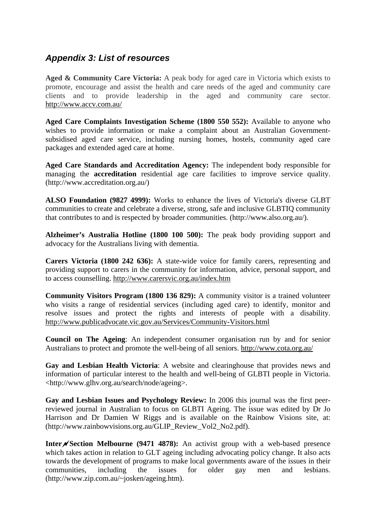# *Appendix 3: List of resources*

**Aged & Community Care Victoria:** A peak body for aged care in Victoria which exists to promote, encourage and assist the health and care needs of the aged and community care clients and to provide leadership in the aged and community care sector. <http://www.accv.com.au/>

**Aged Care Complaints Investigation Scheme (1800 550 552):** Available to anyone who wishes to provide information or make a complaint about an Australian Governmentsubsidised aged care service, including nursing homes, hostels, community aged care packages and extended aged care at home.

**Aged Care Standards and Accreditation Agency:** The independent body responsible for managing the **accreditation** residential age care facilities to improve service quality. (http://www.accreditation.org.au/)

**ALSO Foundation (9827 4999):** Works to enhance the lives of Victoria's diverse GLBT communities to create and celebrate a diverse, strong, safe and inclusive GLBTIQ community that contributes to and is respected by broader communities. [\(http://www.also.org.au/\)](http://www.also.org.au/).

**Alzheimer's Australia Hotline (1800 100 500):** The peak body providing support and advocacy for the Australians living with dementia.

**Carers Victoria (1800 242 636):** A state-wide voice for family carers, representing and providing support to carers in the community for information, advice, personal support, and to access counselling.<http://www.carersvic.org.au/index.htm>

**Community Visitors Program (1800 136 829):** A community visitor is a trained volunteer who visits a range of residential services (including aged care) to identify, monitor and resolve issues and protect the rights and interests of people with a disability. <http://www.publicadvocate.vic.gov.au/Services/Community-Visitors.html>

**Council on The Ageing**: An independent consumer organisation run by and for senior Australians to protect and promote the well-being of all seniors.<http://www.cota.org.au/>

**Gay and Lesbian Health Victoria**: A website and clearinghouse that provides news and information of particular interest to the health and well-being of GLBTI people in Victoria. [<http://www.glhv.org.au/search/node/ageing>](http://www.glhv.org.au/search/node/ageing).

**Gay and Lesbian Issues and Psychology Review:** In 2006 this journal was the first peerreviewed journal in Australian to focus on GLBTI Ageing. The issue was edited by Dr Jo Harrison and Dr Damien W Riggs and is available on the Rainbow Visions site, at: [\(http://www.rainbowvisions.org.au/GLIP\\_Review\\_Vol2\\_No2.pdf\)](http://www.rainbowvisions.org.au/GLIP_Review_Vol2_No2.pdf).

**InterSection Melbourne (9471 4878):** An activist group with a web-based presence which takes action in relation to GLT ageing including advocating policy change. It also acts towards the development of programs to make local governments aware of the issues in their communities, including the issues for older gay men and lesbians. [\(http://www.zip.com.au/~josken/ageing.htm\)](http://www.zip.com.au/~josken/ageing.htm).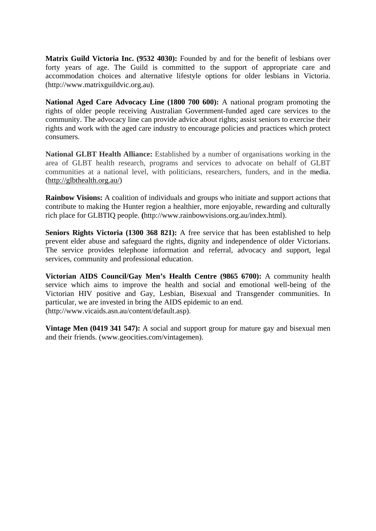**Matrix Guild Victoria Inc. (9532 4030):** Founded by and for the benefit of lesbians over forty years of age. The Guild is committed to the support of appropriate care and accommodation choices and alternative lifestyle options for older lesbians in Victoria. [\(http://www.matrixguildvic.org.au\)](http://www.matrixguildvic.org.au/).

**National Aged Care Advocacy Line (1800 700 600):** A national program promoting the rights of older people receiving Australian Government-funded aged care services to the community. The advocacy line can provide advice about rights; assist seniors to exercise their rights and work with the aged care industry to encourage policies and practices which protect consumers.

**National GLBT Health Alliance:** Established by a number of organisations working in the area of GLBT health research, programs and services to advocate on behalf of GLBT communities at a national level, with politicians, researchers, funders, and in the media. [\(http://glbthealth.org.au/\)](http://glbthealth.org.au/)

**Rainbow Visions:** A coalition of individuals and groups who initiate and support actions that contribute to making the Hunter region a healthier, more enjoyable, rewarding and culturally rich place for GLBTIQ people. **(**[http://www.rainbowvisions.org.au/index.html\)](http://www.rainbowvisions.org.au/index.html).

**Seniors Rights Victoria (1300 368 821):** A free service that has been established to help prevent elder abuse and safeguard the rights, dignity and independence of older Victorians. The service provides telephone information and referral, advocacy and support, legal services, community and professional education.

**Victorian AIDS Council/Gay Men's Health Centre (9865 6700):** A community health service which aims to improve the health and social and emotional well-being of the Victorian HIV positive and Gay, Lesbian, Bisexual and Transgender communities. In particular, we are invested in bring the AIDS epidemic to an end. [\(http://www.vicaids.asn.au/content/default.asp\)](http://www.vicaids.asn.au/content/default.asp).

**Vintage Men (0419 341 547):** A social and support group for mature gay and bisexual men and their friends. [\(www.geocities.com/vintagemen\)](http://www.geocities.com/vintagemen).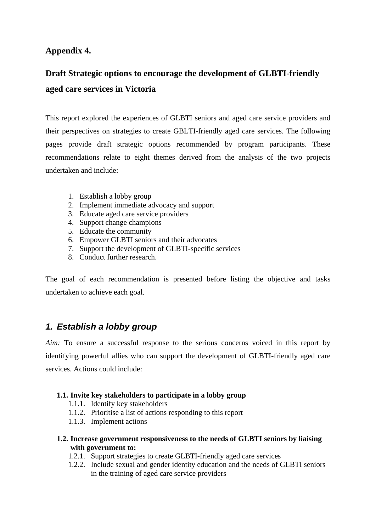### **Appendix 4.**

# **Draft Strategic options to encourage the development of GLBTI-friendly aged care services in Victoria**

This report explored the experiences of GLBTI seniors and aged care service providers and their perspectives on strategies to create GBLTI-friendly aged care services. The following pages provide draft strategic options recommended by program participants. These recommendations relate to eight themes derived from the analysis of the two projects undertaken and include:

- 1. Establish a lobby group
- 2. Implement immediate advocacy and support
- 3. Educate aged care service providers
- 4. Support change champions
- 5. Educate the community
- 6. Empower GLBTI seniors and their advocates
- 7. Support the development of GLBTI-specific services
- 8. Conduct further research.

The goal of each recommendation is presented before listing the objective and tasks undertaken to achieve each goal.

# *1. Establish a lobby group*

*Aim:* To ensure a successful response to the serious concerns voiced in this report by identifying powerful allies who can support the development of GLBTI-friendly aged care services. Actions could include:

### **1.1. Invite key stakeholders to participate in a lobby group**

- 1.1.1. Identify key stakeholders
- 1.1.2. Prioritise a list of actions responding to this report
- 1.1.3. Implement actions
- **1.2. Increase government responsiveness to the needs of GLBTI seniors by liaising with government to:** 
	- 1.2.1. Support strategies to create GLBTI-friendly aged care services
	- 1.2.2. Include sexual and gender identity education and the needs of GLBTI seniors in the training of aged care service providers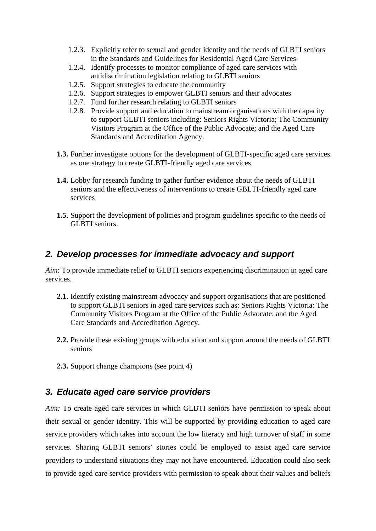- 1.2.3. Explicitly refer to sexual and gender identity and the needs of GLBTI seniors in the Standards and Guidelines for Residential Aged Care Services
- 1.2.4. Identify processes to monitor compliance of aged care services with antidiscrimination legislation relating to GLBTI seniors
- 1.2.5. Support strategies to educate the community
- 1.2.6. Support strategies to empower GLBTI seniors and their advocates
- 1.2.7. Fund further research relating to GLBTI seniors
- 1.2.8. Provide support and education to mainstream organisations with the capacity to support GLBTI seniors including: Seniors Rights Victoria; The Community Visitors Program at the Office of the Public Advocate; and the Aged Care Standards and Accreditation Agency.
- **1.3.** Further investigate options for the development of GLBTI-specific aged care services as one strategy to create GLBTI-friendly aged care services
- **1.4.** Lobby for research funding to gather further evidence about the needs of GLBTI seniors and the effectiveness of interventions to create GBLTI-friendly aged care services
- **1.5.** Support the development of policies and program guidelines specific to the needs of GLBTI seniors.

## *2. Develop processes for immediate advocacy and support*

*Aim*: To provide immediate relief to GLBTI seniors experiencing discrimination in aged care services.

- **2.1.** Identify existing mainstream advocacy and support organisations that are positioned to support GLBTI seniors in aged care services such as: Seniors Rights Victoria; The Community Visitors Program at the Office of the Public Advocate; and the Aged Care Standards and Accreditation Agency.
- **2.2.** Provide these existing groups with education and support around the needs of GLBTI seniors
- **2.3.** Support change champions (see point 4)

## *3. Educate aged care service providers*

*Aim:* To create aged care services in which GLBTI seniors have permission to speak about their sexual or gender identity. This will be supported by providing education to aged care service providers which takes into account the low literacy and high turnover of staff in some services. Sharing GLBTI seniors' stories could be employed to assist aged care service providers to understand situations they may not have encountered. Education could also seek to provide aged care service providers with permission to speak about their values and beliefs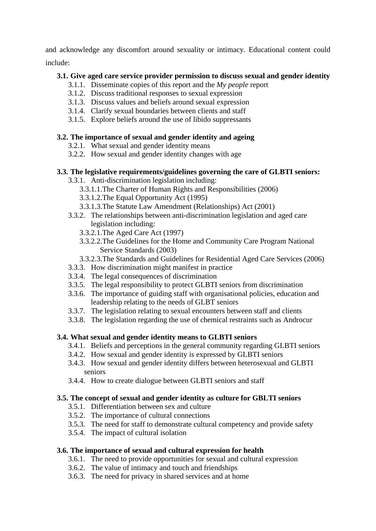and acknowledge any discomfort around sexuality or intimacy. Educational content could include:

#### **3.1. Give aged care service provider permission to discuss sexual and gender identity**

- 3.1.1. Disseminate copies of this report and the *My people* report
- 3.1.2. Discuss traditional responses to sexual expression
- 3.1.3. Discuss values and beliefs around sexual expression
- 3.1.4. Clarify sexual boundaries between clients and staff
- 3.1.5. Explore beliefs around the use of libido suppressants

#### **3.2. The importance of sexual and gender identity and ageing**

- 3.2.1. What sexual and gender identity means
- 3.2.2. How sexual and gender identity changes with age

#### **3.3. The legislative requirements/guidelines governing the care of GLBTI seniors:**

- 3.3.1. Anti-discrimination legislation including:
	- 3.3.1.1.The Charter of Human Rights and Responsibilities (2006)
	- 3.3.1.2.The Equal Opportunity Act (1995)
	- 3.3.1.3.The Statute Law Amendment (Relationships) Act (2001)
- 3.3.2. The relationships between anti-discrimination legislation and aged care legislation including:
	- 3.3.2.1.The Aged Care Act (1997)
	- 3.3.2.2.The Guidelines for the Home and Community Care Program National Service Standards (2003)
	- 3.3.2.3.The Standards and Guidelines for Residential Aged Care Services (2006)
- 3.3.3. How discrimination might manifest in practice
- 3.3.4. The legal consequences of discrimination
- 3.3.5. The legal responsibility to protect GLBTI seniors from discrimination
- 3.3.6. The importance of guiding staff with organisational policies, education and leadership relating to the needs of GLBT seniors
- 3.3.7. The legislation relating to sexual encounters between staff and clients
- 3.3.8. The legislation regarding the use of chemical restraints such as Androcur

### **3.4. What sexual and gender identity means to GLBTI seniors**

- 3.4.1. Beliefs and perceptions in the general community regarding GLBTI seniors
- 3.4.2. How sexual and gender identity is expressed by GLBTI seniors
- 3.4.3. How sexual and gender identity differs between heterosexual and GLBTI seniors
- 3.4.4. How to create dialogue between GLBTI seniors and staff

#### **3.5. The concept of sexual and gender identity as culture for GBLTI seniors**

- 3.5.1. Differentiation between sex and culture
- 3.5.2. The importance of cultural connections
- 3.5.3. The need for staff to demonstrate cultural competency and provide safety
- 3.5.4. The impact of cultural isolation

### **3.6. The importance of sexual and cultural expression for health**

- 3.6.1. The need to provide opportunities for sexual and cultural expression
- 3.6.2. The value of intimacy and touch and friendships
- 3.6.3. The need for privacy in shared services and at home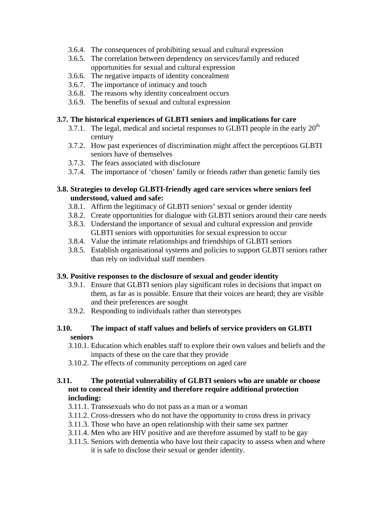- 3.6.4. The consequences of prohibiting sexual and cultural expression
- 3.6.5. The correlation between dependency on services/family and reduced opportunities for sexual and cultural expression
- 3.6.6. The negative impacts of identity concealment
- 3.6.7. The importance of intimacy and touch
- 3.6.8. The reasons why identity concealment occurs
- 3.6.9. The benefits of sexual and cultural expression

#### **3.7. The historical experiences of GLBTI seniors and implications for care**

- 3.7.1. The legal, medical and societal responses to GLBTI people in the early  $20<sup>th</sup>$ century
- 3.7.2. How past experiences of discrimination might affect the perceptions GLBTI seniors have of themselves
- 3.7.3. The fears associated with disclosure
- 3.7.4. The importance of 'chosen' family or friends rather than genetic family ties

#### **3.8. Strategies to develop GLBTI-friendly aged care services where seniors feel understood, valued and safe:**

- 3.8.1. Affirm the legitimacy of GLBTI seniors' sexual or gender identity
- 3.8.2. Create opportunities for dialogue with GLBTI seniors around their care needs
- 3.8.3. Understand the importance of sexual and cultural expression and provide GLBTI seniors with opportunities for sexual expression to occur
- 3.8.4. Value the intimate relationships and friendships of GLBTI seniors
- 3.8.5. Establish organisational systems and policies to support GLBTI seniors rather than rely on individual staff members

#### **3.9. Positive responses to the disclosure of sexual and gender identity**

- 3.9.1. Ensure that GLBTI seniors play significant roles in decisions that impact on them, as far as is possible. Ensure that their voices are heard; they are visible and their preferences are sought
- 3.9.2. Responding to individuals rather than stereotypes

#### **3.10. The impact of staff values and beliefs of service providers on GLBTI seniors**

- 3.10.1. Education which enables staff to explore their own values and beliefs and the impacts of these on the care that they provide
- 3.10.2. The effects of community perceptions on aged care

#### **3.11. The potential vulnerability of GLBTI seniors who are unable or choose not to conceal their identity and therefore require additional protection including:**

- 3.11.1. Transsexuals who do not pass as a man or a woman
- 3.11.2. Cross-dressers who do not have the opportunity to cross dress in privacy
- 3.11.3. Those who have an open relationship with their same sex partner
- 3.11.4. Men who are HIV positive and are therefore assumed by staff to be gay
- 3.11.5. Seniors with dementia who have lost their capacity to assess when and where it is safe to disclose their sexual or gender identity.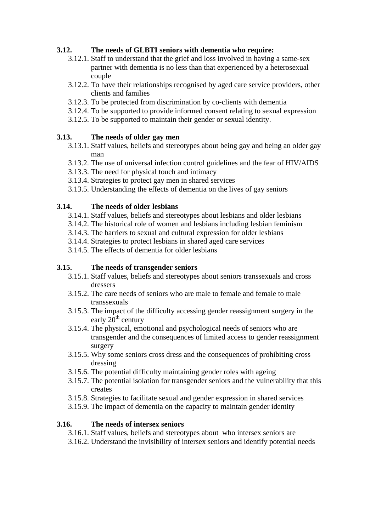#### **3.12. The needs of GLBTI seniors with dementia who require:**

- 3.12.1. Staff to understand that the grief and loss involved in having a same-sex partner with dementia is no less than that experienced by a heterosexual couple
- 3.12.2. To have their relationships recognised by aged care service providers, other clients and families
- 3.12.3. To be protected from discrimination by co-clients with dementia
- 3.12.4. To be supported to provide informed consent relating to sexual expression
- 3.12.5. To be supported to maintain their gender or sexual identity.

#### **3.13. The needs of older gay men**

- 3.13.1. Staff values, beliefs and stereotypes about being gay and being an older gay man
- 3.13.2. The use of universal infection control guidelines and the fear of HIV/AIDS
- 3.13.3. The need for physical touch and intimacy
- 3.13.4. Strategies to protect gay men in shared services
- 3.13.5. Understanding the effects of dementia on the lives of gay seniors

#### **3.14. The needs of older lesbians**

- 3.14.1. Staff values, beliefs and stereotypes about lesbians and older lesbians
- 3.14.2. The historical role of women and lesbians including lesbian feminism
- 3.14.3. The barriers to sexual and cultural expression for older lesbians
- 3.14.4. Strategies to protect lesbians in shared aged care services

3.14.5. The effects of dementia for older lesbians

#### **3.15. The needs of transgender seniors**

- 3.15.1. Staff values, beliefs and stereotypes about seniors transsexuals and cross dressers
- 3.15.2. The care needs of seniors who are male to female and female to male transsexuals
- 3.15.3. The impact of the difficulty accessing gender reassignment surgery in the early  $20<sup>th</sup>$  century
- 3.15.4. The physical, emotional and psychological needs of seniors who are transgender and the consequences of limited access to gender reassignment surgery
- 3.15.5. Why some seniors cross dress and the consequences of prohibiting cross dressing
- 3.15.6. The potential difficulty maintaining gender roles with ageing
- 3.15.7. The potential isolation for transgender seniors and the vulnerability that this creates
- 3.15.8. Strategies to facilitate sexual and gender expression in shared services
- 3.15.9. The impact of dementia on the capacity to maintain gender identity

#### **3.16. The needs of intersex seniors**

- 3.16.1. Staff values, beliefs and stereotypes about who intersex seniors are
- 3.16.2. Understand the invisibility of intersex seniors and identify potential needs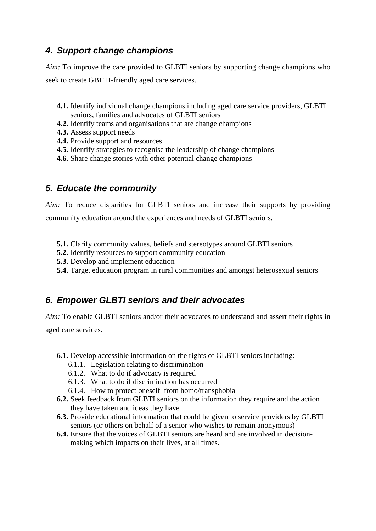# *4. Support change champions*

*Aim:* To improve the care provided to GLBTI seniors by supporting change champions who seek to create GBLTI-friendly aged care services.

- **4.1.** Identify individual change champions including aged care service providers, GLBTI seniors, families and advocates of GLBTI seniors
- **4.2.** Identify teams and organisations that are change champions
- **4.3.** Assess support needs
- **4.4.** Provide support and resources
- **4.5.** Identify strategies to recognise the leadership of change champions
- **4.6.** Share change stories with other potential change champions

# *5. Educate the community*

*Aim:* To reduce disparities for GLBTI seniors and increase their supports by providing community education around the experiences and needs of GLBTI seniors.

- **5.1.** Clarify community values, beliefs and stereotypes around GLBTI seniors
- **5.2.** Identify resources to support community education
- **5.3.** Develop and implement education
- **5.4.** Target education program in rural communities and amongst heterosexual seniors

# *6. Empower GLBTI seniors and their advocates*

*Aim:* To enable GLBTI seniors and/or their advocates to understand and assert their rights in aged care services.

- **6.1.** Develop accessible information on the rights of GLBTI seniors including:
	- 6.1.1. Legislation relating to discrimination
	- 6.1.2. What to do if advocacy is required
	- 6.1.3. What to do if discrimination has occurred
	- 6.1.4. How to protect oneself from homo/transphobia
- **6.2.** Seek feedback from GLBTI seniors on the information they require and the action they have taken and ideas they have
- **6.3.** Provide educational information that could be given to service providers by GLBTI seniors (or others on behalf of a senior who wishes to remain anonymous)
- **6.4.** Ensure that the voices of GLBTI seniors are heard and are involved in decisionmaking which impacts on their lives, at all times.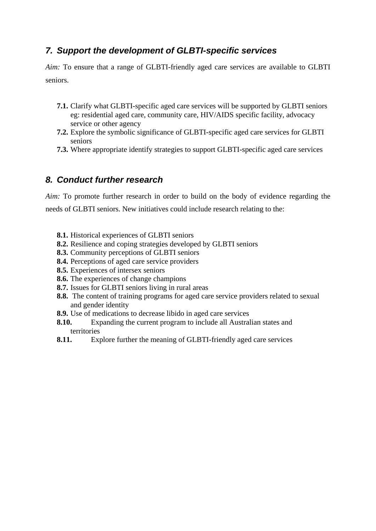# *7. Support the development of GLBTI-specific services*

*Aim:* To ensure that a range of GLBTI-friendly aged care services are available to GLBTI seniors.

- **7.1.** Clarify what GLBTI-specific aged care services will be supported by GLBTI seniors eg: residential aged care, community care, HIV/AIDS specific facility, advocacy service or other agency
- **7.2.** Explore the symbolic significance of GLBTI-specific aged care services for GLBTI seniors
- **7.3.** Where appropriate identify strategies to support GLBTI-specific aged care services

# *8. Conduct further research*

*Aim:* To promote further research in order to build on the body of evidence regarding the

needs of GLBTI seniors. New initiatives could include research relating to the:

- **8.1.** Historical experiences of GLBTI seniors
- **8.2.** Resilience and coping strategies developed by GLBTI seniors
- **8.3.** Community perceptions of GLBTI seniors
- **8.4.** Perceptions of aged care service providers
- **8.5.** Experiences of intersex seniors
- **8.6.** The experiences of change champions
- **8.7.** Issues for GLBTI seniors living in rural areas
- **8.8.** The content of training programs for aged care service providers related to sexual and gender identity
- **8.9.** Use of medications to decrease libido in aged care services
- **8.10.** Expanding the current program to include all Australian states and territories
- **8.11.** Explore further the meaning of GLBTI-friendly aged care services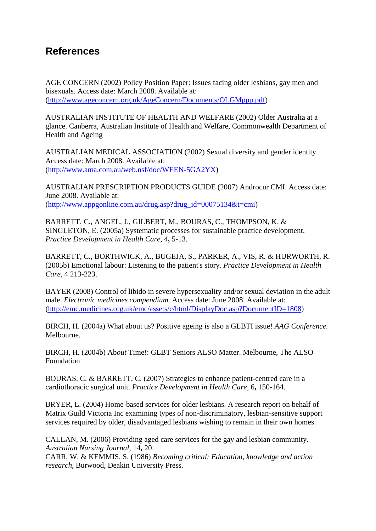# **References**

AGE CONCERN (2002) Policy Position Paper: Issues facing older lesbians, gay men and bisexuals. Access date: March 2008. Available at: [\(http://www.ageconcern.org.uk/AgeConcern/Documents/OLGMppp.pdf\)](http://www.ageconcern.org.uk/AgeConcern/Documents/OLGMppp.pdf)

AUSTRALIAN INSTITUTE OF HEALTH AND WELFARE (2002) Older Australia at a glance. Canberra, Australian Institute of Health and Welfare, Commonwealth Department of Health and Ageing

AUSTRALIAN MEDICAL ASSOCIATION (2002) Sexual diversity and gender identity. Access date: March 2008. Available at: [\(http://www.ama.com.au/web.nsf/doc/WEEN-5GA2YX\)](http://www.ama.com.au/web.nsf/doc/WEEN-5GA2YX)

AUSTRALIAN PRESCRIPTION PRODUCTS GUIDE (2007) Androcur CMI. Access date: June 2008. Available at:  $(http://www.appgonline.com.au/drug.asp? drug_id=00075134&t=cmi)$ 

BARRETT, C., ANGEL, J., GILBERT, M., BOURAS, C., THOMPSON, K. & SINGLETON, E. (2005a) Systematic processes for sustainable practice development. *Practice Development in Health Care,* 4**,** 5-13.

BARRETT, C., BORTHWICK, A., BUGEJA, S., PARKER, A., VIS, R. & HURWORTH, R. (2005b) Emotional labour: Listening to the patient's story. *Practice Development in Health Care,* 4 213-223.

BAYER (2008) Control of libido in severe hypersexuality and/or sexual deviation in the adult male. *Electronic medicines compendium.* Access date: June 2008. Available at: [\(http://emc.medicines.org.uk/emc/assets/c/html/DisplayDoc.asp?DocumentID=1808\)](http://emc.medicines.org.uk/emc/assets/c/html/DisplayDoc.asp?DocumentID=1808)

BIRCH, H. (2004a) What about us? Positive ageing is also a GLBTI issue! *AAG Conference.*  Melbourne.

BIRCH, H. (2004b) Ab*out* Time!: GLBT Seniors ALSO Matter. Melbourne, The ALSO Foundation

BOURAS, C. & BARRETT, C. (2007) Strategies to enhance patient-centred care in a cardiothoracic surgical unit. *Practice Development in Health Care,* 6**,** 150-164.

BRYER, L. (2004) Home-based services for older lesbians. A research report on behalf of Matrix Guild Victoria Inc examining types of non-discriminatory, lesbian-sensitive support services required by older, disadvantaged lesbians wishing to remain in their own homes.

CALLAN, M. (2006) Providing aged care services for the gay and lesbian community. *Australian Nursing Journal,* 14**,** 20.

CARR, W. & KEMMIS, S. (1986) *Becoming critical: Education, knowledge and action research,* Burwood, Deakin University Press.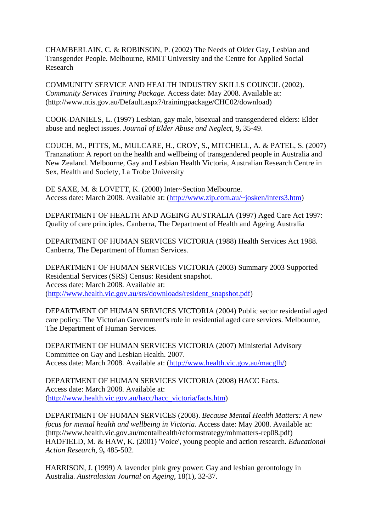CHAMBERLAIN, C. & ROBINSON, P. (2002) The Needs of Older Gay, Lesbian and Transgender People. Melbourne, RMIT University and the Centre for Applied Social Research

COMMUNITY SERVICE AND HEALTH INDUSTRY SKILLS COUNCIL (2002). *Community Services Training Package.* Access date: May 2008. Available at: (http://www.ntis.gov.au/Default.aspx?/trainingpackage/CHC02/download)

COOK-DANIELS, L. (1997) Lesbian, gay male, bisexual and transgendered elders: Elder abuse and neglect issues. *Journal of Elder Abuse and Neglect,* 9**,** 35-49.

COUCH, M., PITTS, M., MULCARE, H., CROY, S., MITCHELL, A. & PATEL, S. (2007) Tranznation: A report on the health and wellbeing of transgendered people in Australia and New Zealand. Melbourne, Gay and Lesbian Health Victoria, Australian Research Centre in Sex, Health and Society, La Trobe University

DE SAXE, M. & LOVETT, K. (2008) Inter~Section Melbourne. Access date: March 2008. Available at: [\(http://www.zip.com.au/~josken/inters3.htm\)](http://www.zip.com.au/~josken/inters3.htm)

DEPARTMENT OF HEALTH AND AGEING AUSTRALIA (1997) Aged Care Act 1997: Quality of care principles. Canberra, The Department of Health and Ageing Australia

DEPARTMENT OF HUMAN SERVICES VICTORIA (1988) Health Services Act 1988. Canberra, The Department of Human Services.

DEPARTMENT OF HUMAN SERVICES VICTORIA (2003) Summary 2003 Supported Residential Services (SRS) Census: Resident snapshot. Access date: March 2008. Available at: [\(http://www.health.vic.gov.au/srs/downloads/resident\\_snapshot.pdf\)](http://www.health.vic.gov.au/srs/downloads/resident_snapshot.pdf)

DEPARTMENT OF HUMAN SERVICES VICTORIA (2004) Public sector residential aged care policy: The Victorian Government's role in residential aged care services. Melbourne, The Department of Human Services.

DEPARTMENT OF HUMAN SERVICES VICTORIA (2007) Ministerial Advisory Committee on Gay and Lesbian Health. 2007. Access date: March 2008. Available at: [\(http://www.health.vic.gov.au/macglh/\)](http://www.health.vic.gov.au/macglh/)

DEPARTMENT OF HUMAN SERVICES VICTORIA (2008) HACC Facts. Access date: March 2008. Available at: [\(http://www.health.vic.gov.au/hacc/hacc\\_victoria/facts.htm\)](http://www.health.vic.gov.au/hacc/hacc_victoria/facts.htm)

DEPARTMENT OF HUMAN SERVICES (2008). *Because Mental Health Matters: A new focus for mental health and wellbeing in Victoria. Access date: May 2008. Available at:* (http://www.health.vic.gov.au/mentalhealth/reformstrategy/mhmatters-rep08.pdf) HADFIELD, M. & HAW, K. (2001) 'Voice', young people and action research. *Educational Action Research,* 9**,** 485-502.

HARRISON, J. (1999) A lavender pink grey power: Gay and lesbian gerontology in Australia. *Australasian Journal on Ageing*, 18(1), 32-37.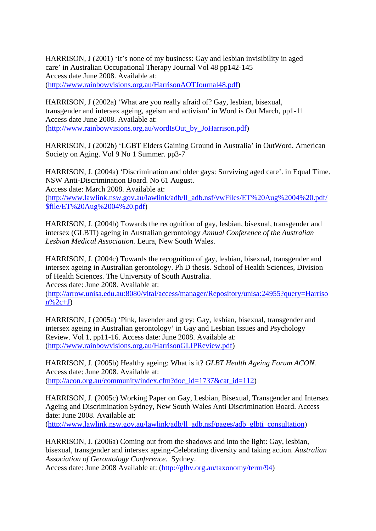HARRISON, J (2001) 'It's none of my business: Gay and lesbian invisibility in aged care' in Australian Occupational Therapy Journal Vol 48 pp142-145 Access date June 2008. Available at: [\(http://www.rainbowvisions.org.au/HarrisonAOTJournal48.pdf\)](http://www.rainbowvisions.org.au/HarrisonAOTJournal48.pdf)

HARRISON, J (2002a) 'What are you really afraid of? Gay, lesbian, bisexual, transgender and intersex ageing, ageism and activism' in Word is Out March, pp1-11 Access date June 2008. Available at: [\(http://www.rainbowvisions.org.au/wordIsOut\\_by\\_JoHarrison.pdf\)](http://www.rainbowvisions.org.au/wordIsOut_by_JoHarrison.pdf)

HARRISON, J (2002b) 'LGBT Elders Gaining Ground in Australia' in OutWord. American Society on Aging. Vol 9 No 1 Summer. pp3-7

HARRISON, J. (2004a) 'Discrimination and older gays: Surviving aged care'. in Equal Time. NSW Anti-Discrimination Board. No 61 August. Access date: March 2008. Available at:

[\(http://www.lawlink.nsw.gov.au/lawlink/adb/ll\\_adb.nsf/vwFiles/ET%20Aug%2004%20.pdf/](http://www.lawlink.nsw.gov.au/lawlink/adb/ll_adb.nsf/vwFiles/ET%20Aug%2004%20.pdf/$file/ET%20Aug%2004%20.pdf) [\\$file/ET%20Aug%2004%20.pdf\)](http://www.lawlink.nsw.gov.au/lawlink/adb/ll_adb.nsf/vwFiles/ET%20Aug%2004%20.pdf/$file/ET%20Aug%2004%20.pdf)

HARRISON, J. (2004b) Towards the recognition of gay, lesbian, bisexual, transgender and intersex (GLBTI) ageing in Australian gerontology *Annual Conference of the Australian Lesbian Medical Association.* Leura, New South Wales.

HARRISON, J. (2004c) Towards the recognition of gay, lesbian, bisexual, transgender and intersex ageing in Australian gerontology. Ph D thesis. School of Health Sciences, Division of Health Sciences. The University of South Australia.

Access date: June 2008. Available at:

[\(http://arrow.unisa.edu.au:8080/vital/access/manager/Repository/unisa:24955?query=Harriso](http://arrow.unisa.edu.au:8080/vital/access/manager/Repository/unisa:24955?query=Harrison%2c+J)  $n\%2c+J$ 

HARRISON, J (2005a) 'Pink, lavender and grey: Gay, lesbian, bisexual, transgender and intersex ageing in Australian gerontology' in Gay and Lesbian Issues and Psychology Review. Vol 1, pp11-16. Access date: June 2008. Available at: [\(http://www.rainbowvisions.org.au/HarrisonGLIPReview.pdf\)](http://www.rainbowvisions.org.au/HarrisonGLIPReview.pdf)

HARRISON, J. (2005b) Healthy ageing: What is it? *GLBT Health Ageing Forum ACON.*  Access date: June 2008. Available at:  $(\text{http://acon.org.au/commu\n}uity/index.cfm?doc_id=1737&\text{cat}_id=112)$ 

HARRISON, J. (2005c) Working Paper on Gay, Lesbian, Bisexual, Transgender and Intersex Ageing and Discrimination Sydney, New South Wales Anti Discrimination Board. Access date: June 2008. Available at: [\(http://www.lawlink.nsw.gov.au/lawlink/adb/ll\\_adb.nsf/pages/adb\\_glbti\\_consultation\)](http://www.lawlink.nsw.gov.au/lawlink/adb/ll_adb.nsf/pages/adb_glbti_consultation)

HARRISON, J. (2006a) Coming out from the shadows and into the light: Gay, lesbian, bisexual, transgender and intersex ageing-Celebrating diversity and taking action. *Australian Association of Gerontology Conference.* Sydney.

Access date: June 2008 Available at: [\(http://glhv.org.au/taxonomy/term/94\)](http://glhv.org.au/taxonomy/term/94)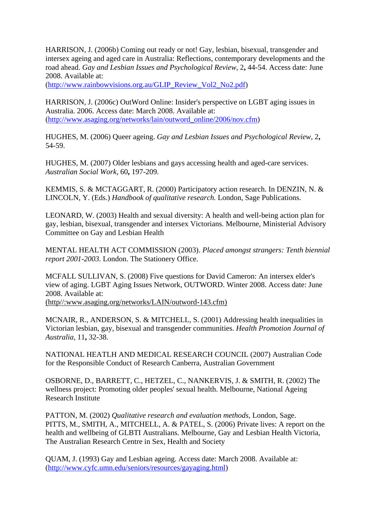HARRISON, J. (2006b) Coming out ready or not! Gay, lesbian, bisexual, transgender and intersex ageing and aged care in Australia: Reflections, contemporary developments and the road ahead. *Gay and Lesbian Issues and Psychological Review,* 2**,** 44-54. Access date: June 2008. Available at:

[\(http://www.rainbowvisions.org.au/GLIP\\_Review\\_Vol2\\_No2.pdf\)](http://www.rainbowvisions.org.au/GLIP_Review_Vol2_No2.pdf)

HARRISON, J. (2006c) OutWord Online: Insider's perspective on LGBT aging issues in Australia. 2006. Access date: March 2008. Available at: [\(http://www.asaging.org/networks/lain/outword\\_online/2006/nov.cfm\)](http://www.asaging.org/networks/lain/outword_online/2006/nov.cfm)

HUGHES, M. (2006) Queer ageing. *Gay and Lesbian Issues and Psychological Review,* 2**,** 54-59.

HUGHES, M. (2007) Older lesbians and gays accessing health and aged-care services. *Australian Social Work,* 60**,** 197-209.

KEMMIS, S. & MCTAGGART, R. (2000) Participatory action research. In DENZIN, N. & LINCOLN, Y. (Eds.) *Handbook of qualitative research.* London, Sage Publications.

LEONARD, W. (2003) Health and sexual diversity: A health and well-being action plan for gay, lesbian, bisexual, transgender and intersex Victorians. Melbourne, Ministerial Advisory Committee on Gay and Lesbian Health

MENTAL HEALTH ACT COMMISSION (2003). *Placed amongst strangers: Tenth biennial report 2001-2003.* London. The Stationery Office.

MCFALL SULLIVAN, S. (2008) Five questions for David Cameron: An intersex elder's view of aging. LGBT Aging Issues Network, OUTWORD. Winter 2008. Access date: June 2008. Available at:

(http//:www.asaging.org/networks/LAIN/outword-143.cfm)

MCNAIR, R., ANDERSON, S. & MITCHELL, S. (2001) Addressing health inequalities in Victorian lesbian, gay, bisexual and transgender communities. *Health Promotion Journal of Australia,* 11**,** 32-38.

NATIONAL HEATLH AND MEDICAL RESEARCH COUNCIL (2007) Australian Code for the Responsible Conduct of Research Canberra, Australian Government

OSBORNE, D., BARRETT, C., HETZEL, C., NANKERVIS, J. & SMITH, R. (2002) The wellness project: Promoting older peoples' sexual health. Melbourne, National Ageing Research Institute

PATTON, M. (2002) *Qualitative research and evaluation methods,* London, Sage. PITTS, M., SMITH, A., MITCHELL, A. & PATEL, S. (2006) Private lives: A report on the health and wellbeing of GLBTI Australians. Melbourne, Gay and Lesbian Health Victoria, The Australian Research Centre in Sex, Health and Society

QUAM, J. (1993) Gay and Lesbian ageing. Access date: March 2008. Available at: ( [http://www.cyfc.umn.edu/seniors/resources/gayaging.html\)](http://www.cyfc.umn.edu/seniors/resources/gayaging.html)